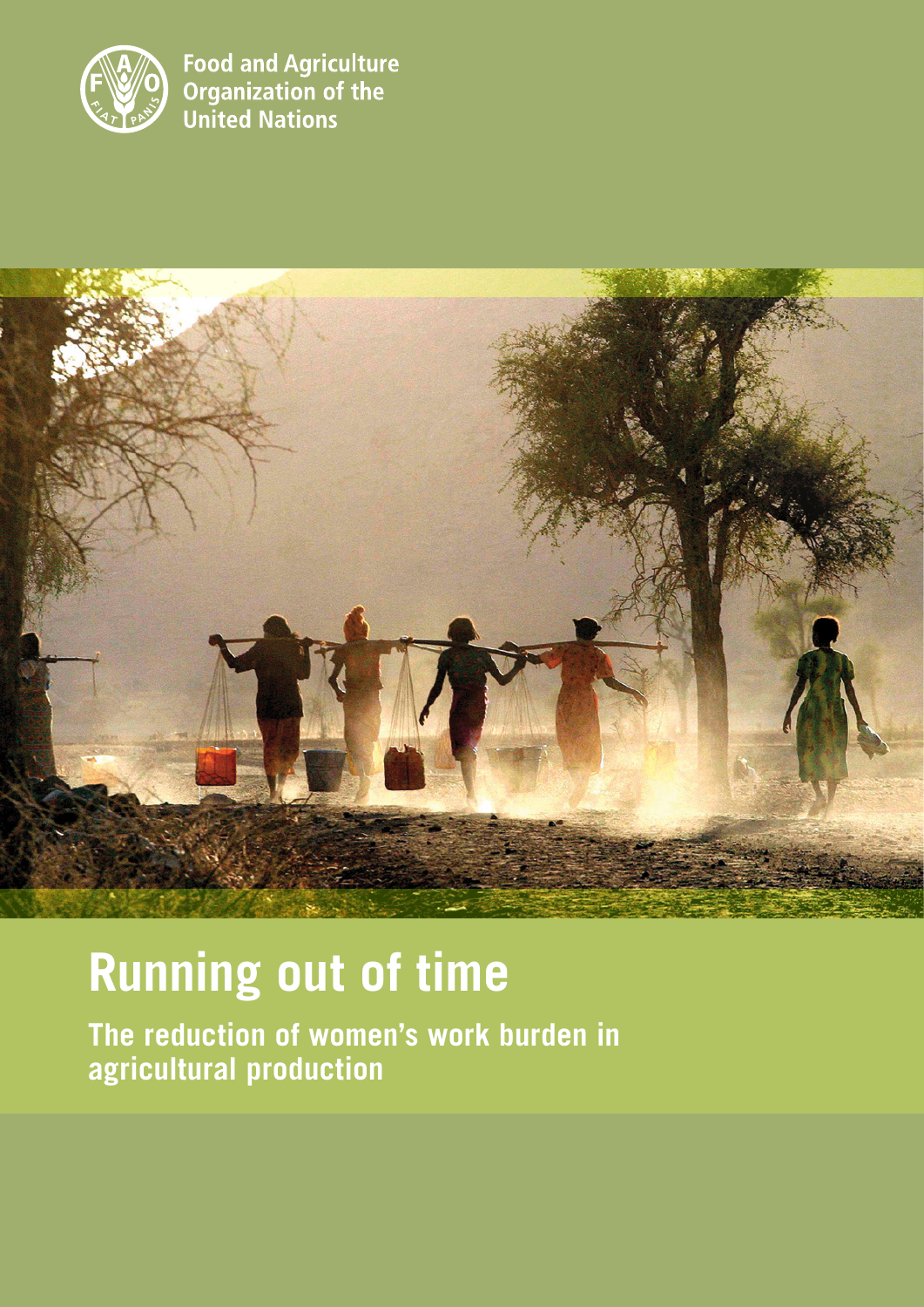

**Food and Agriculture** Organization of the **United Nations** 



# **Running out of time**

**The reduction of women's work burden in agricultural production**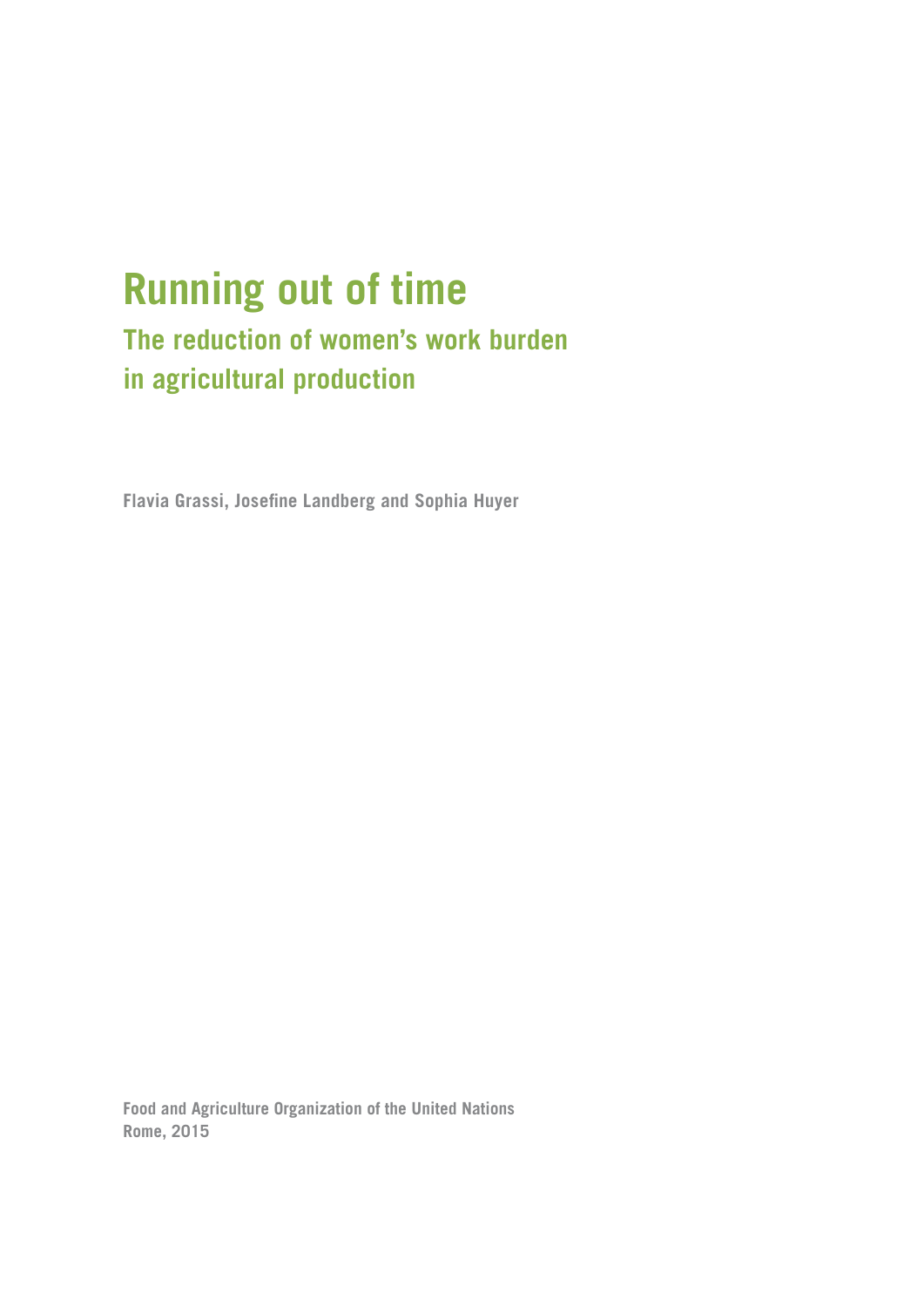# **Running out of time**

### **The reduction of women's work burden in agricultural production**

**Flavia Grassi, Josefine Landberg and Sophia Huyer**

**Food and Agriculture Organization of the United Nations Rome, 2015**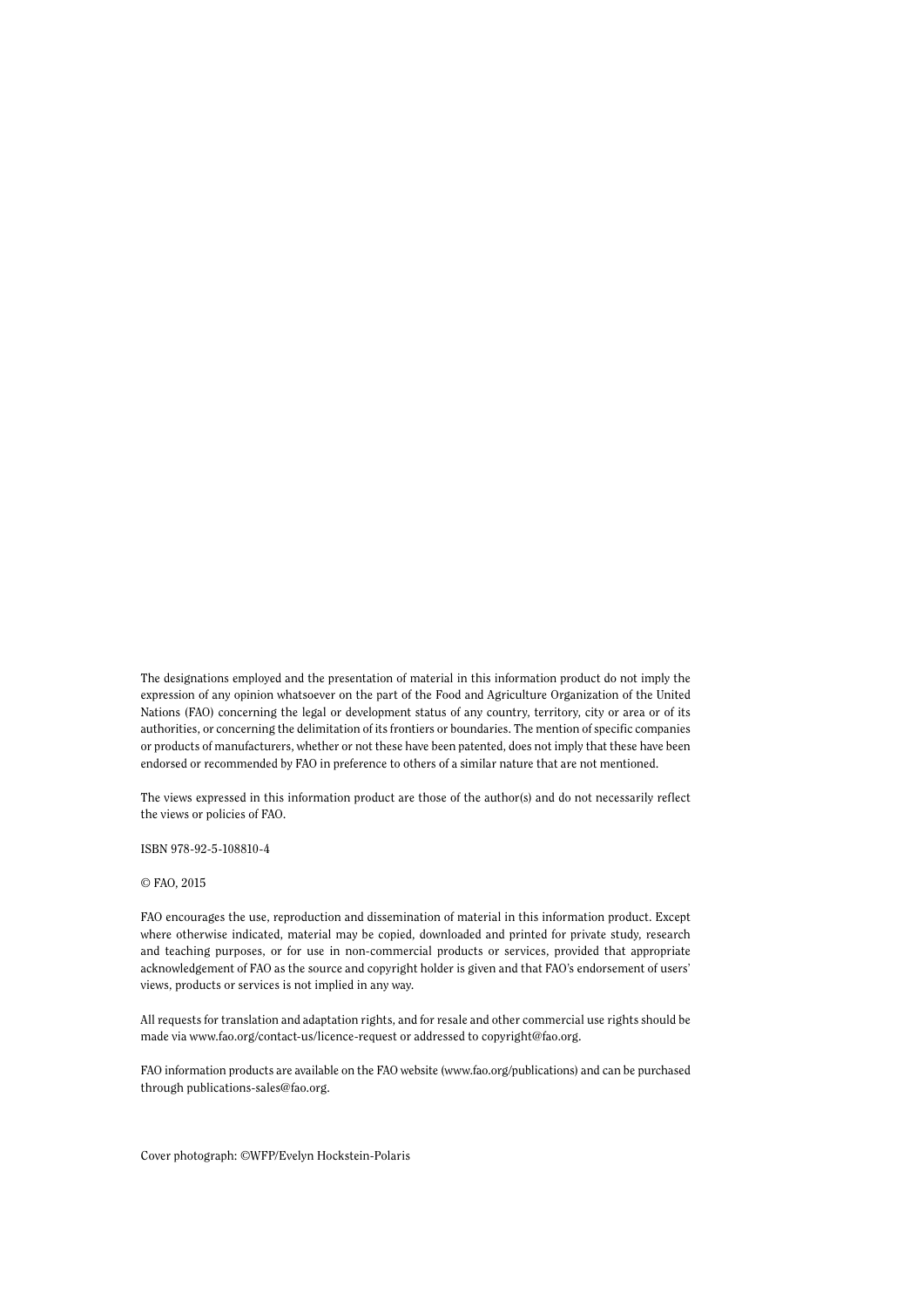The designations employed and the presentation of material in this information product do not imply the expression of any opinion whatsoever on the part of the Food and Agriculture Organization of the United Nations (FAO) concerning the legal or development status of any country, territory, city or area or of its authorities, or concerning the delimitation of its frontiers or boundaries. The mention of specific companies or products of manufacturers, whether or not these have been patented, does not imply that these have been endorsed or recommended by FAO in preference to others of a similar nature that are not mentioned.

The views expressed in this information product are those of the author(s) and do not necessarily reflect the views or policies of FAO.

ISBN 978-92-5-108810-4

#### © FAO, 2015

FAO encourages the use, reproduction and dissemination of material in this information product. Except where otherwise indicated, material may be copied, downloaded and printed for private study, research and teaching purposes, or for use in non-commercial products or services, provided that appropriate acknowledgement of FAO as the source and copyright holder is given and that FAO's endorsement of users' views, products or services is not implied in any way.

All requests for translation and adaptation rights, and for resale and other commercial use rights should be made via<www.fao.org/contact-us/licence>-request or addressed to [copyright@fao.org.](mailto:copyright@fao.org)

FAO information products are available on the FAO website (<www.fao.org/publications>) and can be purchased through [publications-sales@fao.org.](mailto:publications-sales@fao.org)

Cover photograph: ©WFP/Evelyn Hockstein-Polaris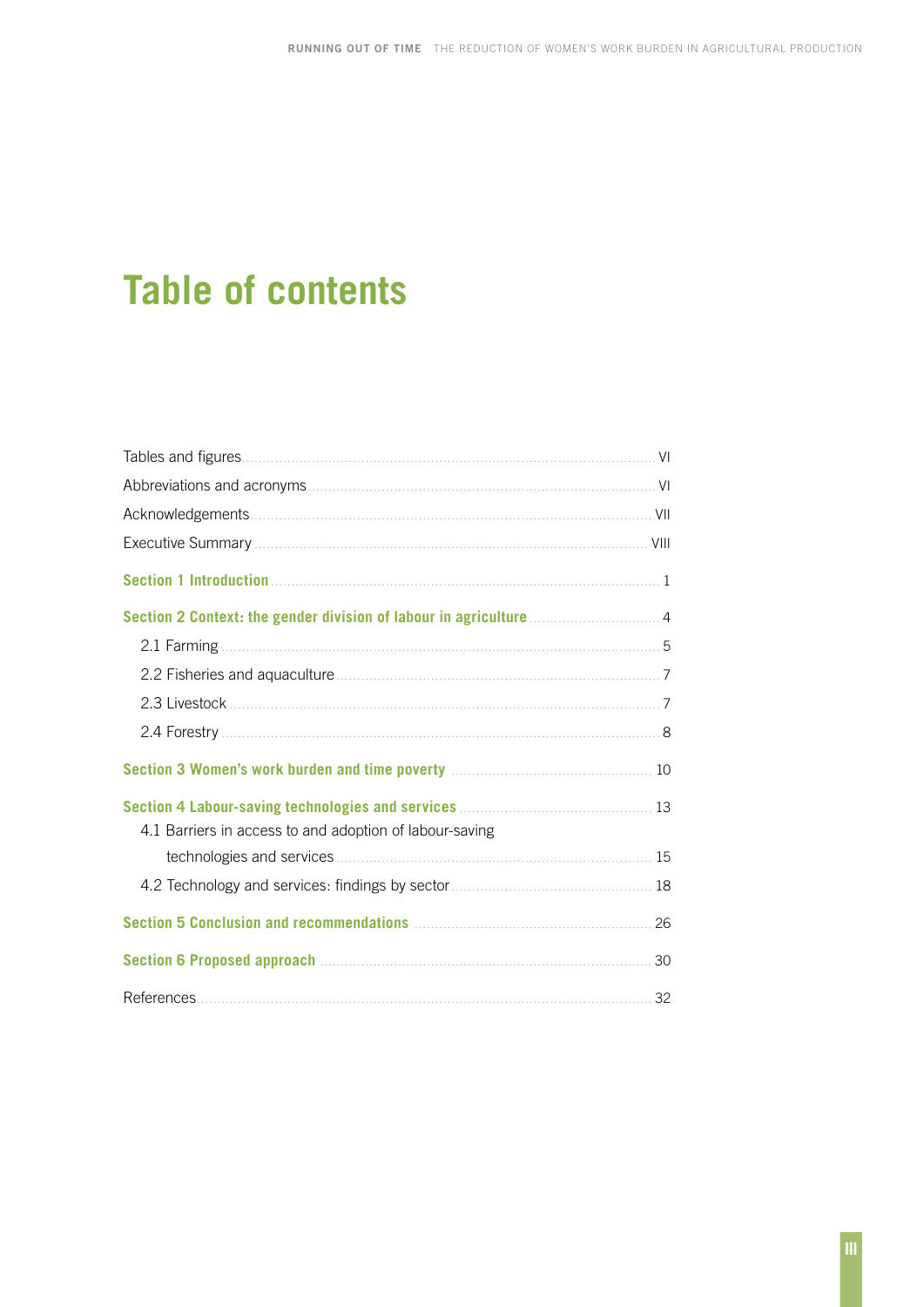# **Table of contents**

| 2.1 Farming                                                                                    |    |  |  |  |
|------------------------------------------------------------------------------------------------|----|--|--|--|
|                                                                                                |    |  |  |  |
| 2.3 Livestock 2.3 Livestock 2.3 Livestock                                                      |    |  |  |  |
| 2.4 Forestry 2.4 Forestry 2.4 Forestry 2.4 Forestry 2.4 Forestry 2.4 Forestry 2.4 Forestry 2.8 |    |  |  |  |
| Section 3 Women's work burden and time poverty <b>manufacturers</b> 10                         |    |  |  |  |
| Section 4 Labour-saving technologies and services <b>Manufation</b> 23                         |    |  |  |  |
| 4.1 Barriers in access to and adoption of labour-saving                                        |    |  |  |  |
|                                                                                                |    |  |  |  |
|                                                                                                |    |  |  |  |
|                                                                                                |    |  |  |  |
| Section 6 Proposed approach <b>Manual According to Proposed approach</b>                       | 30 |  |  |  |
| References                                                                                     | 32 |  |  |  |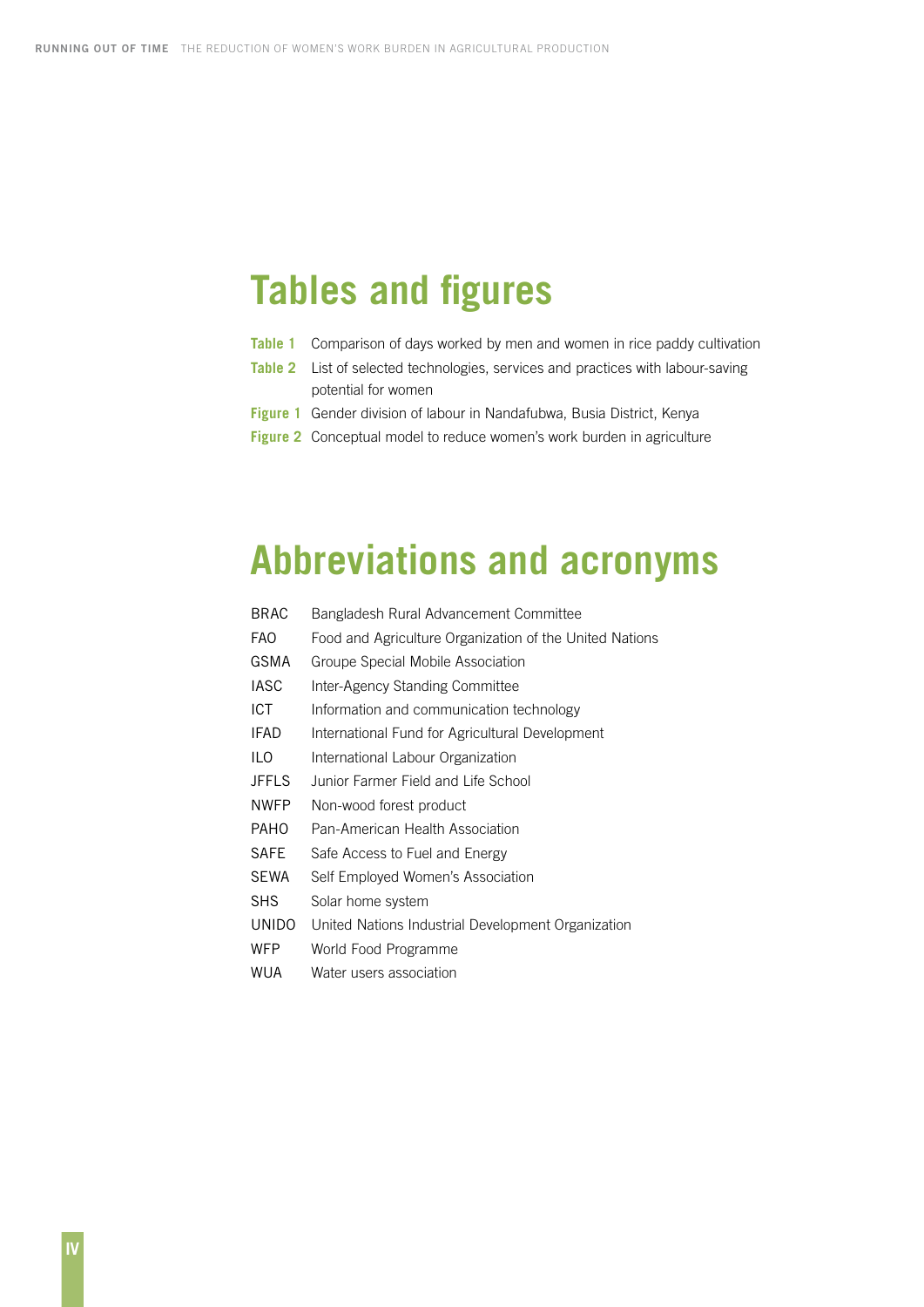# <span id="page-5-0"></span>**Tables and figures**

- **Table 1** Comparison of days worked by men and women in rice paddy cultivation
- **Table 2** List of selected technologies, services and practices with labour-saving potential for women
- **Figure 1** Gender division of labour in Nandafubwa, Busia District, Kenya
- **Figure 2** Conceptual model to reduce women's work burden in agriculture

# **Abbreviations and acronyms**

| <b>BRAC</b>  | Bangladesh Rural Advancement Committee                  |
|--------------|---------------------------------------------------------|
| FAO          | Food and Agriculture Organization of the United Nations |
| GSMA         | Groupe Special Mobile Association                       |
| <b>IASC</b>  | Inter-Agency Standing Committee                         |
| <b>ICT</b>   | Information and communication technology                |
| IFAD         | International Fund for Agricultural Development         |
| ILO          | International Labour Organization                       |
| JFFLS        | Junior Farmer Field and Life School                     |
| <b>NWFP</b>  | Non-wood forest product                                 |
| PAHO         | Pan-American Health Association                         |
| SAFE         | Safe Access to Fuel and Energy                          |
| SEWA         | Self Employed Women's Association                       |
| SHS          | Solar home system                                       |
| <b>UNIDO</b> | United Nations Industrial Development Organization      |
| WFP          | World Food Programme                                    |
|              |                                                         |

WUA Water users association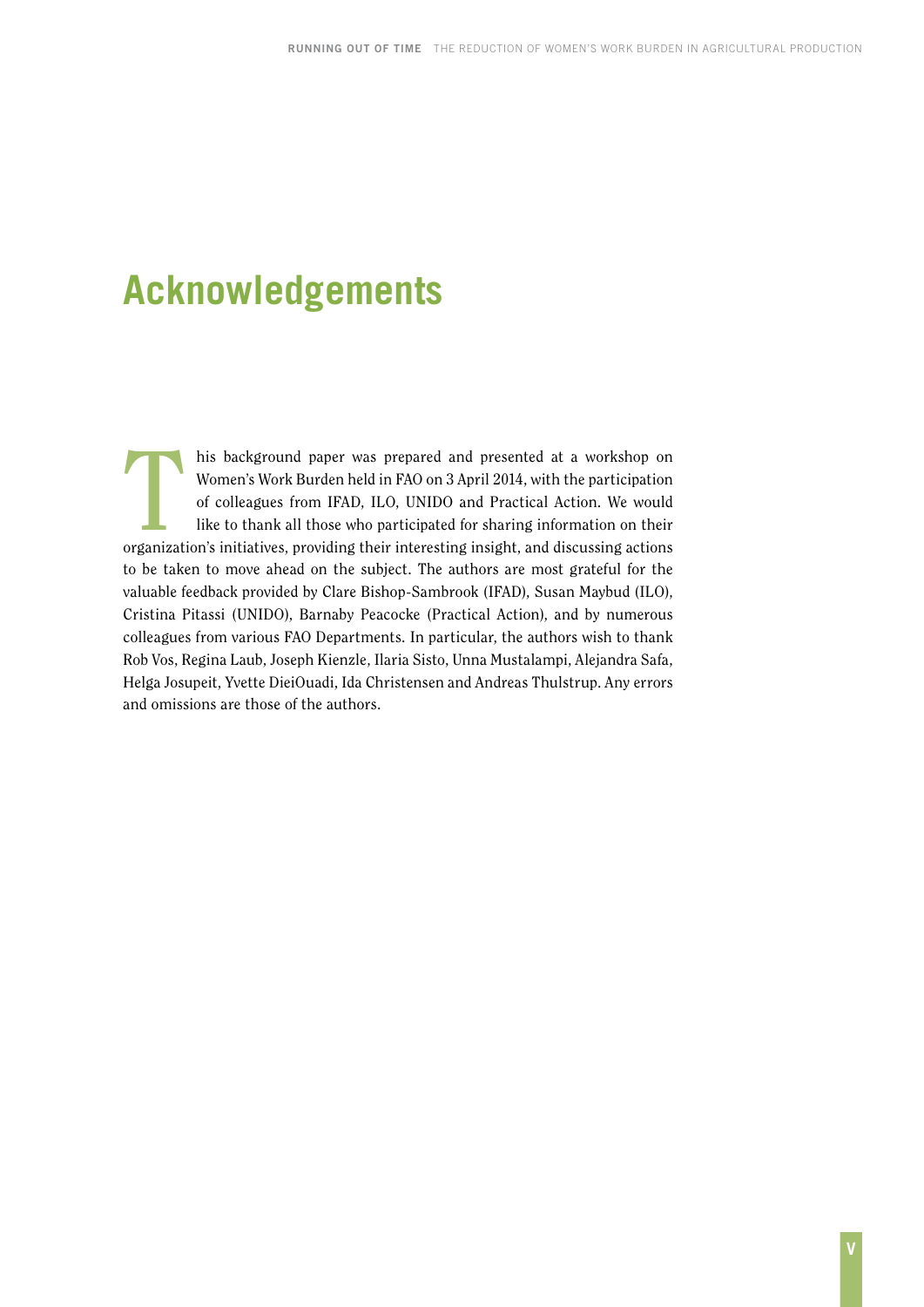# <span id="page-6-0"></span>**Acknowledgements**

his background paper was prepared and presented at a workshop on<br>Women's Work Burden held in FAO on 3 April 2014, with the participation<br>of colleagues from IFAD, ILO, UNIDO and Practical Action. We would<br>like to thank all Women's Work Burden held in FAO on 3 April 2014, with the participation of colleagues from IFAD, ILO, UNIDO and Practical Action. We would like to thank all those who participated for sharing information on their organization's initiatives, providing their interesting insight, and discussing actions to be taken to move ahead on the subject. The authors are most grateful for the valuable feedback provided by Clare Bishop-Sambrook (IFAD), Susan Maybud (ILO), Cristina Pitassi (UNIDO), Barnaby Peacocke (Practical Action), and by numerous colleagues from various FAO Departments. In particular, the authors wish to thank Rob Vos, Regina Laub, Joseph Kienzle, Ilaria Sisto, Unna Mustalampi, Alejandra Safa, Helga Josupeit, Yvette DieiOuadi, Ida Christensen and Andreas Thulstrup. Any errors and omissions are those of the authors.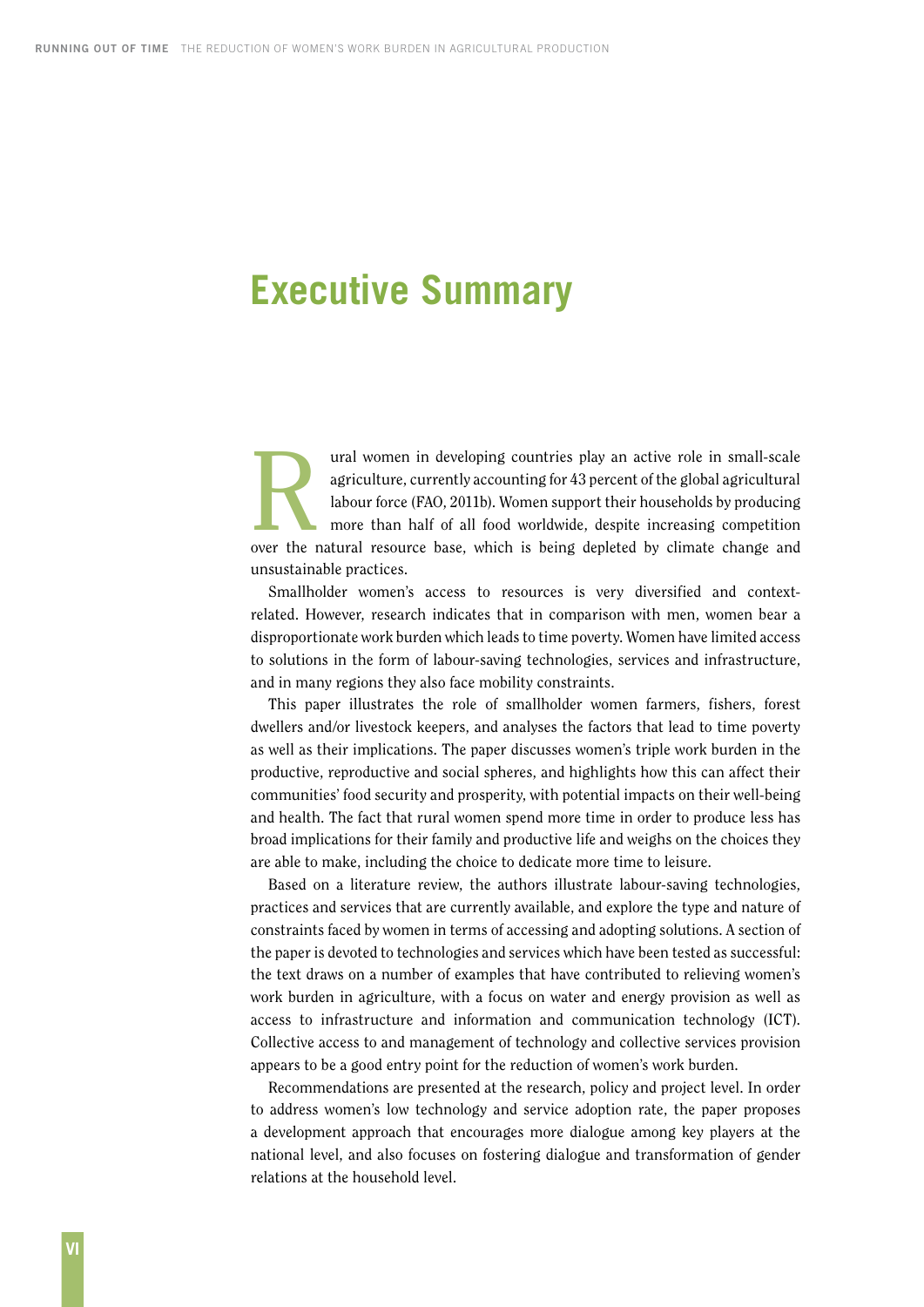### <span id="page-7-0"></span>**Executive Summary**

agriculture, currently accountries play an active role in small-scale<br>agriculture, currently accounting for 43 percent of the global agricultural<br>labour force (FAO, 2011b). Women support their households by producing<br>more agriculture, currently accounting for 43 percent of the global agricultural labour force (FAO, 2011b). Women support their households by producing more than half of all food worldwide, despite increasing competition over the natural resource base, which is being depleted by climate change and unsustainable practices.

Smallholder women's access to resources is very diversified and contextrelated. However, research indicates that in comparison with men, women bear a disproportionate work burden which leads to time poverty. Women have limited access to solutions in the form of labour-saving technologies, services and infrastructure, and in many regions they also face mobility constraints.

This paper illustrates the role of smallholder women farmers, fishers, forest dwellers and/or livestock keepers, and analyses the factors that lead to time poverty as well as their implications. The paper discusses women's triple work burden in the productive, reproductive and social spheres, and highlights how this can affect their communities' food security and prosperity, with potential impacts on their well-being and health. The fact that rural women spend more time in order to produce less has broad implications for their family and productive life and weighs on the choices they are able to make, including the choice to dedicate more time to leisure.

Based on a literature review, the authors illustrate labour-saving technologies, practices and services that are currently available, and explore the type and nature of constraints faced by women in terms of accessing and adopting solutions. A section of the paper is devoted to technologies and services which have been tested as successful: the text draws on a number of examples that have contributed to relieving women's work burden in agriculture, with a focus on water and energy provision as well as access to infrastructure and information and communication technology (ICT). Collective access to and management of technology and collective services provision appears to be a good entry point for the reduction of women's work burden.

Recommendations are presented at the research, policy and project level. In order to address women's low technology and service adoption rate, the paper proposes a development approach that encourages more dialogue among key players at the national level, and also focuses on fostering dialogue and transformation of gender relations at the household level.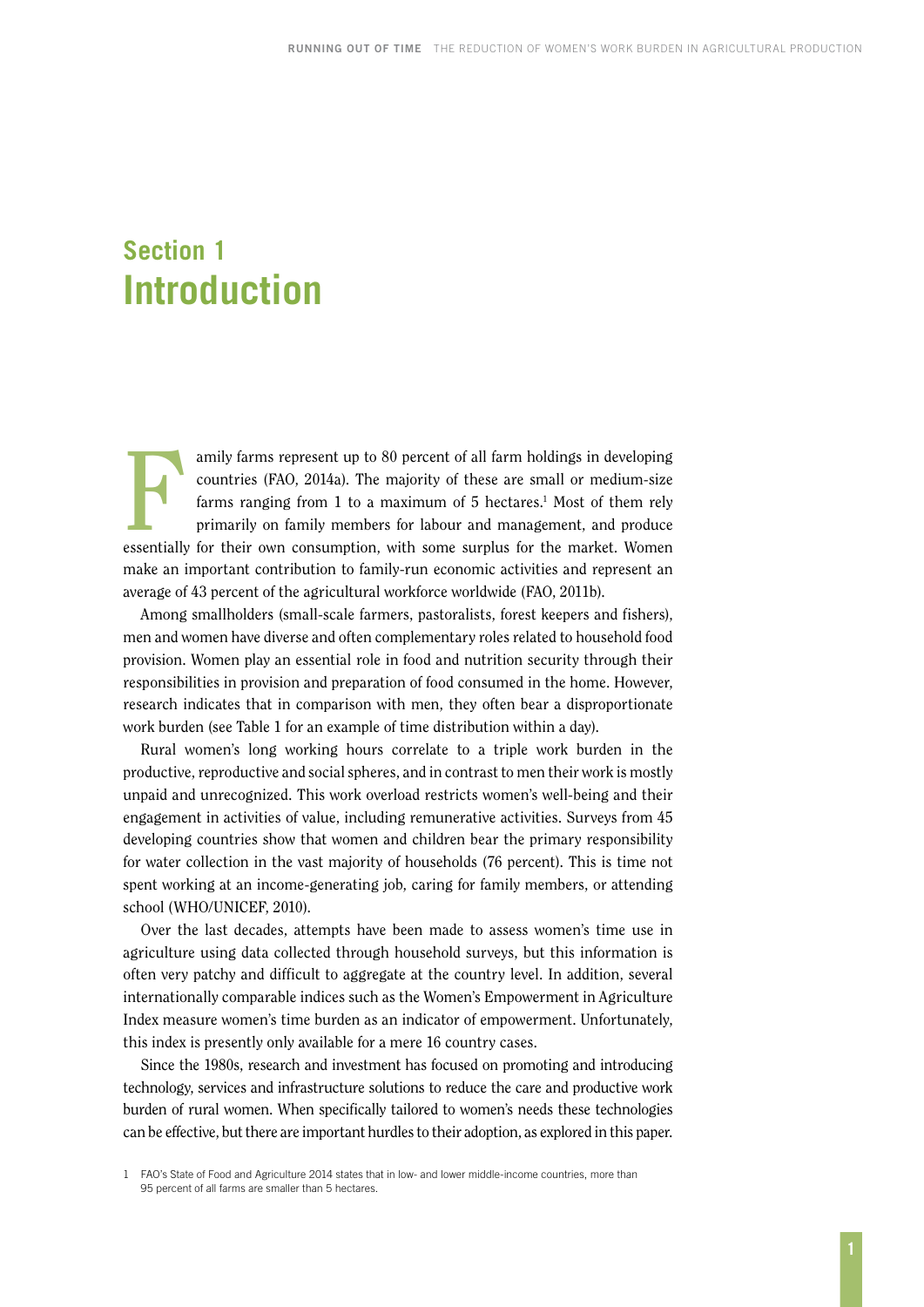### <span id="page-8-0"></span>**Section 1 Introduction**

amily farms represent up to 80 percent of all farm holdings in developing<br>countries (FAO, 2014a). The majority of these are small or medium-size<br>farms ranging from 1 to a maximum of 5 hectares.<sup>1</sup> Most of them rely<br>primari countries (FAO, 2014a). The majority of these are small or medium-size farms ranging from 1 to a maximum of 5 hectares.<sup>1</sup> Most of them rely primarily on family members for labour and management, and produce essentially for their own consumption, with some surplus for the market. Women make an important contribution to family-run economic activities and represent an average of 43 percent of the agricultural workforce worldwide (FAO, 2011b).

Among smallholders (small-scale farmers, pastoralists, forest keepers and fishers), men and women have diverse and often complementary roles related to household food provision. Women play an essential role in food and nutrition security through their responsibilities in provision and preparation of food consumed in the home. However, research indicates that in comparison with men, they often bear a disproportionate work burden (see Table 1 for an example of time distribution within a day).

Rural women's long working hours correlate to a triple work burden in the productive, reproductive and social spheres, and in contrast to men their work is mostly unpaid and unrecognized. This work overload restricts women's well-being and their engagement in activities of value, including remunerative activities. Surveys from 45 developing countries show that women and children bear the primary responsibility for water collection in the vast majority of households (76 percent). This is time not spent working at an income-generating job, caring for family members, or attending school (WHO/UNICEF, 2010).

Over the last decades, attempts have been made to assess women's time use in agriculture using data collected through household surveys, but this information is often very patchy and difficult to aggregate at the country level. In addition, several internationally comparable indices such as the Women's Empowerment in Agriculture Index measure women's time burden as an indicator of empowerment. Unfortunately, this index is presently only available for a mere 16 country cases.

Since the 1980s, research and investment has focused on promoting and introducing technology, services and infrastructure solutions to reduce the care and productive work burden of rural women. When specifically tailored to women's needs these technologies can be effective, but there are important hurdles to their adoption, as explored in this paper.

<sup>1</sup> FAO's State of Food and Agriculture 2014 states that in low- and lower middle-income countries, more than 95 percent of all farms are smaller than 5 hectares.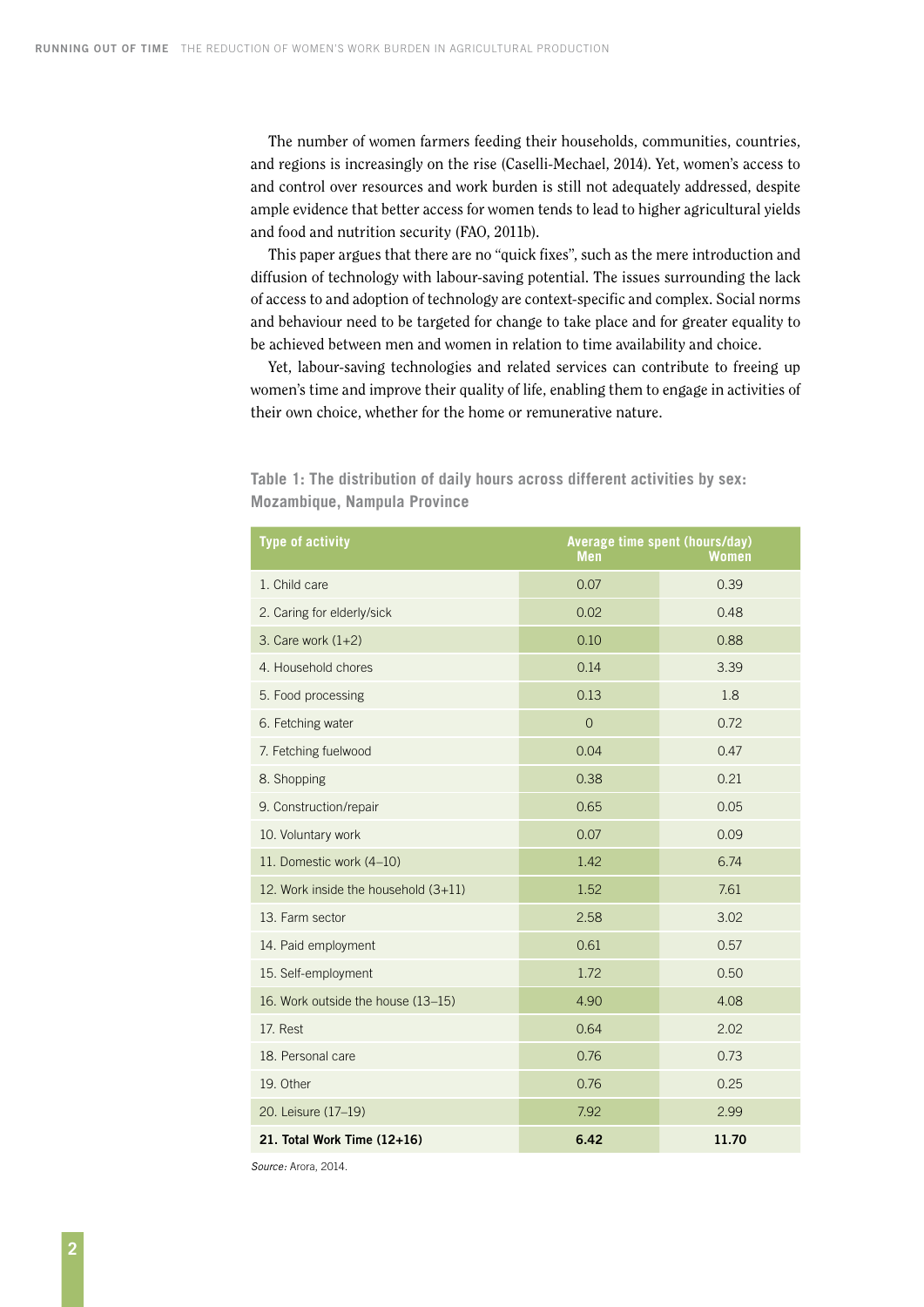The number of women farmers feeding their households, communities, countries, and regions is increasingly on the rise (Caselli-Mechael, 2014). Yet, women's access to and control over resources and work burden is still not adequately addressed, despite ample evidence that better access for women tends to lead to higher agricultural yields and food and nutrition security (FAO, 2011b).

This paper argues that there are no "quick fixes", such as the mere introduction and diffusion of technology with labour-saving potential. The issues surrounding the lack of access to and adoption of technology are context-specific and complex. Social norms and behaviour need to be targeted for change to take place and for greater equality to be achieved between men and women in relation to time availability and choice.

Yet, labour-saving technologies and related services can contribute to freeing up women's time and improve their quality of life, enabling them to engage in activities of their own choice, whether for the home or remunerative nature.

| <b>Type of activity</b>                | Average time spent (hours/day)<br><b>Men</b> | <b>Women</b> |
|----------------------------------------|----------------------------------------------|--------------|
| 1. Child care                          | 0.07                                         | 0.39         |
| 2. Caring for elderly/sick             | 0.02                                         | 0.48         |
| 3. Care work $(1+2)$                   | 0.10                                         | 0.88         |
| 4. Household chores                    | 0.14                                         | 3.39         |
| 5. Food processing                     | 0.13                                         | 1.8          |
| 6. Fetching water                      | $\overline{0}$                               | 0.72         |
| 7. Fetching fuelwood                   | 0.04                                         | 0.47         |
| 8. Shopping                            | 0.38                                         | 0.21         |
| 9. Construction/repair                 | 0.65                                         | 0.05         |
| 10. Voluntary work                     | 0.07                                         | 0.09         |
| 11. Domestic work (4-10)               | 1.42                                         | 6.74         |
| 12. Work inside the household $(3+11)$ | 1.52                                         | 7.61         |
| 13. Farm sector                        | 2.58                                         | 3.02         |
| 14. Paid employment                    | 0.61                                         | 0.57         |
| 15. Self-employment                    | 1.72                                         | 0.50         |
| 16. Work outside the house (13-15)     | 4.90                                         | 4.08         |
| 17. Rest                               | 0.64                                         | 2.02         |
| 18. Personal care                      | 0.76                                         | 0.73         |
| 19. Other                              | 0.76                                         | 0.25         |
| 20. Leisure (17-19)                    | 7.92                                         | 2.99         |
| 21. Total Work Time $(12+16)$          | 6.42                                         | 11.70        |

**Table 1: The distribution of daily hours across different activities by sex: Mozambique, Nampula Province** 

*Source:* Arora, 2014.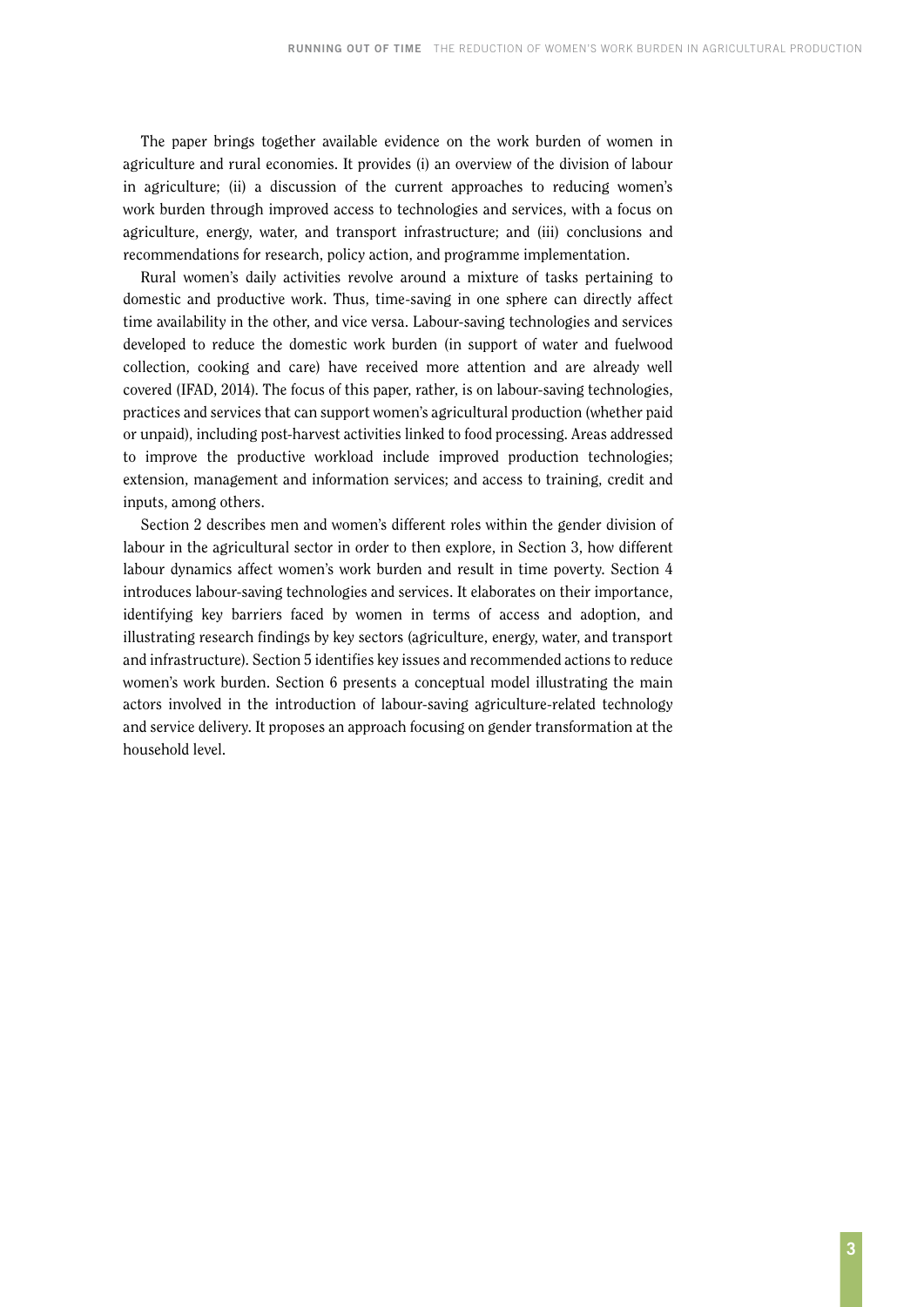The paper brings together available evidence on the work burden of women in agriculture and rural economies. It provides (i) an overview of the division of labour in agriculture; (ii) a discussion of the current approaches to reducing women's work burden through improved access to technologies and services, with a focus on agriculture, energy, water, and transport infrastructure; and (iii) conclusions and recommendations for research, policy action, and programme implementation.

Rural women's daily activities revolve around a mixture of tasks pertaining to domestic and productive work. Thus, time-saving in one sphere can directly affect time availability in the other, and vice versa. Labour-saving technologies and services developed to reduce the domestic work burden (in support of water and fuelwood collection, cooking and care) have received more attention and are already well covered (IFAD, 2014). The focus of this paper, rather, is on labour-saving technologies, practices and services that can support women's agricultural production (whether paid or unpaid), including post-harvest activities linked to food processing. Areas addressed to improve the productive workload include improved production technologies; extension, management and information services; and access to training, credit and inputs, among others.

Section 2 describes men and women's different roles within the gender division of labour in the agricultural sector in order to then explore, in Section 3, how different labour dynamics affect women's work burden and result in time poverty. Section 4 introduces labour-saving technologies and services. It elaborates on their importance, identifying key barriers faced by women in terms of access and adoption, and illustrating research findings by key sectors (agriculture, energy, water, and transport and infrastructure). Section 5 identifies key issues and recommended actions to reduce women's work burden. Section 6 presents a conceptual model illustrating the main actors involved in the introduction of labour-saving agriculture-related technology and service delivery. It proposes an approach focusing on gender transformation at the household level.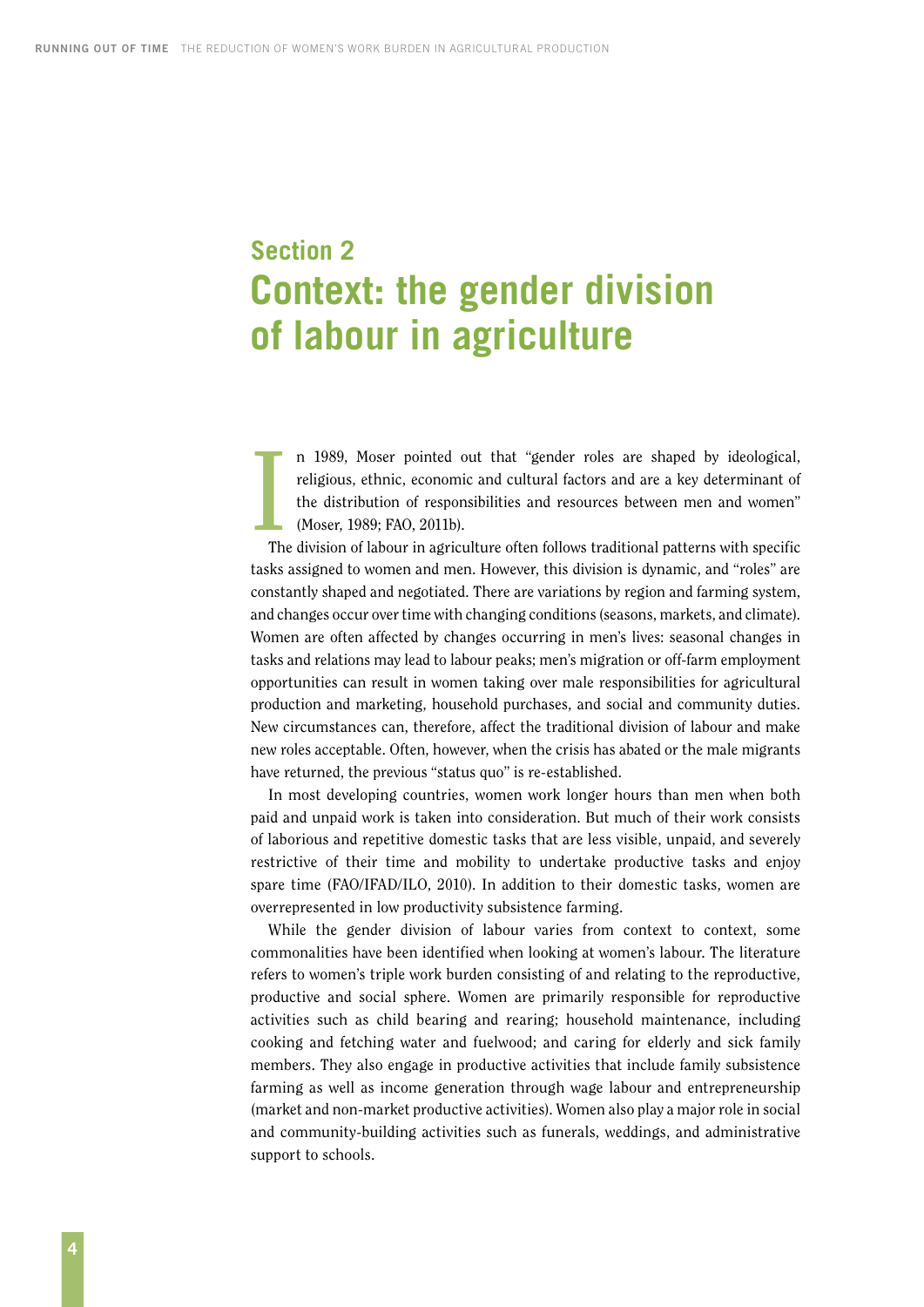## <span id="page-11-0"></span>**Section 2 Context: the gender division of labour in agriculture**

 $\frac{1}{\sqrt{10}}$ n 1989, Moser pointed out that "gender roles are shaped by ideological, religious, ethnic, economic and cultural factors and are a key determinant of the distribution of responsibilities and resources between men and women" (Moser, 1989; FAO, 2011b).

The division of labour in agriculture often follows traditional patterns with specific tasks assigned to women and men. However, this division is dynamic, and "roles" are constantly shaped and negotiated. There are variations by region and farming system, and changes occur over time with changing conditions (seasons, markets, and climate). Women are often affected by changes occurring in men's lives: seasonal changes in tasks and relations may lead to labour peaks; men's migration or off-farm employment opportunities can result in women taking over male responsibilities for agricultural production and marketing, household purchases, and social and community duties. New circumstances can, therefore, affect the traditional division of labour and make new roles acceptable. Often, however, when the crisis has abated or the male migrants have returned, the previous "status quo" is re-established.

In most developing countries, women work longer hours than men when both paid and unpaid work is taken into consideration. But much of their work consists of laborious and repetitive domestic tasks that are less visible, unpaid, and severely restrictive of their time and mobility to undertake productive tasks and enjoy spare time (FAO/IFAD/ILO, 2010). In addition to their domestic tasks, women are overrepresented in low productivity subsistence farming.

While the gender division of labour varies from context to context, some commonalities have been identified when looking at women's labour. The literature refers to women's triple work burden consisting of and relating to the reproductive, productive and social sphere. Women are primarily responsible for reproductive activities such as child bearing and rearing; household maintenance, including cooking and fetching water and fuelwood; and caring for elderly and sick family members. They also engage in productive activities that include family subsistence farming as well as income generation through wage labour and entrepreneurship (market and non-market productive activities). Women also play a major role in social and community-building activities such as funerals, weddings, and administrative support to schools.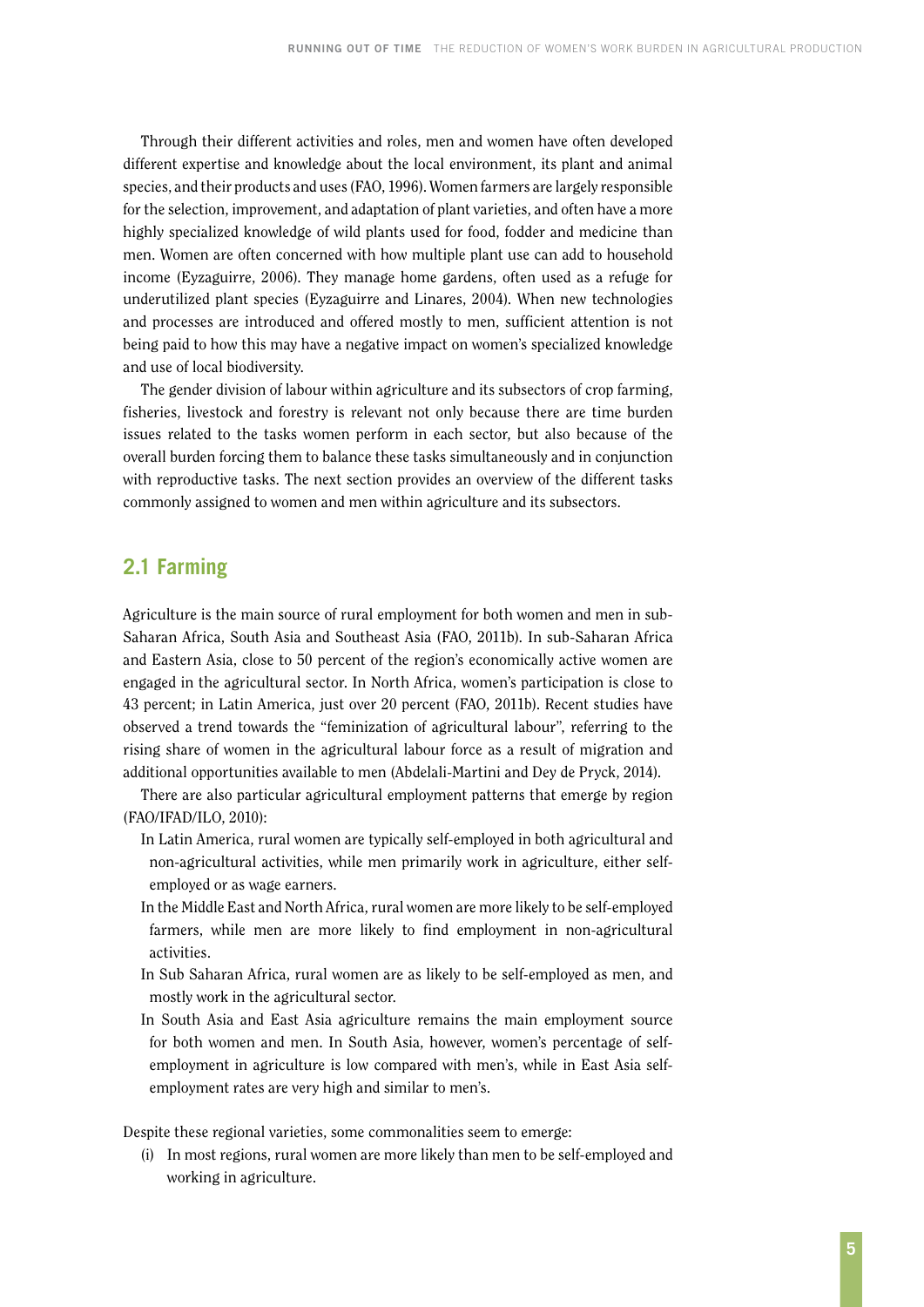<span id="page-12-0"></span>Through their different activities and roles, men and women have often developed different expertise and knowledge about the local environment, its plant and animal species, and their products and uses (FAO, 1996). Women farmers are largely responsible for the selection, improvement, and adaptation of plant varieties, and often have a more highly specialized knowledge of wild plants used for food, fodder and medicine than men. Women are often concerned with how multiple plant use can add to household income (Eyzaguirre, 2006). They manage home gardens, often used as a refuge for underutilized plant species (Eyzaguirre and Linares, 2004). When new technologies and processes are introduced and offered mostly to men, sufficient attention is not being paid to how this may have a negative impact on women's specialized knowledge and use of local biodiversity.

The gender division of labour within agriculture and its subsectors of crop farming, fisheries, livestock and forestry is relevant not only because there are time burden issues related to the tasks women perform in each sector, but also because of the overall burden forcing them to balance these tasks simultaneously and in conjunction with reproductive tasks. The next section provides an overview of the different tasks commonly assigned to women and men within agriculture and its subsectors.

### **2.1 Farming**

Agriculture is the main source of rural employment for both women and men in sub-Saharan Africa, South Asia and Southeast Asia (FAO, 2011b). In sub-Saharan Africa and Eastern Asia, close to 50 percent of the region's economically active women are engaged in the agricultural sector. In North Africa, women's participation is close to 43 percent; in Latin America, just over 20 percent (FAO, 2011b). Recent studies have observed a trend towards the "feminization of agricultural labour", referring to the rising share of women in the agricultural labour force as a result of migration and additional opportunities available to men (Abdelali-Martini and Dey de Pryck, 2014).

There are also particular agricultural employment patterns that emerge by region (FAO/IFAD/ILO, 2010):

- In Latin America, rural women are typically self-employed in both agricultural and non-agricultural activities, while men primarily work in agriculture, either selfemployed or as wage earners.
- In the Middle East and North Africa, rural women are more likely to be self-employed farmers, while men are more likely to find employment in non-agricultural activities.
- In Sub Saharan Africa, rural women are as likely to be self-employed as men, and mostly work in the agricultural sector.
- In South Asia and East Asia agriculture remains the main employment source for both women and men. In South Asia, however, women's percentage of selfemployment in agriculture is low compared with men's, while in East Asia selfemployment rates are very high and similar to men's.

Despite these regional varieties, some commonalities seem to emerge:

(i) In most regions, rural women are more likely than men to be self-employed and working in agriculture.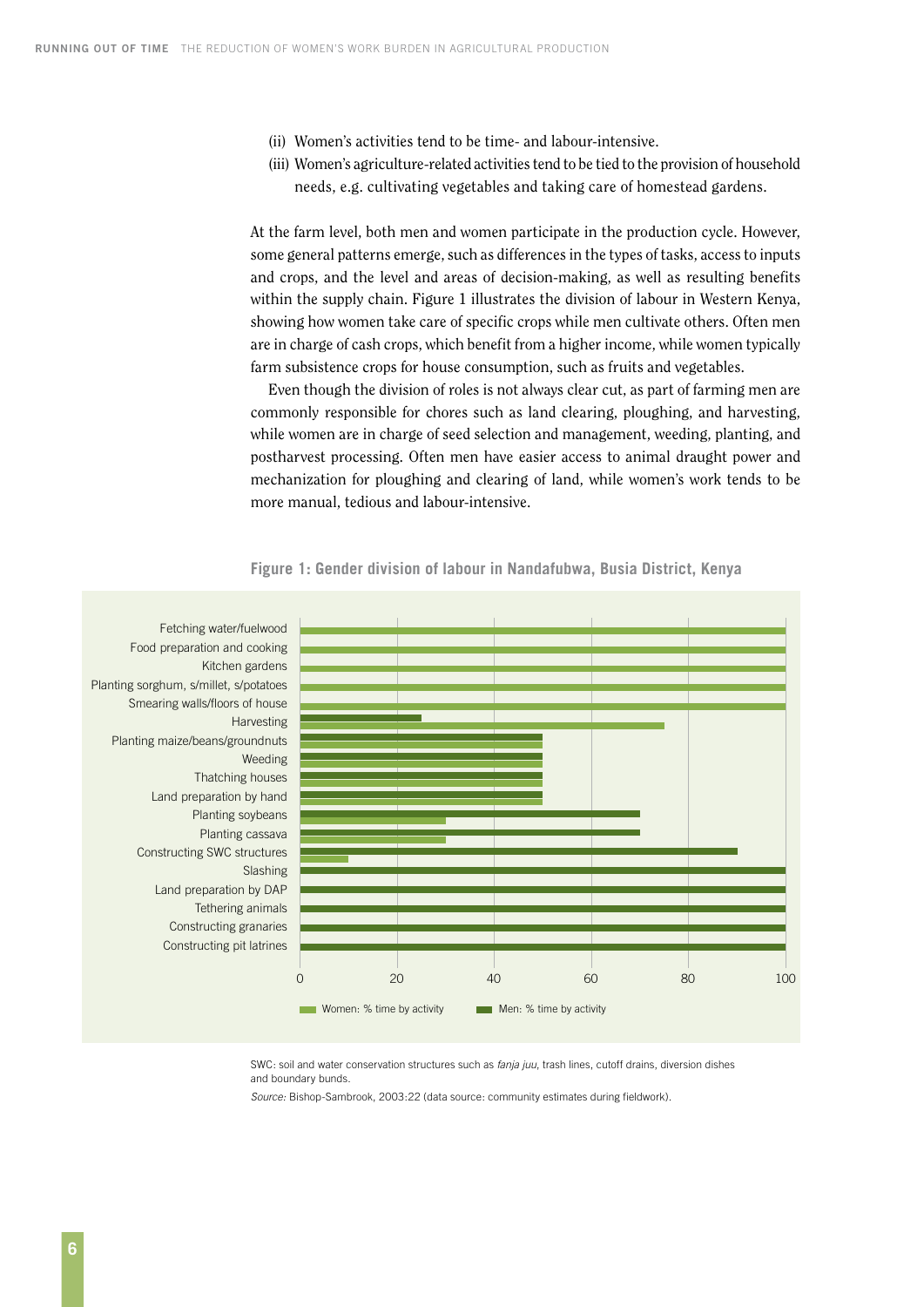- (ii) Women's activities tend to be time- and labour-intensive.
- (iii) Women's agriculture-related activities tend to be tied to the provision of household needs, e.g. cultivating vegetables and taking care of homestead gardens.

At the farm level, both men and women participate in the production cycle. However, some general patterns emerge, such as differences in the types of tasks, access to inputs and crops, and the level and areas of decision-making, as well as resulting benefits within the supply chain. Figure 1 illustrates the division of labour in Western Kenya, showing how women take care of specific crops while men cultivate others. Often men are in charge of cash crops, which benefit from a higher income, while women typically farm subsistence crops for house consumption, such as fruits and vegetables.

Even though the division of roles is not always clear cut, as part of farming men are commonly responsible for chores such as land clearing, ploughing, and harvesting, while women are in charge of seed selection and management, weeding, planting, and postharvest processing. Often men have easier access to animal draught power and mechanization for ploughing and clearing of land, while women's work tends to be more manual, tedious and labour-intensive.



**Figure 1: Gender division of labour in Nandafubwa, Busia District, Kenya**

SWC: soil and water conservation structures such as *fanja juu*, trash lines, cutoff drains, diversion dishes and boundary bunds.

*Source:* Bishop-Sambrook, 2003:22 (data source: community estimates during fieldwork).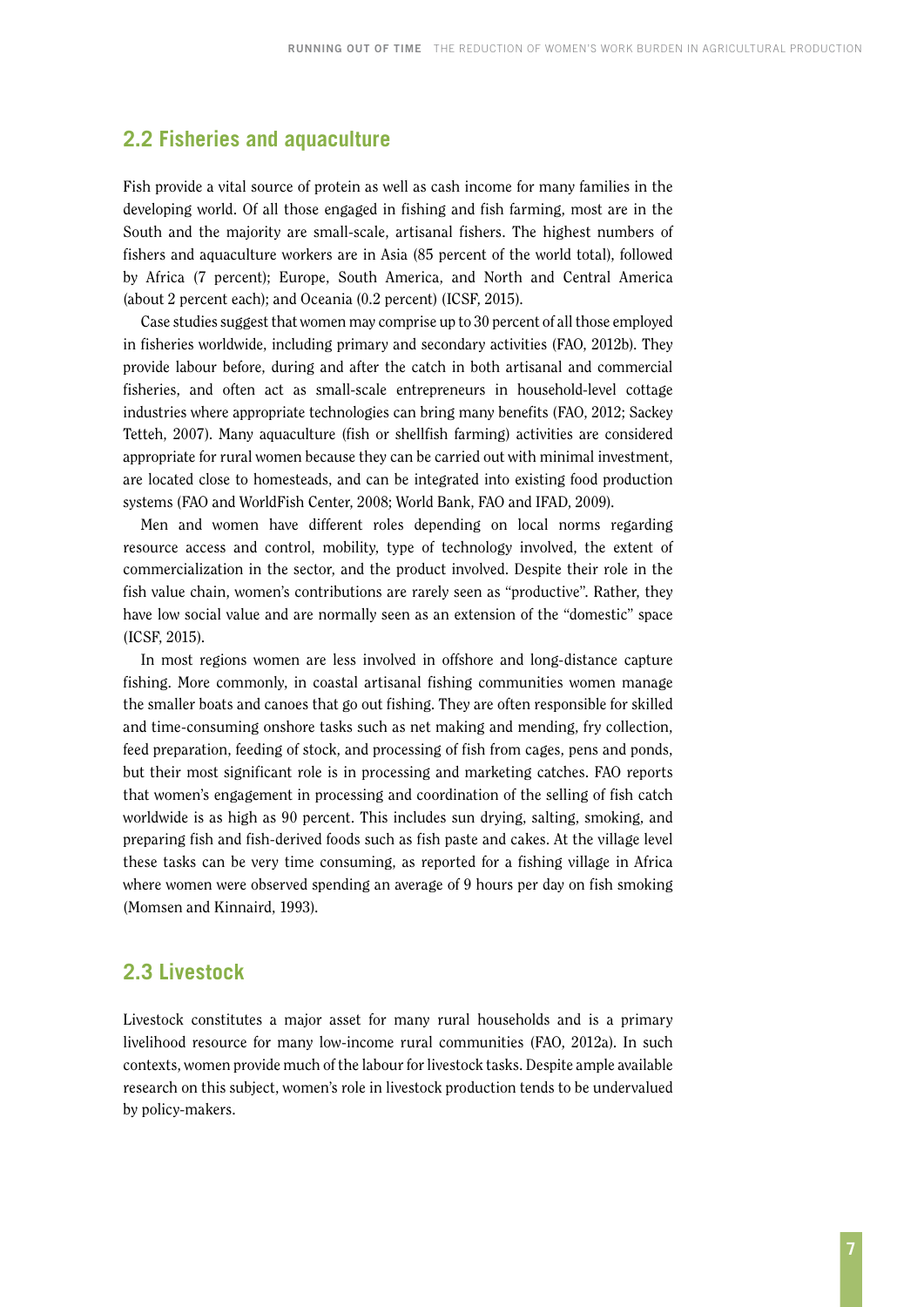### <span id="page-14-0"></span>**2.2 Fisheries and aquaculture**

Fish provide a vital source of protein as well as cash income for many families in the developing world. Of all those engaged in fishing and fish farming, most are in the South and the majority are small-scale, artisanal fishers. The highest numbers of fishers and aquaculture workers are in Asia (85 percent of the world total), followed by Africa (7 percent); Europe, South America, and North and Central America (about 2 percent each); and Oceania (0.2 percent) (ICSF, 2015).

Case studies suggest that women may comprise up to 30 percent of all those employed in fisheries worldwide, including primary and secondary activities (FAO, 2012b). They provide labour before, during and after the catch in both artisanal and commercial fisheries, and often act as small-scale entrepreneurs in household-level cottage industries where appropriate technologies can bring many benefits (FAO, 2012; Sackey Tetteh, 2007). Many aquaculture (fish or shellfish farming) activities are considered appropriate for rural women because they can be carried out with minimal investment, are located close to homesteads, and can be integrated into existing food production systems (FAO and WorldFish Center, 2008; World Bank, FAO and IFAD, 2009).

Men and women have different roles depending on local norms regarding resource access and control, mobility, type of technology involved, the extent of commercialization in the sector, and the product involved. Despite their role in the fish value chain, women's contributions are rarely seen as "productive". Rather, they have low social value and are normally seen as an extension of the "domestic" space (ICSF, 2015).

In most regions women are less involved in offshore and long-distance capture fishing. More commonly, in coastal artisanal fishing communities women manage the smaller boats and canoes that go out fishing. They are often responsible for skilled and time-consuming onshore tasks such as net making and mending, fry collection, feed preparation, feeding of stock, and processing of fish from cages, pens and ponds, but their most significant role is in processing and marketing catches. FAO reports that women's engagement in processing and coordination of the selling of fish catch worldwide is as high as 90 percent. This includes sun drying, salting, smoking, and preparing fish and fish-derived foods such as fish paste and cakes. At the village level these tasks can be very time consuming, as reported for a fishing village in Africa where women were observed spending an average of 9 hours per day on fish smoking (Momsen and Kinnaird, 1993).

### **2.3 Livestock**

Livestock constitutes a major asset for many rural households and is a primary livelihood resource for many low-income rural communities (FAO, 2012a). In such contexts, women provide much of the labour for livestock tasks. Despite ample available research on this subject, women's role in livestock production tends to be undervalued by policy-makers.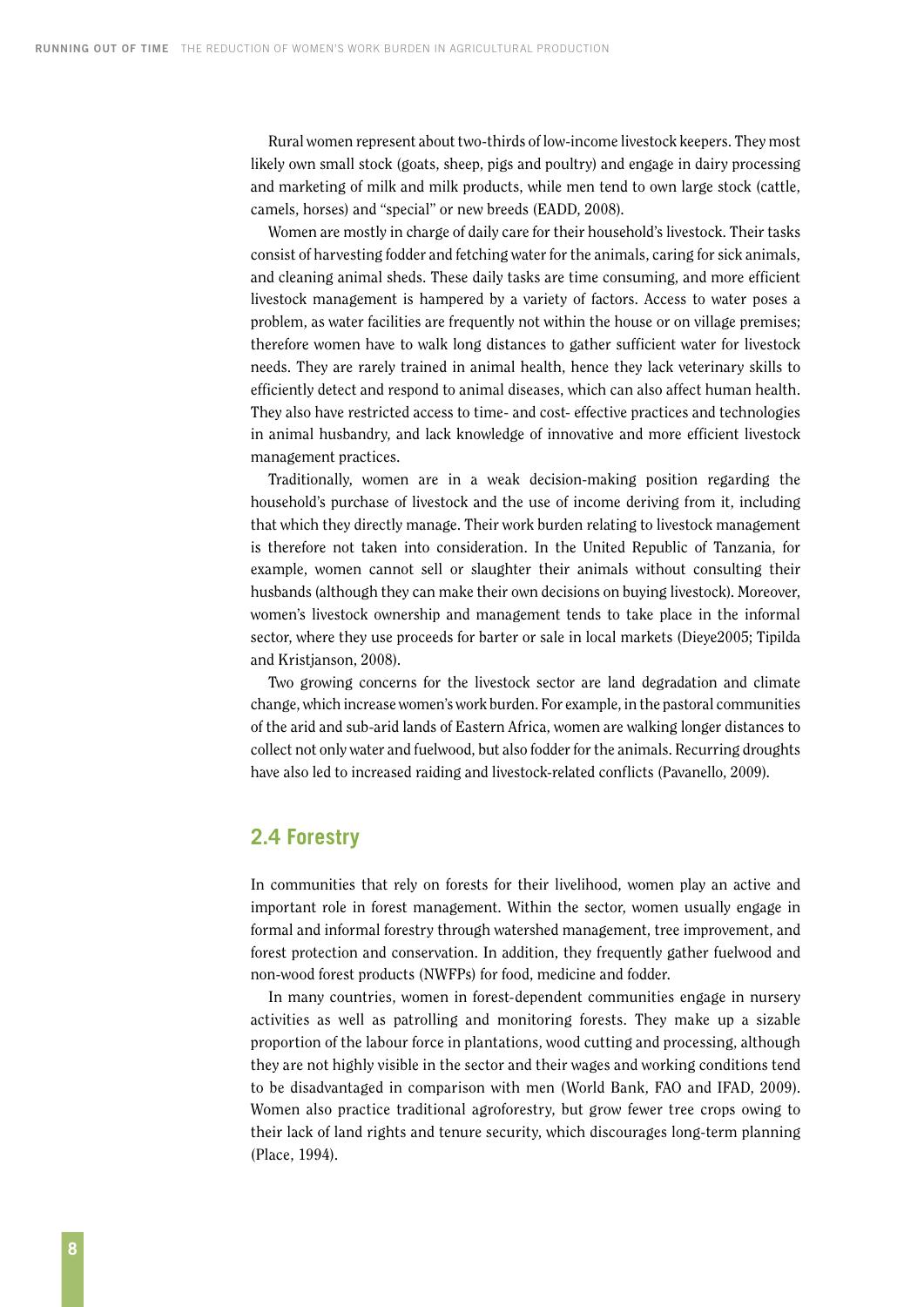<span id="page-15-0"></span>Rural women represent about two-thirds of low-income livestock keepers. They most likely own small stock (goats, sheep, pigs and poultry) and engage in dairy processing and marketing of milk and milk products, while men tend to own large stock (cattle, camels, horses) and "special" or new breeds (EADD, 2008).

Women are mostly in charge of daily care for their household's livestock. Their tasks consist of harvesting fodder and fetching water for the animals, caring for sick animals, and cleaning animal sheds. These daily tasks are time consuming, and more efficient livestock management is hampered by a variety of factors. Access to water poses a problem, as water facilities are frequently not within the house or on village premises; therefore women have to walk long distances to gather sufficient water for livestock needs. They are rarely trained in animal health, hence they lack veterinary skills to efficiently detect and respond to animal diseases, which can also affect human health. They also have restricted access to time- and cost- effective practices and technologies in animal husbandry, and lack knowledge of innovative and more efficient livestock management practices.

Traditionally, women are in a weak decision-making position regarding the household's purchase of livestock and the use of income deriving from it, including that which they directly manage. Their work burden relating to livestock management is therefore not taken into consideration. In the United Republic of Tanzania, for example, women cannot sell or slaughter their animals without consulting their husbands (although they can make their own decisions on buying livestock). Moreover, women's livestock ownership and management tends to take place in the informal sector, where they use proceeds for barter or sale in local markets (Dieye2005; Tipilda and Kristjanson, 2008).

Two growing concerns for the livestock sector are land degradation and climate change, which increase women's work burden. For example, in the pastoral communities of the arid and sub-arid lands of Eastern Africa, women are walking longer distances to collect not only water and fuelwood, but also fodder for the animals. Recurring droughts have also led to increased raiding and livestock-related conflicts (Pavanello, 2009).

### **2.4 Forestry**

In communities that rely on forests for their livelihood, women play an active and important role in forest management. Within the sector, women usually engage in formal and informal forestry through watershed management, tree improvement, and forest protection and conservation. In addition, they frequently gather fuelwood and non-wood forest products (NWFPs) for food, medicine and fodder.

In many countries, women in forest-dependent communities engage in nursery activities as well as patrolling and monitoring forests. They make up a sizable proportion of the labour force in plantations, wood cutting and processing, although they are not highly visible in the sector and their wages and working conditions tend to be disadvantaged in comparison with men (World Bank, FAO and IFAD, 2009). Women also practice traditional agroforestry, but grow fewer tree crops owing to their lack of land rights and tenure security, which discourages long-term planning (Place, 1994).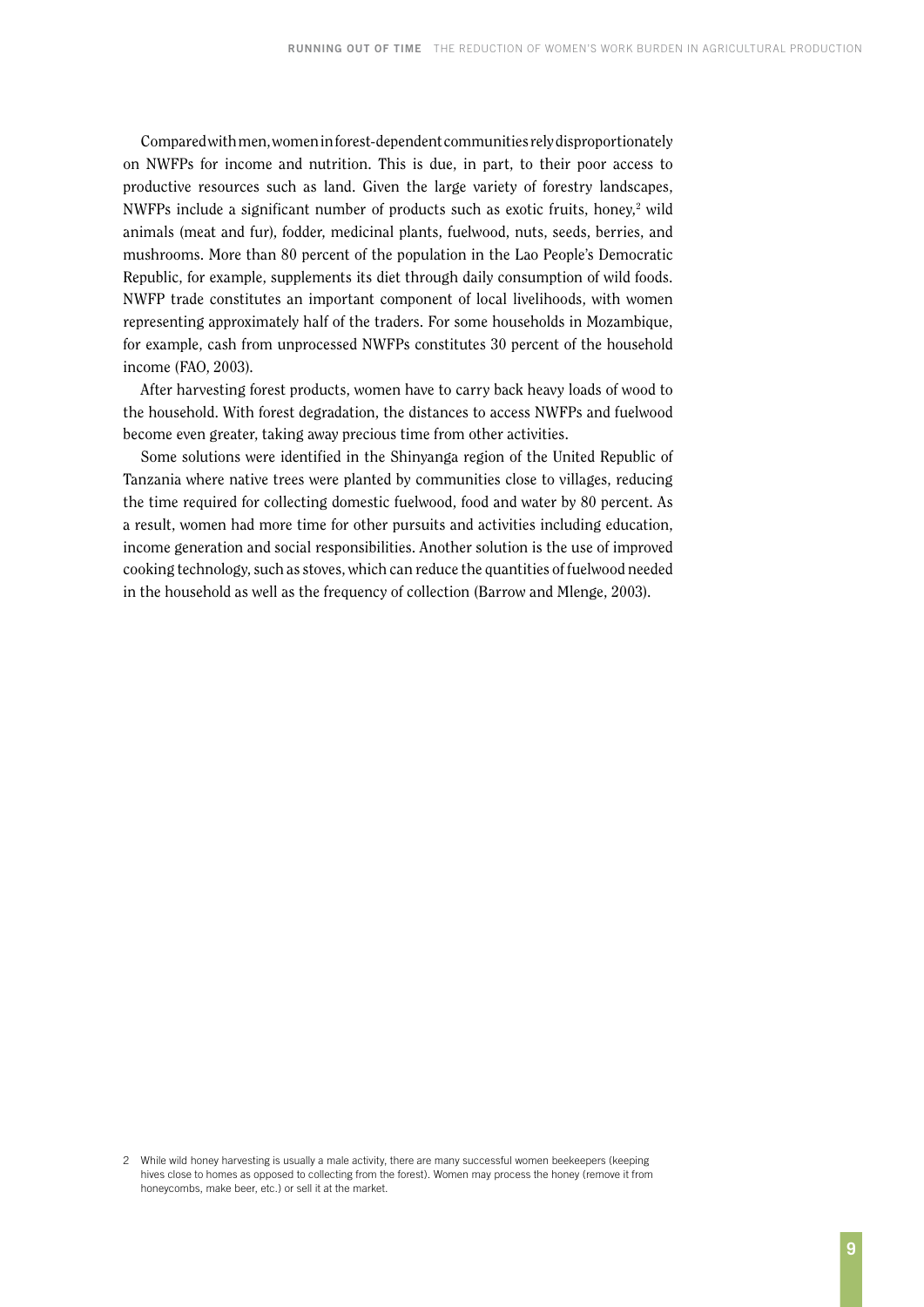Compared with men, women in forest-dependent communities rely disproportionately on NWFPs for income and nutrition. This is due, in part, to their poor access to productive resources such as land. Given the large variety of forestry landscapes, NWFPs include a significant number of products such as exotic fruits, honey,<sup>2</sup> wild animals (meat and fur), fodder, medicinal plants, fuelwood, nuts, seeds, berries, and mushrooms. More than 80 percent of the population in the Lao People's Democratic Republic, for example, supplements its diet through daily consumption of wild foods. NWFP trade constitutes an important component of local livelihoods, with women representing approximately half of the traders. For some households in Mozambique, for example, cash from unprocessed NWFPs constitutes 30 percent of the household income (FAO, 2003).

After harvesting forest products, women have to carry back heavy loads of wood to the household. With forest degradation, the distances to access NWFPs and fuelwood become even greater, taking away precious time from other activities.

Some solutions were identified in the Shinyanga region of the United Republic of Tanzania where native trees were planted by communities close to villages, reducing the time required for collecting domestic fuelwood, food and water by 80 percent. As a result, women had more time for other pursuits and activities including education, income generation and social responsibilities. Another solution is the use of improved cooking technology, such as stoves, which can reduce the quantities of fuelwood needed in the household as well as the frequency of collection (Barrow and Mlenge, 2003).

<sup>2</sup> While wild honey harvesting is usually a male activity, there are many successful women beekeepers (keeping hives close to homes as opposed to collecting from the forest). Women may process the honey (remove it from honeycombs, make beer, etc.) or sell it at the market.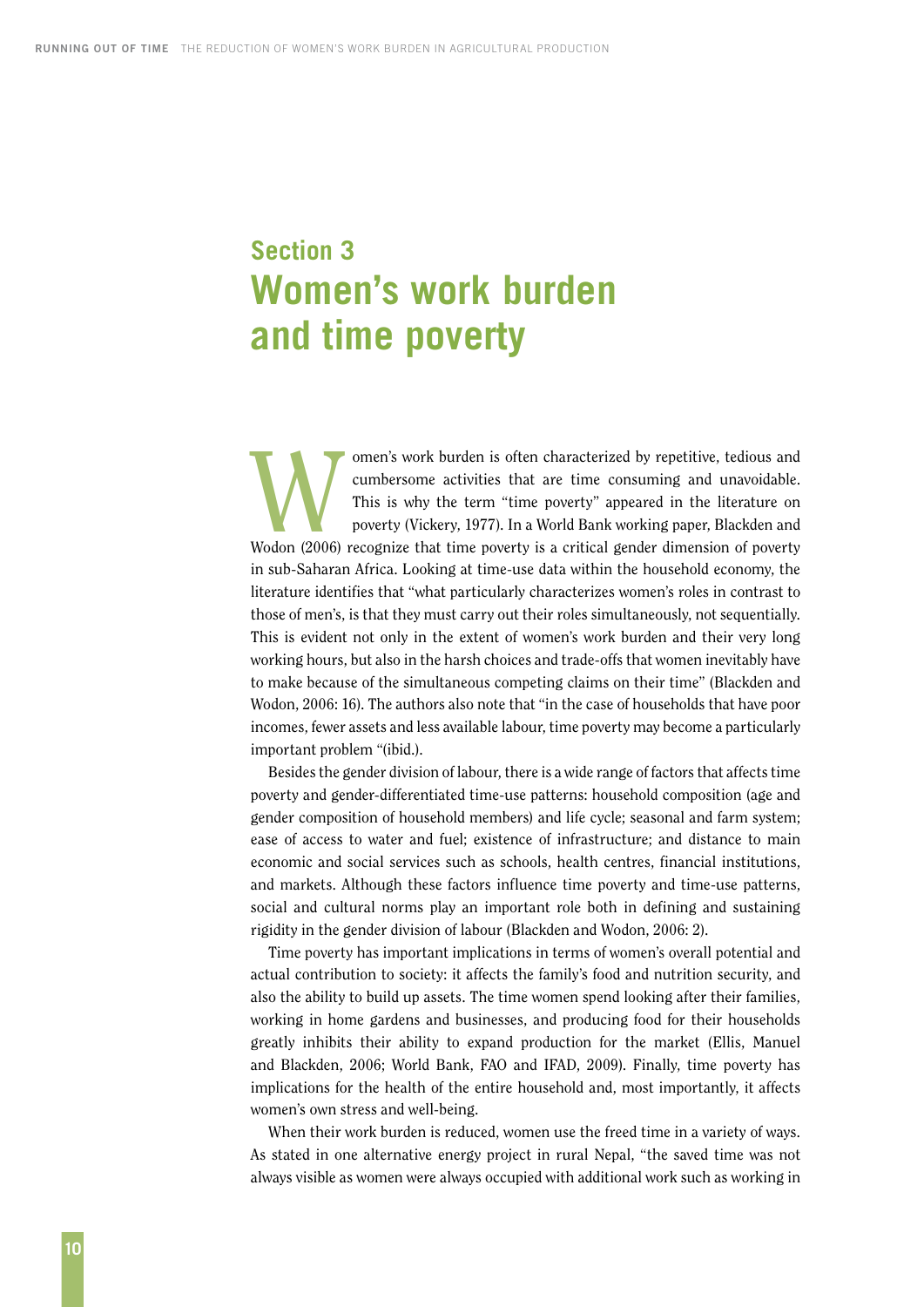# <span id="page-17-0"></span>**Section 3 Women's work burden and time poverty**

omen's work burden is often characterized by repetitive, tedious and<br>cumbersome activities that are time consuming and unavoidable.<br>This is why the term "time poverty" appeared in the literature on<br>poverty (Vickery, 1977). cumbersome activities that are time consuming and unavoidable. This is why the term "time poverty" appeared in the literature on poverty (Vickery, 1977). In a World Bank working paper, Blackden and Wodon (2006) recognize that time poverty is a critical gender dimension of poverty in sub-Saharan Africa. Looking at time-use data within the household economy, the literature identifies that "what particularly characterizes women's roles in contrast to those of men's, is that they must carry out their roles simultaneously, not sequentially. This is evident not only in the extent of women's work burden and their very long working hours, but also in the harsh choices and trade-offs that women inevitably have to make because of the simultaneous competing claims on their time" (Blackden and Wodon, 2006: 16). The authors also note that "in the case of households that have poor incomes, fewer assets and less available labour, time poverty may become a particularly important problem "(ibid.).

Besides the gender division of labour, there is a wide range of factors that affects time poverty and gender-differentiated time-use patterns: household composition (age and gender composition of household members) and life cycle; seasonal and farm system; ease of access to water and fuel; existence of infrastructure; and distance to main economic and social services such as schools, health centres, financial institutions, and markets. Although these factors influence time poverty and time-use patterns, social and cultural norms play an important role both in defining and sustaining rigidity in the gender division of labour (Blackden and Wodon, 2006: 2).

Time poverty has important implications in terms of women's overall potential and actual contribution to society: it affects the family's food and nutrition security, and also the ability to build up assets. The time women spend looking after their families, working in home gardens and businesses, and producing food for their households greatly inhibits their ability to expand production for the market (Ellis, Manuel and Blackden, 2006; World Bank, FAO and IFAD, 2009). Finally, time poverty has implications for the health of the entire household and, most importantly, it affects women's own stress and well-being.

When their work burden is reduced, women use the freed time in a variety of ways. As stated in one alternative energy project in rural Nepal, "the saved time was not always visible as women were always occupied with additional work such as working in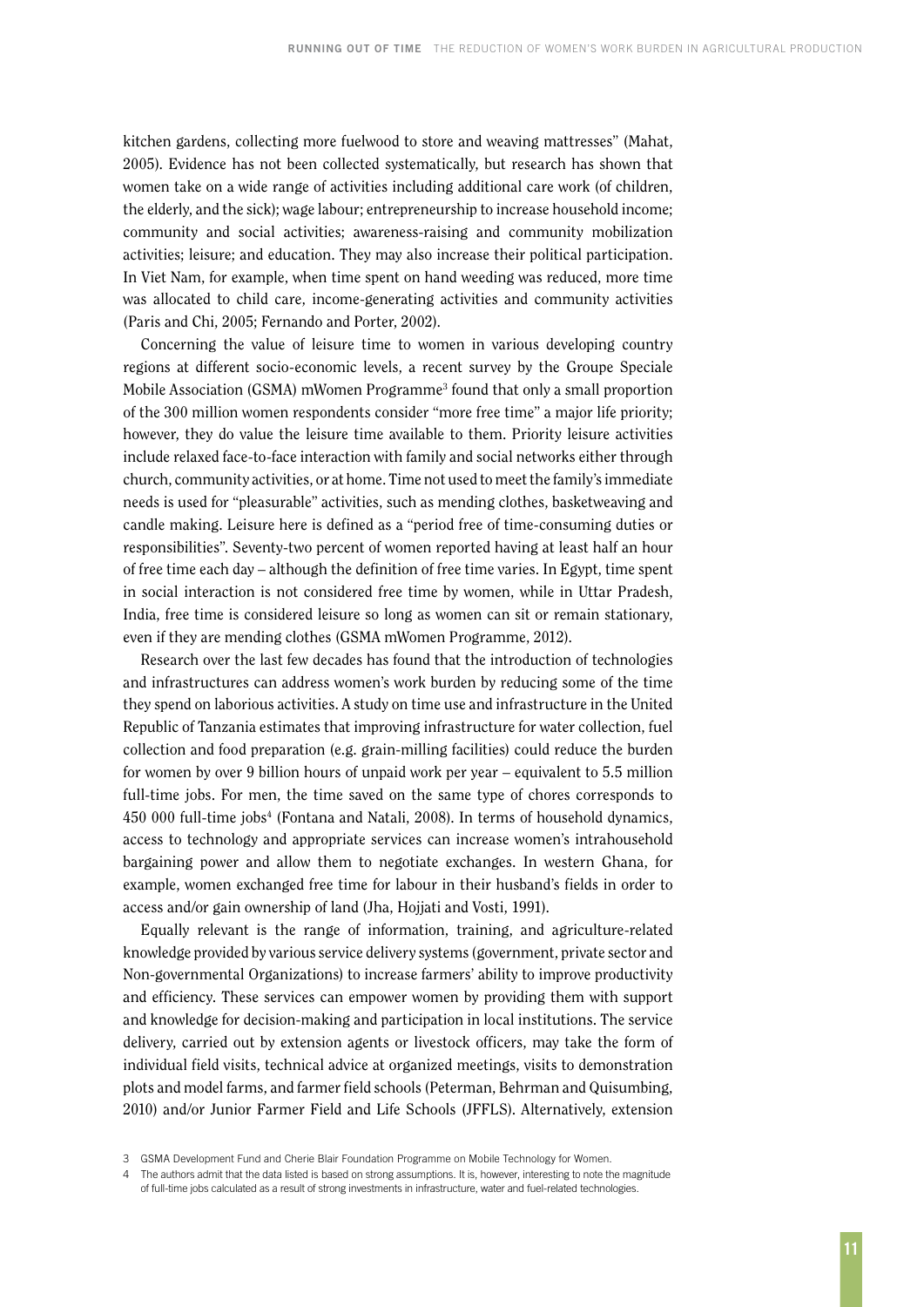kitchen gardens, collecting more fuelwood to store and weaving mattresses" (Mahat, 2005). Evidence has not been collected systematically, but research has shown that women take on a wide range of activities including additional care work (of children, the elderly, and the sick); wage labour; entrepreneurship to increase household income; community and social activities; awareness-raising and community mobilization activities; leisure; and education. They may also increase their political participation. In Viet Nam, for example, when time spent on hand weeding was reduced, more time was allocated to child care, income-generating activities and community activities (Paris and Chi, 2005; Fernando and Porter, 2002).

Concerning the value of leisure time to women in various developing country regions at different socio-economic levels, a recent survey by the Groupe Speciale Mobile Association (GSMA) mWomen Programme<sup>3</sup> found that only a small proportion of the 300 million women respondents consider "more free time" a major life priority; however, they do value the leisure time available to them. Priority leisure activities include relaxed face-to-face interaction with family and social networks either through church, community activities, or at home. Time not used to meet the family's immediate needs is used for "pleasurable" activities, such as mending clothes, basketweaving and candle making. Leisure here is defined as a "period free of time-consuming duties or responsibilities". Seventy-two percent of women reported having at least half an hour of free time each day – although the definition of free time varies. In Egypt, time spent in social interaction is not considered free time by women, while in Uttar Pradesh, India, free time is considered leisure so long as women can sit or remain stationary, even if they are mending clothes (GSMA mWomen Programme, 2012).

Research over the last few decades has found that the introduction of technologies and infrastructures can address women's work burden by reducing some of the time they spend on laborious activities. A study on time use and infrastructure in the United Republic of Tanzania estimates that improving infrastructure for water collection, fuel collection and food preparation (e.g. grain-milling facilities) could reduce the burden for women by over 9 billion hours of unpaid work per year – equivalent to 5.5 million full-time jobs. For men, the time saved on the same type of chores corresponds to 450 000 full-time jobs<sup>4</sup> (Fontana and Natali, 2008). In terms of household dynamics, access to technology and appropriate services can increase women's intrahousehold bargaining power and allow them to negotiate exchanges. In western Ghana, for example, women exchanged free time for labour in their husband's fields in order to access and/or gain ownership of land (Jha, Hojjati and Vosti, 1991).

Equally relevant is the range of information, training, and agriculture-related knowledge provided by various service delivery systems (government, private sector and Non-governmental Organizations) to increase farmers' ability to improve productivity and efficiency. These services can empower women by providing them with support and knowledge for decision-making and participation in local institutions. The service delivery, carried out by extension agents or livestock officers, may take the form of individual field visits, technical advice at organized meetings, visits to demonstration plots and model farms, and farmer field schools (Peterman, Behrman and Quisumbing, 2010) and/or Junior Farmer Field and Life Schools (JFFLS). Alternatively, extension

<sup>3</sup> GSMA Development Fund and Cherie Blair Foundation Programme on Mobile Technology for Women.

The authors admit that the data listed is based on strong assumptions. It is, however, interesting to note the magnitude of full-time jobs calculated as a result of strong investments in infrastructure, water and fuel-related technologies.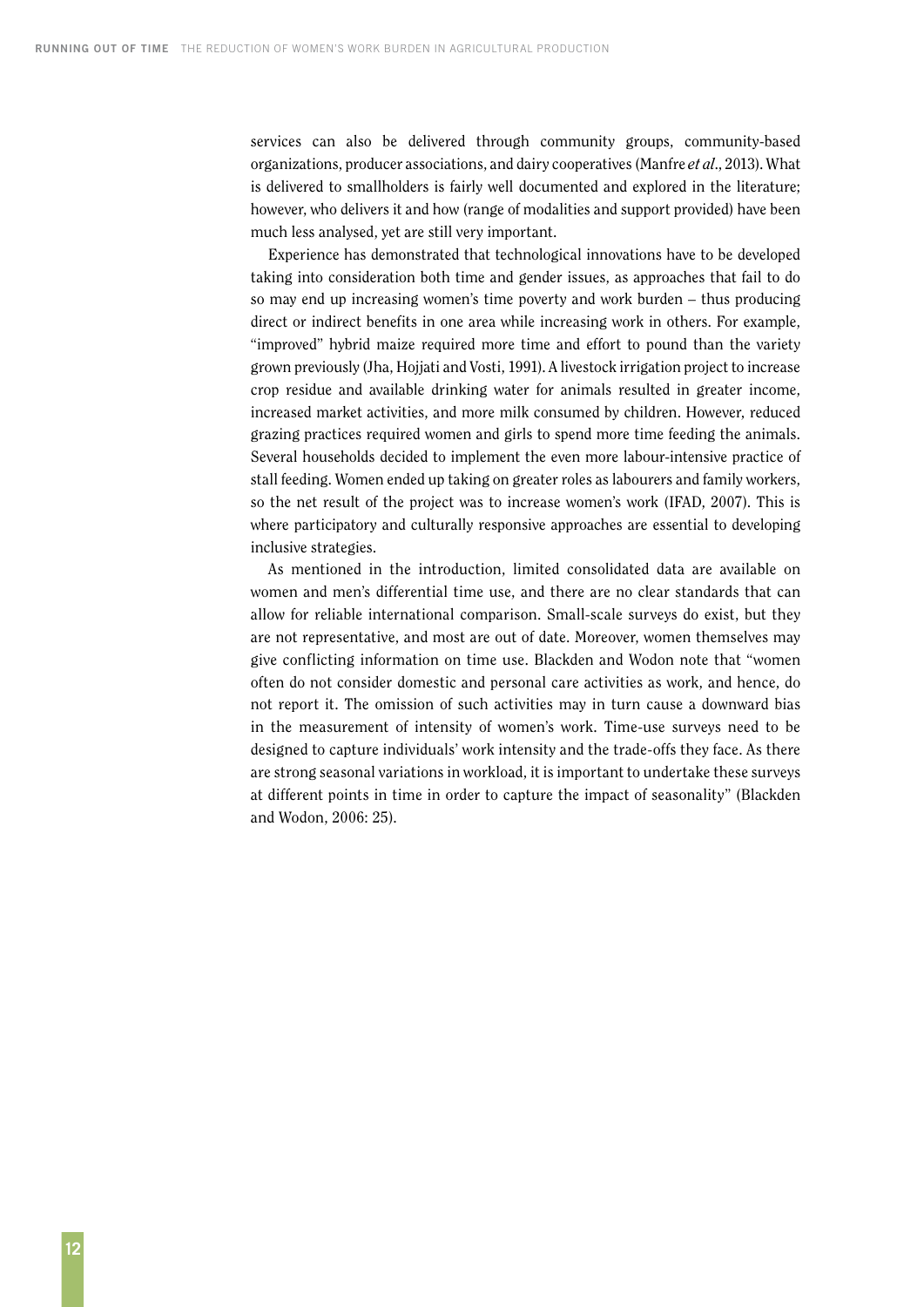services can also be delivered through community groups, community-based organizations, producer associations, and dairy cooperatives (Manfre *et al*., 2013). What is delivered to smallholders is fairly well documented and explored in the literature; however, who delivers it and how (range of modalities and support provided) have been much less analysed, yet are still very important.

Experience has demonstrated that technological innovations have to be developed taking into consideration both time and gender issues, as approaches that fail to do so may end up increasing women's time poverty and work burden – thus producing direct or indirect benefits in one area while increasing work in others. For example, "improved" hybrid maize required more time and effort to pound than the variety grown previously (Jha, Hojjati and Vosti, 1991). A livestock irrigation project to increase crop residue and available drinking water for animals resulted in greater income, increased market activities, and more milk consumed by children. However, reduced grazing practices required women and girls to spend more time feeding the animals. Several households decided to implement the even more labour-intensive practice of stall feeding. Women ended up taking on greater roles as labourers and family workers, so the net result of the project was to increase women's work (IFAD, 2007). This is where participatory and culturally responsive approaches are essential to developing inclusive strategies.

As mentioned in the introduction, limited consolidated data are available on women and men's differential time use, and there are no clear standards that can allow for reliable international comparison. Small-scale surveys do exist, but they are not representative, and most are out of date. Moreover, women themselves may give conflicting information on time use. Blackden and Wodon note that "women often do not consider domestic and personal care activities as work, and hence, do not report it. The omission of such activities may in turn cause a downward bias in the measurement of intensity of women's work. Time-use surveys need to be designed to capture individuals' work intensity and the trade-offs they face. As there are strong seasonal variations in workload, it is important to undertake these surveys at different points in time in order to capture the impact of seasonality" (Blackden and Wodon, 2006: 25).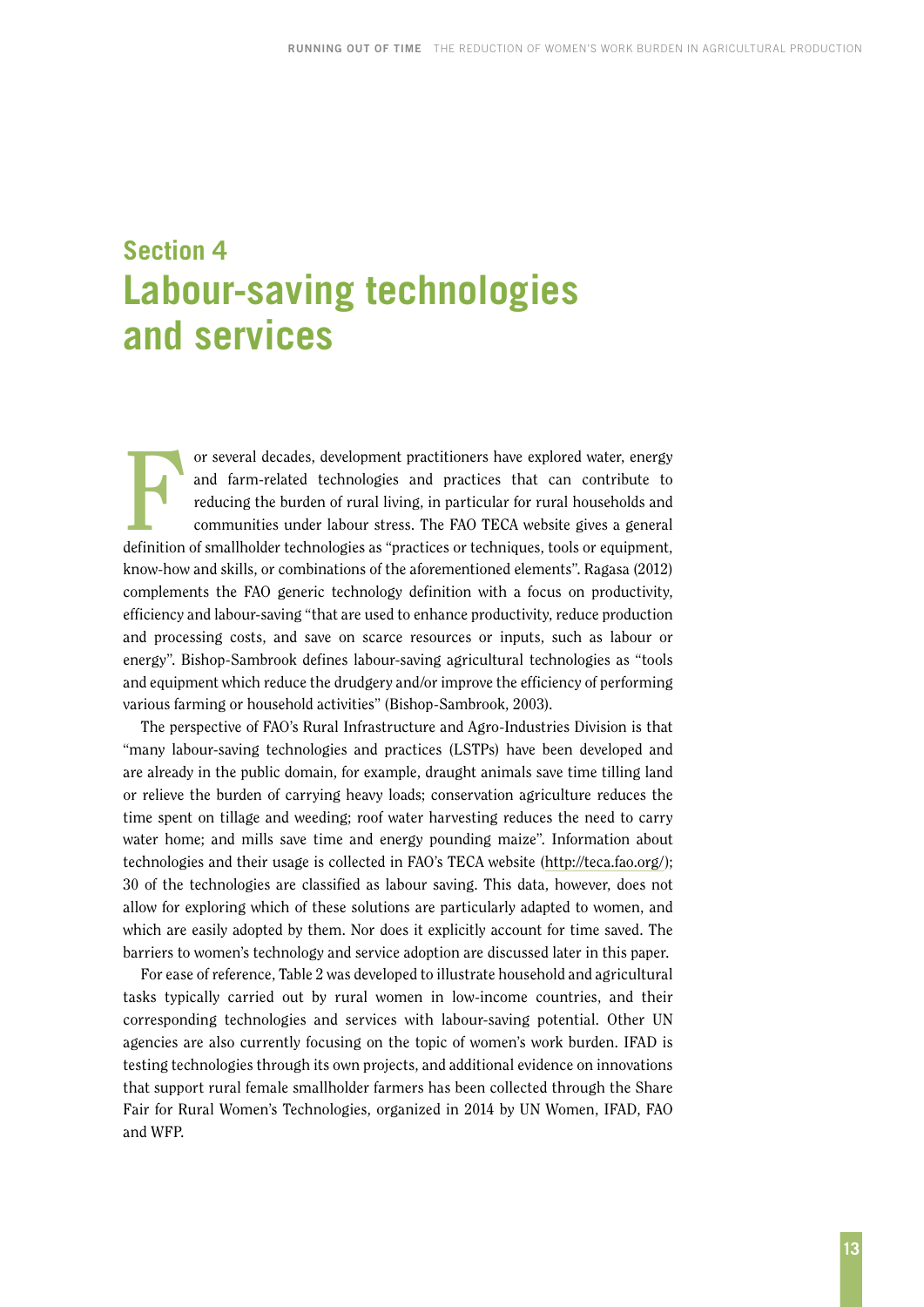# <span id="page-20-0"></span>**Section 4 Labour-saving technologies and services**

For several decades, development practitioners have explored water, energy<br>and farm-related technologies and practices that can contribute to<br>reducing the burden of rural living, in particular for rural households and<br>comm and farm-related technologies and practices that can contribute to reducing the burden of rural living, in particular for rural households and communities under labour stress. The FAO TECA website gives a general definition of smallholder technologies as "practices or techniques, tools or equipment, know-how and skills, or combinations of the aforementioned elements". Ragasa (2012) complements the FAO generic technology definition with a focus on productivity, efficiency and labour-saving "that are used to enhance productivity, reduce production and processing costs, and save on scarce resources or inputs, such as labour or energy". Bishop-Sambrook defines labour-saving agricultural technologies as "tools and equipment which reduce the drudgery and/or improve the efficiency of performing various farming or household activities" (Bishop-Sambrook, 2003).

The perspective of FAO's Rural Infrastructure and Agro-Industries Division is that "many labour-saving technologies and practices (LSTPs) have been developed and are already in the public domain, for example, draught animals save time tilling land or relieve the burden of carrying heavy loads; conservation agriculture reduces the time spent on tillage and weeding; roof water harvesting reduces the need to carry water home; and mills save time and energy pounding maize". Information about technologies and their usage is collected in FAO's TECA website (http://teca.fao.org/); 30 of the technologies are classified as labour saving. This data, however, does not allow for exploring which of these solutions are particularly adapted to women, and which are easily adopted by them. Nor does it explicitly account for time saved. The barriers to women's technology and service adoption are discussed later in this paper.

For ease of reference, Table 2 was developed to illustrate household and agricultural tasks typically carried out by rural women in low-income countries, and their corresponding technologies and services with labour-saving potential. Other UN agencies are also currently focusing on the topic of women's work burden. IFAD is testing technologies through its own projects, and additional evidence on innovations that support rural female smallholder farmers has been collected through the Share Fair for Rural Women's Technologies, organized in 2014 by UN Women, IFAD, FAO and WFP.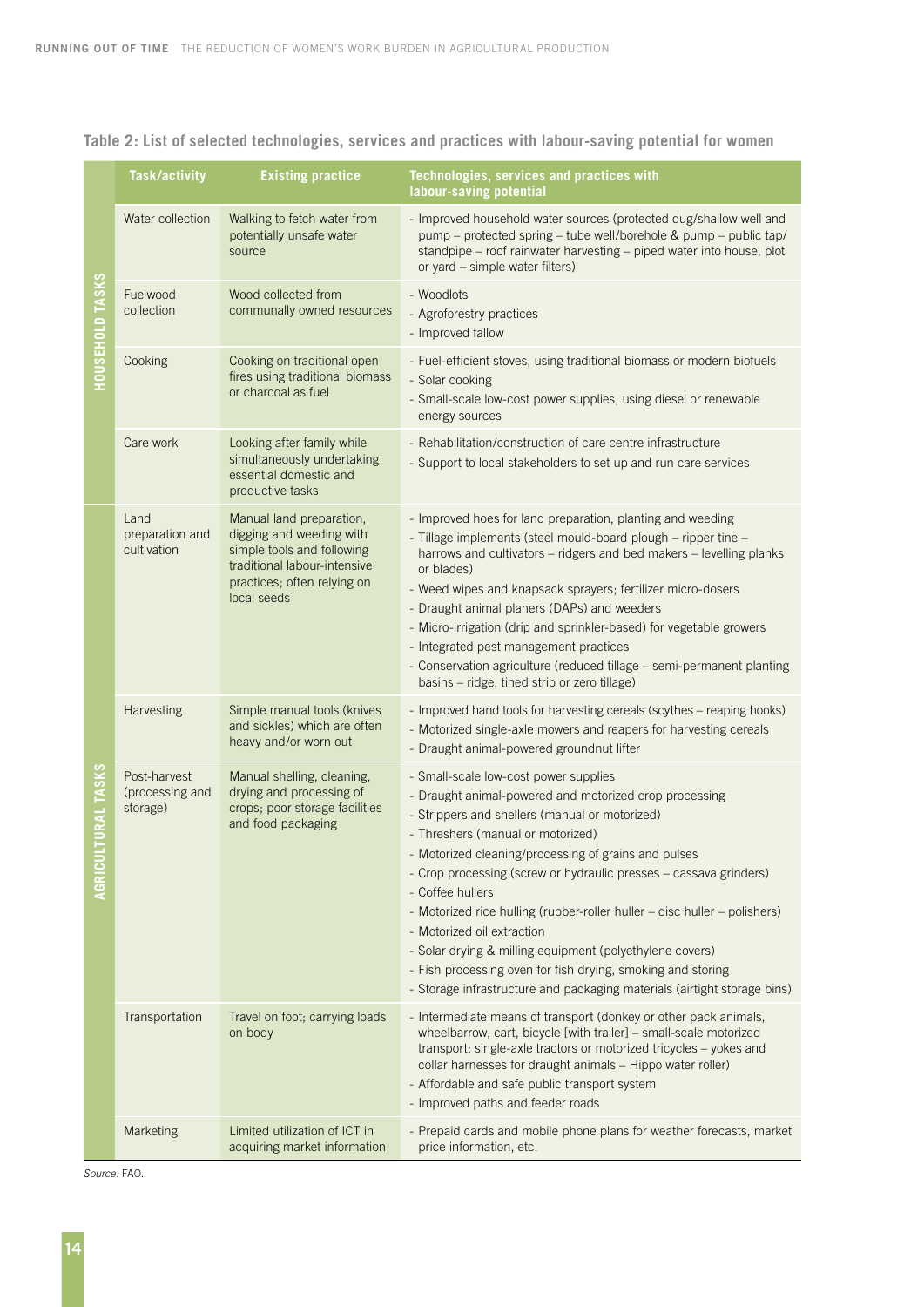|                              | <b>Task/activity</b>                        | <b>Existing practice</b>                                                                                                                                         | Technologies, services and practices with<br>labour-saving potential                                                                                                                                                                                                                                                                                                                                                                                                                                                                                                                                                                                      |
|------------------------------|---------------------------------------------|------------------------------------------------------------------------------------------------------------------------------------------------------------------|-----------------------------------------------------------------------------------------------------------------------------------------------------------------------------------------------------------------------------------------------------------------------------------------------------------------------------------------------------------------------------------------------------------------------------------------------------------------------------------------------------------------------------------------------------------------------------------------------------------------------------------------------------------|
| HOUSEHOLD TASKS              | Water collection                            | Walking to fetch water from<br>potentially unsafe water<br>source                                                                                                | - Improved household water sources (protected dug/shallow well and<br>pump - protected spring - tube well/borehole & pump - public tap/<br>standpipe - roof rainwater harvesting - piped water into house, plot<br>or yard – simple water filters)                                                                                                                                                                                                                                                                                                                                                                                                        |
|                              | Fuelwood<br>collection                      | Wood collected from<br>communally owned resources                                                                                                                | - Woodlots<br>- Agroforestry practices<br>- Improved fallow                                                                                                                                                                                                                                                                                                                                                                                                                                                                                                                                                                                               |
|                              | Cooking                                     | Cooking on traditional open<br>fires using traditional biomass<br>or charcoal as fuel                                                                            | - Fuel-efficient stoves, using traditional biomass or modern biofuels<br>- Solar cooking<br>- Small-scale low-cost power supplies, using diesel or renewable<br>energy sources                                                                                                                                                                                                                                                                                                                                                                                                                                                                            |
|                              | Care work                                   | Looking after family while<br>simultaneously undertaking<br>essential domestic and<br>productive tasks                                                           | - Rehabilitation/construction of care centre infrastructure<br>- Support to local stakeholders to set up and run care services                                                                                                                                                                                                                                                                                                                                                                                                                                                                                                                            |
| <b>TURAL TASKS</b><br>AGRICU | Land<br>preparation and<br>cultivation      | Manual land preparation,<br>digging and weeding with<br>simple tools and following<br>traditional labour-intensive<br>practices; often relying on<br>local seeds | - Improved hoes for land preparation, planting and weeding<br>- Tillage implements (steel mould-board plough - ripper tine -<br>harrows and cultivators - ridgers and bed makers - levelling planks<br>or blades)<br>- Weed wipes and knapsack sprayers; fertilizer micro-dosers<br>- Draught animal planers (DAPs) and weeders<br>- Micro-irrigation (drip and sprinkler-based) for vegetable growers<br>- Integrated pest management practices<br>- Conservation agriculture (reduced tillage - semi-permanent planting<br>basins - ridge, tined strip or zero tillage)                                                                                 |
|                              | Harvesting                                  | Simple manual tools (knives<br>and sickles) which are often<br>heavy and/or worn out                                                                             | - Improved hand tools for harvesting cereals (scythes - reaping hooks)<br>- Motorized single-axle mowers and reapers for harvesting cereals<br>- Draught animal-powered groundnut lifter                                                                                                                                                                                                                                                                                                                                                                                                                                                                  |
|                              | Post-harvest<br>(processing and<br>storage) | Manual shelling, cleaning,<br>drying and processing of<br>crops; poor storage facilities<br>and food packaging                                                   | - Small-scale low-cost power supplies<br>- Draught animal-powered and motorized crop processing<br>- Strippers and shellers (manual or motorized)<br>- Threshers (manual or motorized)<br>- Motorized cleaning/processing of grains and pulses<br>- Crop processing (screw or hydraulic presses - cassava grinders)<br>- Coffee hullers<br>- Motorized rice hulling (rubber-roller huller - disc huller - polishers)<br>- Motorized oil extraction<br>- Solar drying & milling equipment (polyethylene covers)<br>- Fish processing oven for fish drying, smoking and storing<br>- Storage infrastructure and packaging materials (airtight storage bins) |
|                              | Transportation                              | Travel on foot; carrying loads<br>on body                                                                                                                        | - Intermediate means of transport (donkey or other pack animals,<br>wheelbarrow, cart, bicycle [with trailer] - small-scale motorized<br>transport: single-axle tractors or motorized tricycles - yokes and<br>collar harnesses for draught animals - Hippo water roller)<br>- Affordable and safe public transport system<br>- Improved paths and feeder roads                                                                                                                                                                                                                                                                                           |
|                              | Marketing                                   | Limited utilization of ICT in<br>acquiring market information                                                                                                    | - Prepaid cards and mobile phone plans for weather forecasts, market<br>price information, etc.                                                                                                                                                                                                                                                                                                                                                                                                                                                                                                                                                           |

### **Table 2: List of selected technologies, services and practices with labour-saving potential for women**

*Source:* FAO.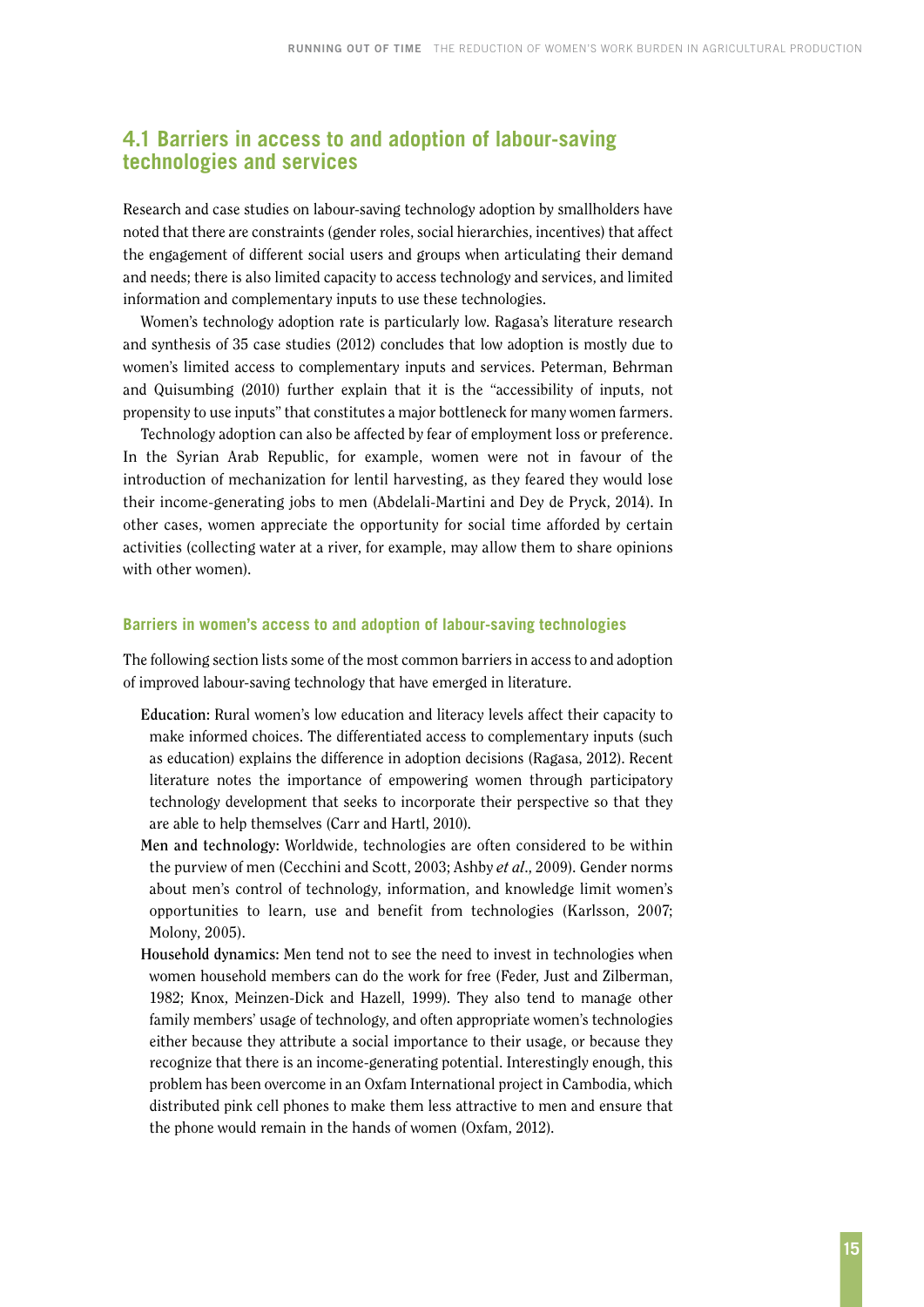### <span id="page-22-0"></span>**4.1 Barriers in access to and adoption of labour-saving technologies and services**

Research and case studies on labour-saving technology adoption by smallholders have noted that there are constraints (gender roles, social hierarchies, incentives) that affect the engagement of different social users and groups when articulating their demand and needs; there is also limited capacity to access technology and services, and limited information and complementary inputs to use these technologies.

Women's technology adoption rate is particularly low. Ragasa's literature research and synthesis of 35 case studies (2012) concludes that low adoption is mostly due to women's limited access to complementary inputs and services. Peterman, Behrman and Quisumbing (2010) further explain that it is the "accessibility of inputs, not propensity to use inputs" that constitutes a major bottleneck for many women farmers.

Technology adoption can also be affected by fear of employment loss or preference. In the Syrian Arab Republic, for example, women were not in favour of the introduction of mechanization for lentil harvesting, as they feared they would lose their income-generating jobs to men (Abdelali-Martini and Dey de Pryck, 2014). In other cases, women appreciate the opportunity for social time afforded by certain activities (collecting water at a river, for example, may allow them to share opinions with other women).

#### **Barriers in women's access to and adoption of labour-saving technologies**

The following section lists some of the most common barriers in access to and adoption of improved labour-saving technology that have emerged in literature.

- **Education:** Rural women's low education and literacy levels affect their capacity to make informed choices. The differentiated access to complementary inputs (such as education) explains the difference in adoption decisions (Ragasa, 2012). Recent literature notes the importance of empowering women through participatory technology development that seeks to incorporate their perspective so that they are able to help themselves (Carr and Hartl, 2010).
- **Men and technology:** Worldwide, technologies are often considered to be within the purview of men (Cecchini and Scott, 2003; Ashby *et al*., 2009). Gender norms about men's control of technology, information, and knowledge limit women's opportunities to learn, use and benefit from technologies (Karlsson, 2007; Molony, 2005).
- **Household dynamics:** Men tend not to see the need to invest in technologies when women household members can do the work for free (Feder, Just and Zilberman, 1982; Knox, Meinzen-Dick and Hazell, 1999). They also tend to manage other family members' usage of technology, and often appropriate women's technologies either because they attribute a social importance to their usage, or because they recognize that there is an income-generating potential. Interestingly enough, this problem has been overcome in an Oxfam International project in Cambodia, which distributed pink cell phones to make them less attractive to men and ensure that the phone would remain in the hands of women (Oxfam, 2012).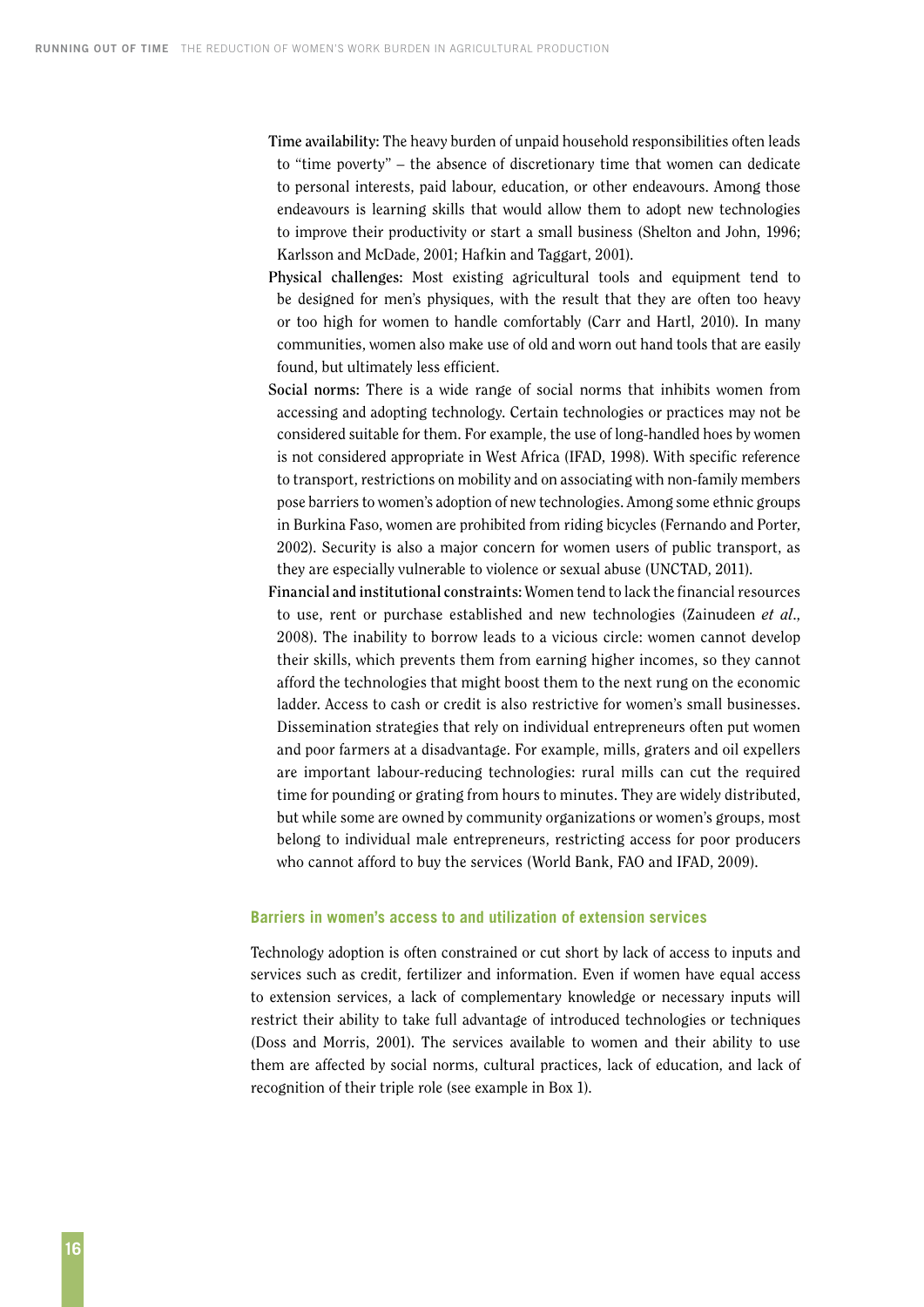**Time availability:** The heavy burden of unpaid household responsibilities often leads to "time poverty" – the absence of discretionary time that women can dedicate to personal interests, paid labour, education, or other endeavours. Among those endeavours is learning skills that would allow them to adopt new technologies to improve their productivity or start a small business (Shelton and John, 1996; Karlsson and McDade, 2001; Hafkin and Taggart, 2001).

- **Physical challenges:** Most existing agricultural tools and equipment tend to be designed for men's physiques, with the result that they are often too heavy or too high for women to handle comfortably (Carr and Hartl, 2010). In many communities, women also make use of old and worn out hand tools that are easily found, but ultimately less efficient.
- **Social norms:** There is a wide range of social norms that inhibits women from accessing and adopting technology. Certain technologies or practices may not be considered suitable for them. For example, the use of long-handled hoes by women is not considered appropriate in West Africa (IFAD, 1998). With specific reference to transport, restrictions on mobility and on associating with non-family members pose barriers to women's adoption of new technologies. Among some ethnic groups in Burkina Faso, women are prohibited from riding bicycles (Fernando and Porter, 2002). Security is also a major concern for women users of public transport, as they are especially vulnerable to violence or sexual abuse (UNCTAD, 2011).
- **Financial and institutional constraints:** Women tend to lack the financial resources to use, rent or purchase established and new technologies (Zainudeen *et al*., 2008). The inability to borrow leads to a vicious circle: women cannot develop their skills, which prevents them from earning higher incomes, so they cannot afford the technologies that might boost them to the next rung on the economic ladder. Access to cash or credit is also restrictive for women's small businesses. Dissemination strategies that rely on individual entrepreneurs often put women and poor farmers at a disadvantage. For example, mills, graters and oil expellers are important labour-reducing technologies: rural mills can cut the required time for pounding or grating from hours to minutes. They are widely distributed, but while some are owned by community organizations or women's groups, most belong to individual male entrepreneurs, restricting access for poor producers who cannot afford to buy the services (World Bank, FAO and IFAD, 2009).

#### **Barriers in women's access to and utilization of extension services**

Technology adoption is often constrained or cut short by lack of access to inputs and services such as credit, fertilizer and information. Even if women have equal access to extension services, a lack of complementary knowledge or necessary inputs will restrict their ability to take full advantage of introduced technologies or techniques (Doss and Morris, 2001). The services available to women and their ability to use them are affected by social norms, cultural practices, lack of education, and lack of recognition of their triple role (see example in Box 1).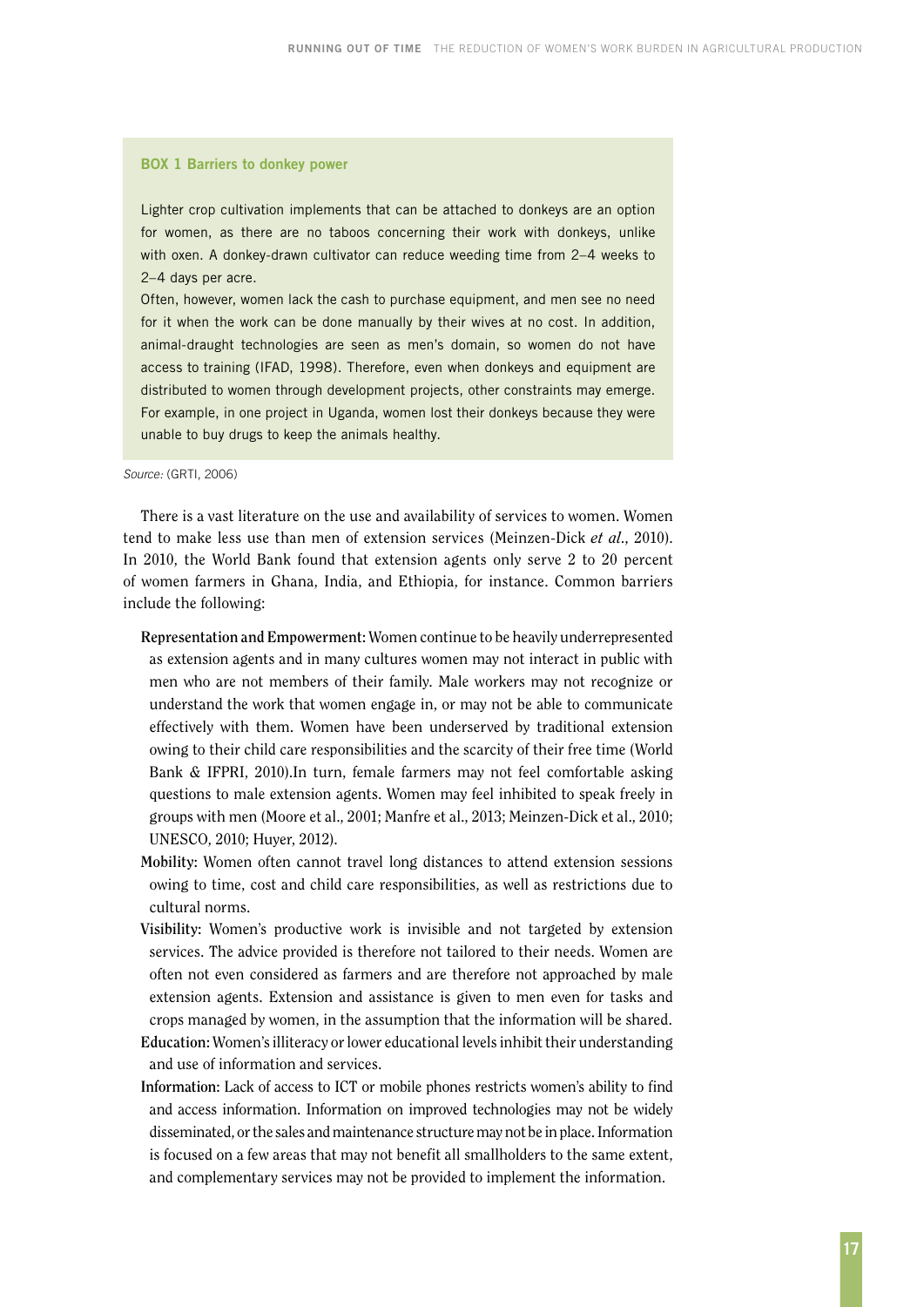#### **BOX 1 Barriers to donkey power**

Lighter crop cultivation implements that can be attached to donkeys are an option for women, as there are no taboos concerning their work with donkeys, unlike with oxen. A donkey-drawn cultivator can reduce weeding time from 2–4 weeks to 2–4 days per acre.

Often, however, women lack the cash to purchase equipment, and men see no need for it when the work can be done manually by their wives at no cost. In addition, animal-draught technologies are seen as men's domain, so women do not have access to training (IFAD, 1998). Therefore, even when donkeys and equipment are distributed to women through development projects, other constraints may emerge. For example, in one project in Uganda, women lost their donkeys because they were unable to buy drugs to keep the animals healthy.

*Source:* (GRTI, 2006)

There is a vast literature on the use and availability of services to women. Women tend to make less use than men of extension services (Meinzen-Dick *et al*., 2010). In 2010, the World Bank found that extension agents only serve 2 to 20 percent of women farmers in Ghana, India, and Ethiopia, for instance. Common barriers include the following:

- **Representation and Empowerment:** Women continue to be heavily underrepresented as extension agents and in many cultures women may not interact in public with men who are not members of their family. Male workers may not recognize or understand the work that women engage in, or may not be able to communicate effectively with them. Women have been underserved by traditional extension owing to their child care responsibilities and the scarcity of their free time (World Bank & IFPRI, 2010).In turn, female farmers may not feel comfortable asking questions to male extension agents. Women may feel inhibited to speak freely in groups with men (Moore et al., 2001; Manfre et al., 2013; Meinzen-Dick et al., 2010; UNESCO, 2010; Huyer, 2012).
- **Mobility:** Women often cannot travel long distances to attend extension sessions owing to time, cost and child care responsibilities, as well as restrictions due to cultural norms.
- **Visibility:** Women's productive work is invisible and not targeted by extension services. The advice provided is therefore not tailored to their needs. Women are often not even considered as farmers and are therefore not approached by male extension agents. Extension and assistance is given to men even for tasks and crops managed by women, in the assumption that the information will be shared. **Education:** Women's illiteracy or lower educational levels inhibit their understanding and use of information and services.
- **Information:** Lack of access to ICT or mobile phones restricts women's ability to find and access information. Information on improved technologies may not be widely disseminated, or the sales and maintenance structure may not be in place. Information is focused on a few areas that may not benefit all smallholders to the same extent, and complementary services may not be provided to implement the information.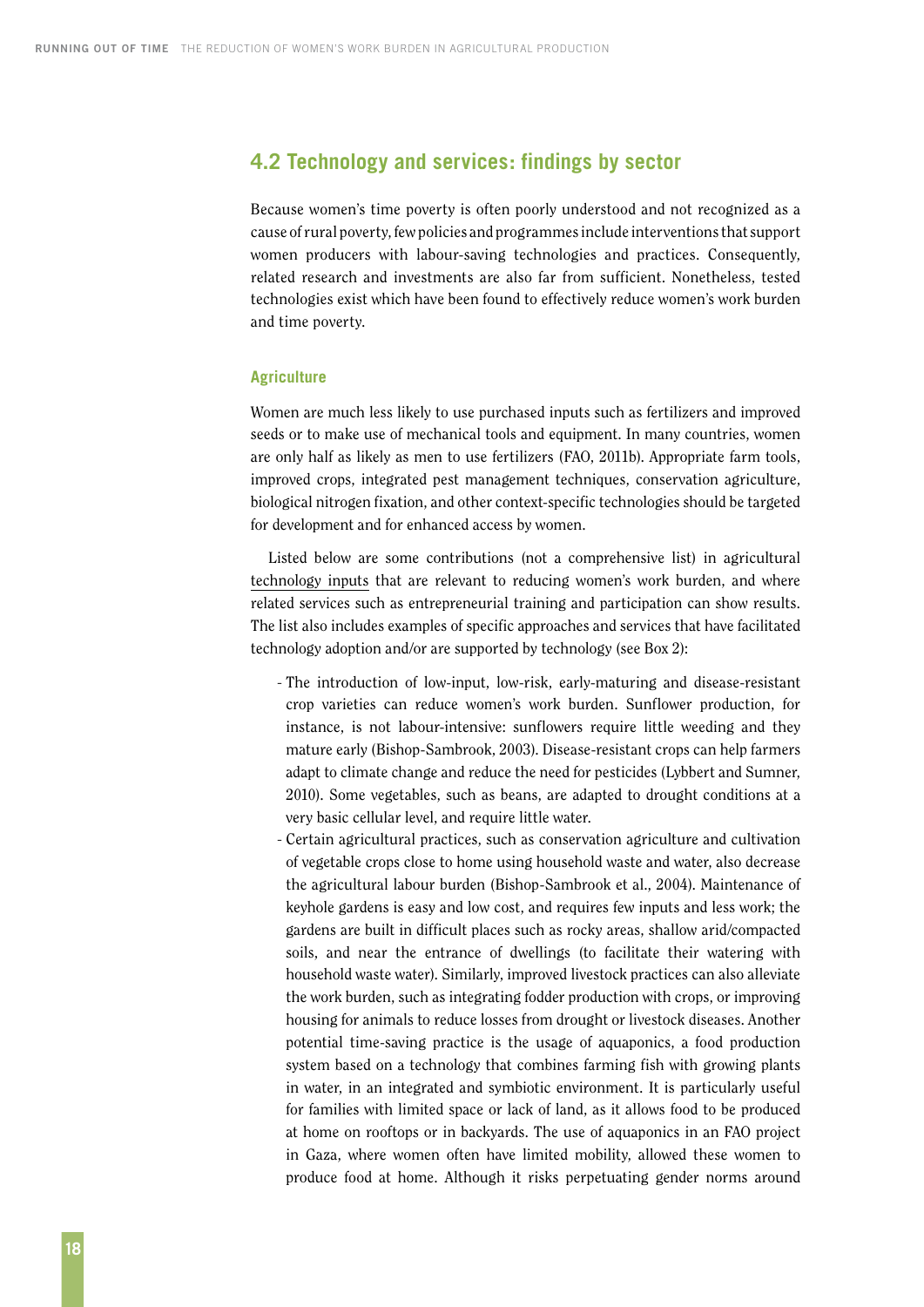### <span id="page-25-0"></span>**4.2 Technology and services: findings by sector**

Because women's time poverty is often poorly understood and not recognized as a cause of rural poverty, few policies and programmes include interventions that support women producers with labour-saving technologies and practices. Consequently, related research and investments are also far from sufficient. Nonetheless, tested technologies exist which have been found to effectively reduce women's work burden and time poverty.

#### **Agriculture**

Women are much less likely to use purchased inputs such as fertilizers and improved seeds or to make use of mechanical tools and equipment. In many countries, women are only half as likely as men to use fertilizers (FAO, 2011b). Appropriate farm tools, improved crops, integrated pest management techniques, conservation agriculture, biological nitrogen fixation, and other context-specific technologies should be targeted for development and for enhanced access by women.

Listed below are some contributions (not a comprehensive list) in agricultural technology inputs that are relevant to reducing women's work burden, and where related services such as entrepreneurial training and participation can show results. The list also includes examples of specific approaches and services that have facilitated technology adoption and/or are supported by technology (see Box 2):

- The introduction of low-input, low-risk, early-maturing and disease-resistant crop varieties can reduce women's work burden. Sunflower production, for instance, is not labour-intensive: sunflowers require little weeding and they mature early (Bishop-Sambrook, 2003). Disease-resistant crops can help farmers adapt to climate change and reduce the need for pesticides (Lybbert and Sumner, 2010). Some vegetables, such as beans, are adapted to drought conditions at a very basic cellular level, and require little water.
- Certain agricultural practices, such as conservation agriculture and cultivation of vegetable crops close to home using household waste and water, also decrease the agricultural labour burden (Bishop-Sambrook et al., 2004). Maintenance of keyhole gardens is easy and low cost, and requires few inputs and less work; the gardens are built in difficult places such as rocky areas, shallow arid/compacted soils, and near the entrance of dwellings (to facilitate their watering with household waste water). Similarly, improved livestock practices can also alleviate the work burden, such as integrating fodder production with crops, or improving housing for animals to reduce losses from drought or livestock diseases. Another potential time-saving practice is the usage of aquaponics, a food production system based on a technology that combines farming fish with growing plants in water, in an integrated and symbiotic environment. It is particularly useful for families with limited space or lack of land, as it allows food to be produced at home on rooftops or in backyards. The use of aquaponics in an FAO project in Gaza, where women often have limited mobility, allowed these women to produce food at home. Although it risks perpetuating gender norms around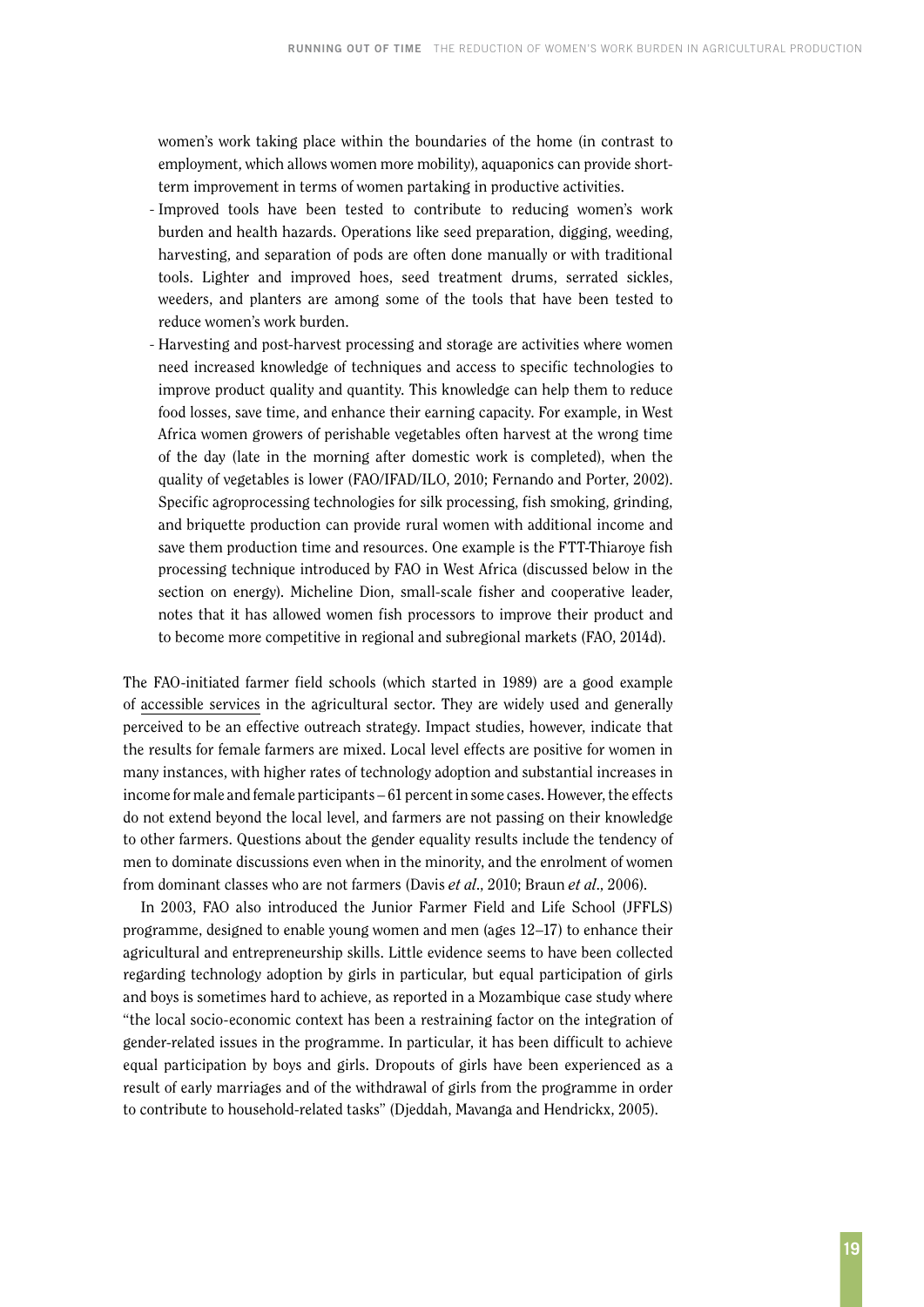women's work taking place within the boundaries of the home (in contrast to employment, which allows women more mobility), aquaponics can provide shortterm improvement in terms of women partaking in productive activities.

- Improved tools have been tested to contribute to reducing women's work burden and health hazards. Operations like seed preparation, digging, weeding, harvesting, and separation of pods are often done manually or with traditional tools. Lighter and improved hoes, seed treatment drums, serrated sickles, weeders, and planters are among some of the tools that have been tested to reduce women's work burden.
- Harvesting and post-harvest processing and storage are activities where women need increased knowledge of techniques and access to specific technologies to improve product quality and quantity. This knowledge can help them to reduce food losses, save time, and enhance their earning capacity. For example, in West Africa women growers of perishable vegetables often harvest at the wrong time of the day (late in the morning after domestic work is completed), when the quality of vegetables is lower (FAO/IFAD/ILO, 2010; Fernando and Porter, 2002). Specific agroprocessing technologies for silk processing, fish smoking, grinding, and briquette production can provide rural women with additional income and save them production time and resources. One example is the FTT-Thiaroye fish processing technique introduced by FAO in West Africa (discussed below in the section on energy). Micheline Dion, small-scale fisher and cooperative leader, notes that it has allowed women fish processors to improve their product and to become more competitive in regional and subregional markets (FAO, 2014d).

The FAO-initiated farmer field schools (which started in 1989) are a good example of accessible services in the agricultural sector. They are widely used and generally perceived to be an effective outreach strategy. Impact studies, however, indicate that the results for female farmers are mixed. Local level effects are positive for women in many instances, with higher rates of technology adoption and substantial increases in income for male and female participants – 61 percent in some cases. However, the effects do not extend beyond the local level, and farmers are not passing on their knowledge to other farmers. Questions about the gender equality results include the tendency of men to dominate discussions even when in the minority, and the enrolment of women from dominant classes who are not farmers (Davis *et al*., 2010; Braun *et al*., 2006).

In 2003, FAO also introduced the Junior Farmer Field and Life School (JFFLS) programme, designed to enable young women and men (ages 12–17) to enhance their agricultural and entrepreneurship skills. Little evidence seems to have been collected regarding technology adoption by girls in particular, but equal participation of girls and boys is sometimes hard to achieve, as reported in a Mozambique case study where "the local socio-economic context has been a restraining factor on the integration of gender-related issues in the programme. In particular, it has been difficult to achieve equal participation by boys and girls. Dropouts of girls have been experienced as a result of early marriages and of the withdrawal of girls from the programme in order to contribute to household-related tasks" (Djeddah, Mavanga and Hendrickx, 2005).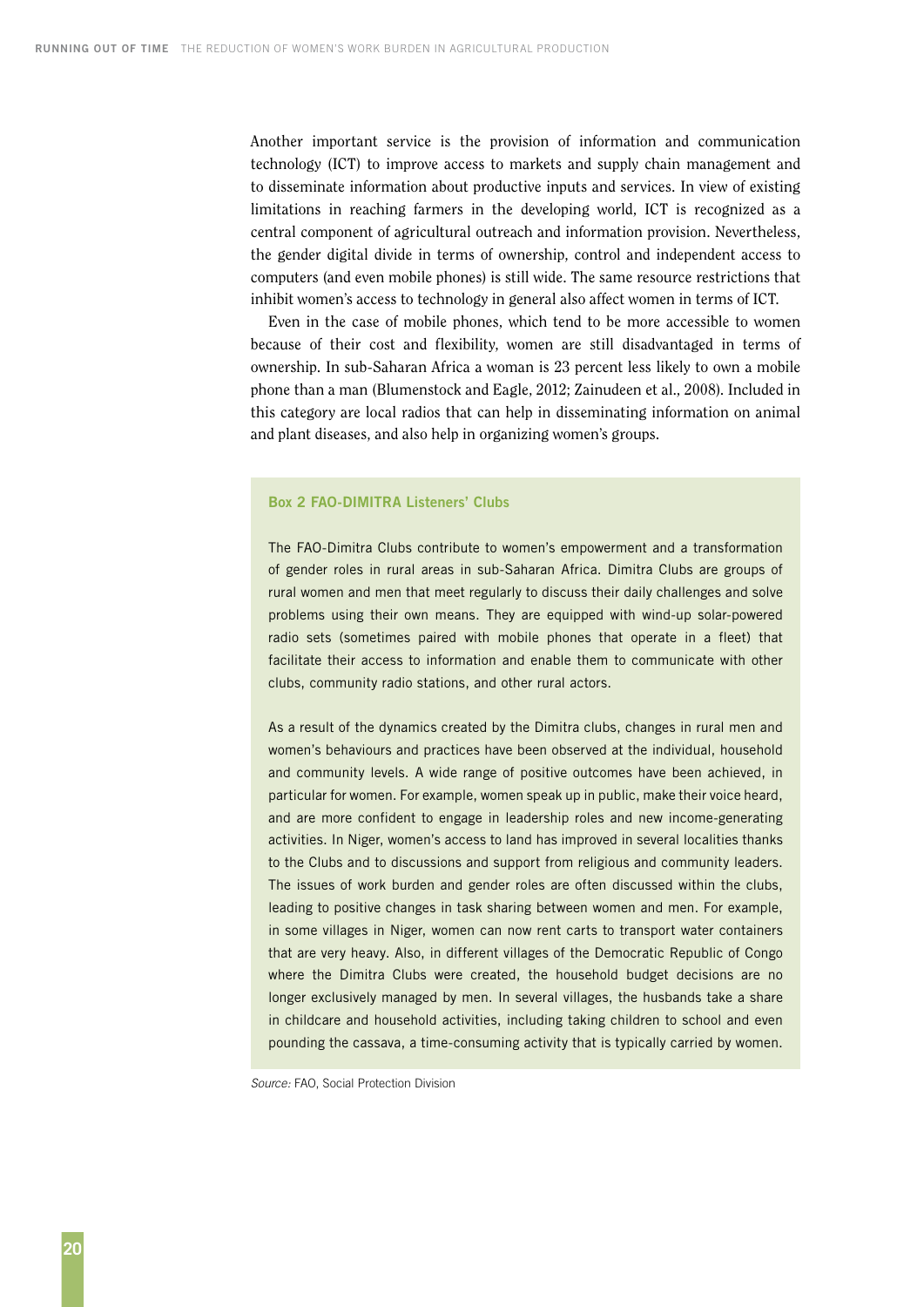Another important service is the provision of information and communication technology (ICT) to improve access to markets and supply chain management and to disseminate information about productive inputs and services. In view of existing limitations in reaching farmers in the developing world, ICT is recognized as a central component of agricultural outreach and information provision. Nevertheless, the gender digital divide in terms of ownership, control and independent access to computers (and even mobile phones) is still wide. The same resource restrictions that inhibit women's access to technology in general also affect women in terms of ICT.

Even in the case of mobile phones, which tend to be more accessible to women because of their cost and flexibility, women are still disadvantaged in terms of ownership. In sub-Saharan Africa a woman is 23 percent less likely to own a mobile phone than a man (Blumenstock and Eagle, 2012; Zainudeen et al., 2008). Included in this category are local radios that can help in disseminating information on animal and plant diseases, and also help in organizing women's groups.

#### **Box 2 FAO-DIMITRA Listeners' Clubs**

The FAO-Dimitra Clubs contribute to women's empowerment and a transformation of gender roles in rural areas in sub-Saharan Africa. Dimitra Clubs are groups of rural women and men that meet regularly to discuss their daily challenges and solve problems using their own means. They are equipped with wind-up solar-powered radio sets (sometimes paired with mobile phones that operate in a fleet) that facilitate their access to information and enable them to communicate with other clubs, community radio stations, and other rural actors.

As a result of the dynamics created by the Dimitra clubs, changes in rural men and women's behaviours and practices have been observed at the individual, household and community levels. A wide range of positive outcomes have been achieved, in particular for women. For example, women speak up in public, make their voice heard, and are more confident to engage in leadership roles and new income-generating activities. In Niger, women's access to land has improved in several localities thanks to the Clubs and to discussions and support from religious and community leaders. The issues of work burden and gender roles are often discussed within the clubs, leading to positive changes in task sharing between women and men. For example, in some villages in Niger, women can now rent carts to transport water containers that are very heavy. Also, in different villages of the Democratic Republic of Congo where the Dimitra Clubs were created, the household budget decisions are no longer exclusively managed by men. In several villages, the husbands take a share in childcare and household activities, including taking children to school and even pounding the cassava, a time-consuming activity that is typically carried by women.

*Source:* FAO, Social Protection Division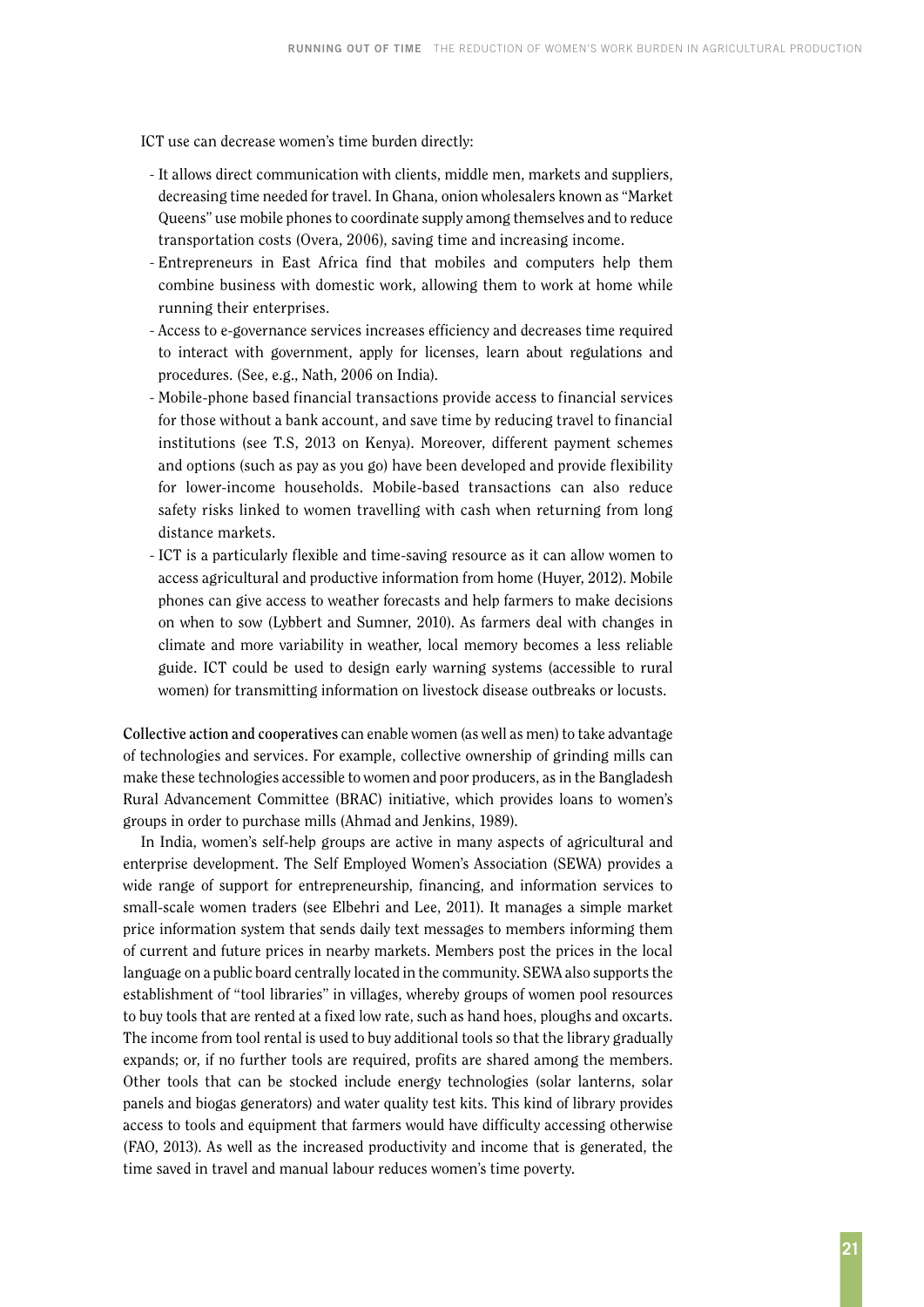ICT use can decrease women's time burden directly:

- It allows direct communication with clients, middle men, markets and suppliers, decreasing time needed for travel. In Ghana, onion wholesalers known as "Market Queens" use mobile phones to coordinate supply among themselves and to reduce transportation costs (Overa, 2006), saving time and increasing income.
- Entrepreneurs in East Africa find that mobiles and computers help them combine business with domestic work, allowing them to work at home while running their enterprises.
- Access to e-governance services increases efficiency and decreases time required to interact with government, apply for licenses, learn about regulations and procedures. (See, e.g., Nath, 2006 on India).
- Mobile-phone based financial transactions provide access to financial services for those without a bank account, and save time by reducing travel to financial institutions (see T.S, 2013 on Kenya). Moreover, different payment schemes and options (such as pay as you go) have been developed and provide flexibility for lower-income households. Mobile-based transactions can also reduce safety risks linked to women travelling with cash when returning from long distance markets.
- ICT is a particularly flexible and time-saving resource as it can allow women to access agricultural and productive information from home (Huyer, 2012). Mobile phones can give access to weather forecasts and help farmers to make decisions on when to sow (Lybbert and Sumner, 2010). As farmers deal with changes in climate and more variability in weather, local memory becomes a less reliable guide. ICT could be used to design early warning systems (accessible to rural women) for transmitting information on livestock disease outbreaks or locusts.

**Collective action and cooperatives** can enable women (as well as men) to take advantage of technologies and services. For example, collective ownership of grinding mills can make these technologies accessible to women and poor producers, as in the Bangladesh Rural Advancement Committee (BRAC) initiative, which provides loans to women's groups in order to purchase mills (Ahmad and Jenkins, 1989).

In India, women's self-help groups are active in many aspects of agricultural and enterprise development. The Self Employed Women's Association (SEWA) provides a wide range of support for entrepreneurship, financing, and information services to small-scale women traders (see Elbehri and Lee, 2011). It manages a simple market price information system that sends daily text messages to members informing them of current and future prices in nearby markets. Members post the prices in the local language on a public board centrally located in the community. SEWA also supports the establishment of "tool libraries" in villages, whereby groups of women pool resources to buy tools that are rented at a fixed low rate, such as hand hoes, ploughs and oxcarts. The income from tool rental is used to buy additional tools so that the library gradually expands; or, if no further tools are required, profits are shared among the members. Other tools that can be stocked include energy technologies (solar lanterns, solar panels and biogas generators) and water quality test kits. This kind of library provides access to tools and equipment that farmers would have difficulty accessing otherwise (FAO, 2013). As well as the increased productivity and income that is generated, the time saved in travel and manual labour reduces women's time poverty.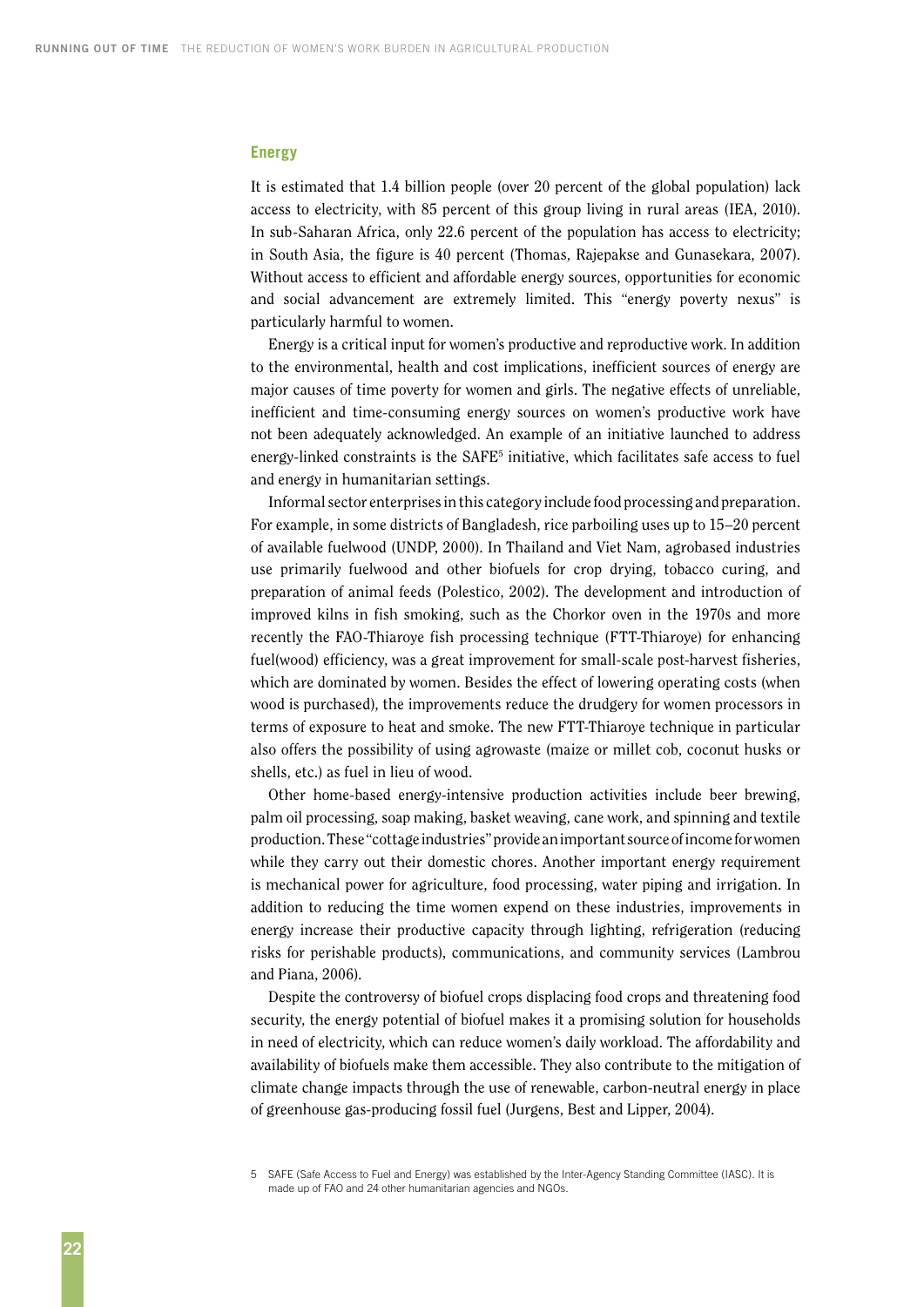#### **Energy**

It is estimated that 1.4 billion people (over 20 percent of the global population) lack access to electricity, with 85 percent of this group living in rural areas (IEA, 2010). In sub-Saharan Africa, only 22.6 percent of the population has access to electricity; in South Asia, the figure is 40 percent (Thomas, Rajepakse and Gunasekara, 2007). Without access to efficient and affordable energy sources, opportunities for economic and social advancement are extremely limited. This "energy poverty nexus" is particularly harmful to women.

Energy is a critical input for women's productive and reproductive work. In addition to the environmental, health and cost implications, inefficient sources of energy are major causes of time poverty for women and girls. The negative effects of unreliable, inefficient and time-consuming energy sources on women's productive work have not been adequately acknowledged. An example of an initiative launched to address energy-linked constraints is the  $SAFE<sup>5</sup>$  initiative, which facilitates safe access to fuel and energy in humanitarian settings.

Informal sector enterprises in this category include food processing and preparation. For example, in some districts of Bangladesh, rice parboiling uses up to 15–20 percent of available fuelwood (UNDP, 2000). In Thailand and Viet Nam, agrobased industries use primarily fuelwood and other biofuels for crop drying, tobacco curing, and preparation of animal feeds (Polestico, 2002). The development and introduction of improved kilns in fish smoking, such as the Chorkor oven in the 1970s and more recently the FAO-Thiaroye fish processing technique (FTT-Thiaroye) for enhancing fuel(wood) efficiency, was a great improvement for small-scale post-harvest fisheries, which are dominated by women. Besides the effect of lowering operating costs (when wood is purchased), the improvements reduce the drudgery for women processors in terms of exposure to heat and smoke. The new FTT-Thiaroye technique in particular also offers the possibility of using agrowaste (maize or millet cob, coconut husks or shells, etc.) as fuel in lieu of wood.

Other home-based energy-intensive production activities include beer brewing, palm oil processing, soap making, basket weaving, cane work, and spinning and textile production. These "cottage industries" provide an important source of income for women while they carry out their domestic chores. Another important energy requirement is mechanical power for agriculture, food processing, water piping and irrigation. In addition to reducing the time women expend on these industries, improvements in energy increase their productive capacity through lighting, refrigeration (reducing risks for perishable products), communications, and community services (Lambrou and Piana, 2006).

Despite the controversy of biofuel crops displacing food crops and threatening food security, the energy potential of biofuel makes it a promising solution for households in need of electricity, which can reduce women's daily workload. The affordability and availability of biofuels make them accessible. They also contribute to the mitigation of climate change impacts through the use of renewable, carbon-neutral energy in place of greenhouse gas-producing fossil fuel (Jurgens, Best and Lipper, 2004).

<sup>5</sup> SAFE (Safe Access to Fuel and Energy) was established by the Inter-Agency Standing Committee (IASC). It is made up of FAO and 24 other humanitarian agencies and NGOs.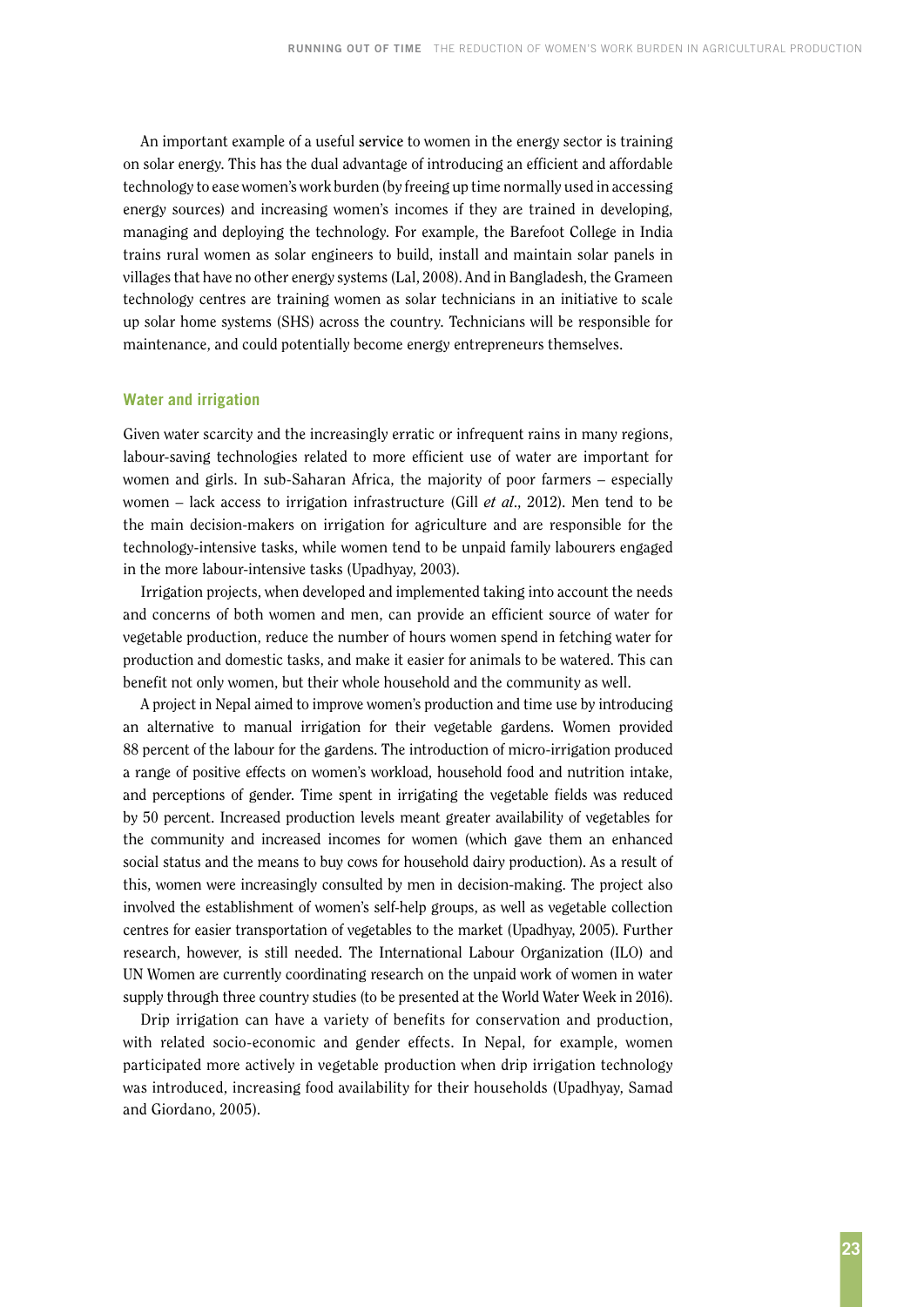An important example of a useful **service** to women in the energy sector is training on solar energy. This has the dual advantage of introducing an efficient and affordable technology to ease women's work burden (by freeing up time normally used in accessing energy sources) and increasing women's incomes if they are trained in developing, managing and deploying the technology. For example, the Barefoot College in India trains rural women as solar engineers to build, install and maintain solar panels in villages that have no other energy systems (Lal, 2008). And in Bangladesh, the Grameen technology centres are training women as solar technicians in an initiative to scale up solar home systems (SHS) across the country. Technicians will be responsible for maintenance, and could potentially become energy entrepreneurs themselves.

#### **Water and irrigation**

Given water scarcity and the increasingly erratic or infrequent rains in many regions, labour-saving technologies related to more efficient use of water are important for women and girls. In sub-Saharan Africa, the majority of poor farmers – especially women – lack access to irrigation infrastructure (Gill *et al*., 2012). Men tend to be the main decision-makers on irrigation for agriculture and are responsible for the technology-intensive tasks, while women tend to be unpaid family labourers engaged in the more labour-intensive tasks (Upadhyay, 2003).

Irrigation projects, when developed and implemented taking into account the needs and concerns of both women and men, can provide an efficient source of water for vegetable production, reduce the number of hours women spend in fetching water for production and domestic tasks, and make it easier for animals to be watered. This can benefit not only women, but their whole household and the community as well.

A project in Nepal aimed to improve women's production and time use by introducing an alternative to manual irrigation for their vegetable gardens. Women provided 88 percent of the labour for the gardens. The introduction of micro-irrigation produced a range of positive effects on women's workload, household food and nutrition intake, and perceptions of gender. Time spent in irrigating the vegetable fields was reduced by 50 percent. Increased production levels meant greater availability of vegetables for the community and increased incomes for women (which gave them an enhanced social status and the means to buy cows for household dairy production). As a result of this, women were increasingly consulted by men in decision-making. The project also involved the establishment of women's self-help groups, as well as vegetable collection centres for easier transportation of vegetables to the market (Upadhyay, 2005). Further research, however, is still needed. The International Labour Organization (ILO) and UN Women are currently coordinating research on the unpaid work of women in water supply through three country studies (to be presented at the World Water Week in 2016).

Drip irrigation can have a variety of benefits for conservation and production, with related socio-economic and gender effects. In Nepal, for example, women participated more actively in vegetable production when drip irrigation technology was introduced, increasing food availability for their households (Upadhyay, Samad and Giordano, 2005).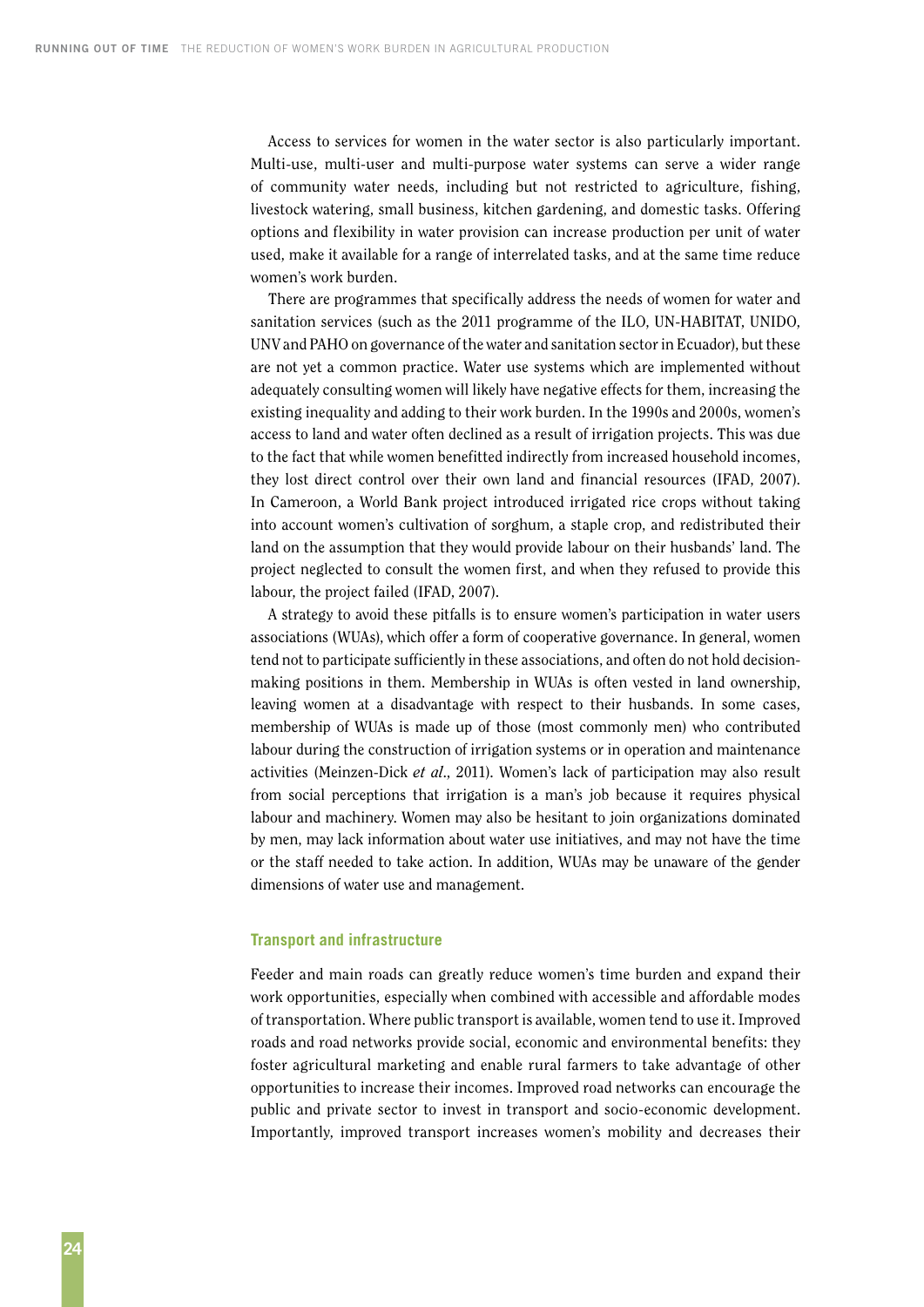Access to services for women in the water sector is also particularly important. Multi-use, multi-user and multi-purpose water systems can serve a wider range of community water needs, including but not restricted to agriculture, fishing, livestock watering, small business, kitchen gardening, and domestic tasks. Offering options and flexibility in water provision can increase production per unit of water used, make it available for a range of interrelated tasks, and at the same time reduce women's work burden.

There are programmes that specifically address the needs of women for water and sanitation services (such as the 2011 programme of the ILO, UN-HABITAT, UNIDO, UNV and PAHO on governance of the water and sanitation sector in Ecuador), but these are not yet a common practice. Water use systems which are implemented without adequately consulting women will likely have negative effects for them, increasing the existing inequality and adding to their work burden. In the 1990s and 2000s, women's access to land and water often declined as a result of irrigation projects. This was due to the fact that while women benefitted indirectly from increased household incomes, they lost direct control over their own land and financial resources (IFAD, 2007). In Cameroon, a World Bank project introduced irrigated rice crops without taking into account women's cultivation of sorghum, a staple crop, and redistributed their land on the assumption that they would provide labour on their husbands' land. The project neglected to consult the women first, and when they refused to provide this labour, the project failed (IFAD, 2007).

A strategy to avoid these pitfalls is to ensure women's participation in water users associations (WUAs), which offer a form of cooperative governance. In general, women tend not to participate sufficiently in these associations, and often do not hold decisionmaking positions in them. Membership in WUAs is often vested in land ownership, leaving women at a disadvantage with respect to their husbands. In some cases, membership of WUAs is made up of those (most commonly men) who contributed labour during the construction of irrigation systems or in operation and maintenance activities (Meinzen-Dick *et al*., 2011). Women's lack of participation may also result from social perceptions that irrigation is a man's job because it requires physical labour and machinery. Women may also be hesitant to join organizations dominated by men, may lack information about water use initiatives, and may not have the time or the staff needed to take action. In addition, WUAs may be unaware of the gender dimensions of water use and management.

#### **Transport and infrastructure**

Feeder and main roads can greatly reduce women's time burden and expand their work opportunities, especially when combined with accessible and affordable modes of transportation. Where public transport is available, women tend to use it. Improved roads and road networks provide social, economic and environmental benefits: they foster agricultural marketing and enable rural farmers to take advantage of other opportunities to increase their incomes. Improved road networks can encourage the public and private sector to invest in transport and socio-economic development. Importantly, improved transport increases women's mobility and decreases their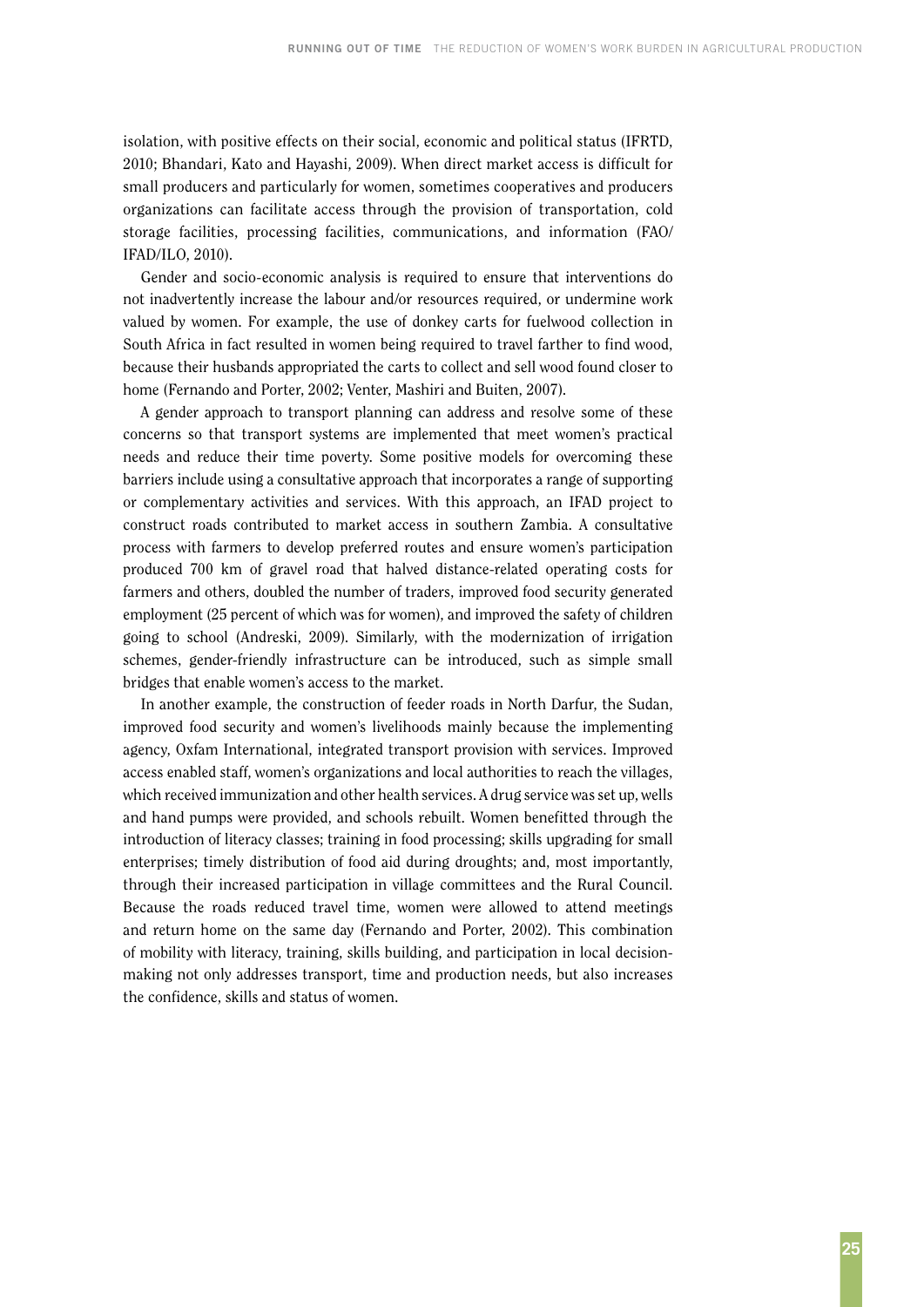isolation, with positive effects on their social, economic and political status (IFRTD, 2010; Bhandari, Kato and Hayashi, 2009). When direct market access is difficult for small producers and particularly for women, sometimes cooperatives and producers organizations can facilitate access through the provision of transportation, cold storage facilities, processing facilities, communications, and information (FAO/ IFAD/ILO, 2010).

Gender and socio-economic analysis is required to ensure that interventions do not inadvertently increase the labour and/or resources required, or undermine work valued by women. For example, the use of donkey carts for fuelwood collection in South Africa in fact resulted in women being required to travel farther to find wood, because their husbands appropriated the carts to collect and sell wood found closer to home (Fernando and Porter, 2002; Venter, Mashiri and Buiten, 2007).

A gender approach to transport planning can address and resolve some of these concerns so that transport systems are implemented that meet women's practical needs and reduce their time poverty. Some positive models for overcoming these barriers include using a consultative approach that incorporates a range of supporting or complementary activities and services. With this approach, an IFAD project to construct roads contributed to market access in southern Zambia. A consultative process with farmers to develop preferred routes and ensure women's participation produced 700 km of gravel road that halved distance-related operating costs for farmers and others, doubled the number of traders, improved food security generated employment (25 percent of which was for women), and improved the safety of children going to school (Andreski, 2009). Similarly, with the modernization of irrigation schemes, gender-friendly infrastructure can be introduced, such as simple small bridges that enable women's access to the market.

In another example, the construction of feeder roads in North Darfur, the Sudan, improved food security and women's livelihoods mainly because the implementing agency, Oxfam International, integrated transport provision with services. Improved access enabled staff, women's organizations and local authorities to reach the villages, which received immunization and other health services. A drug service was set up, wells and hand pumps were provided, and schools rebuilt. Women benefitted through the introduction of literacy classes; training in food processing; skills upgrading for small enterprises; timely distribution of food aid during droughts; and, most importantly, through their increased participation in village committees and the Rural Council. Because the roads reduced travel time, women were allowed to attend meetings and return home on the same day (Fernando and Porter, 2002). This combination of mobility with literacy, training, skills building, and participation in local decisionmaking not only addresses transport, time and production needs, but also increases the confidence, skills and status of women.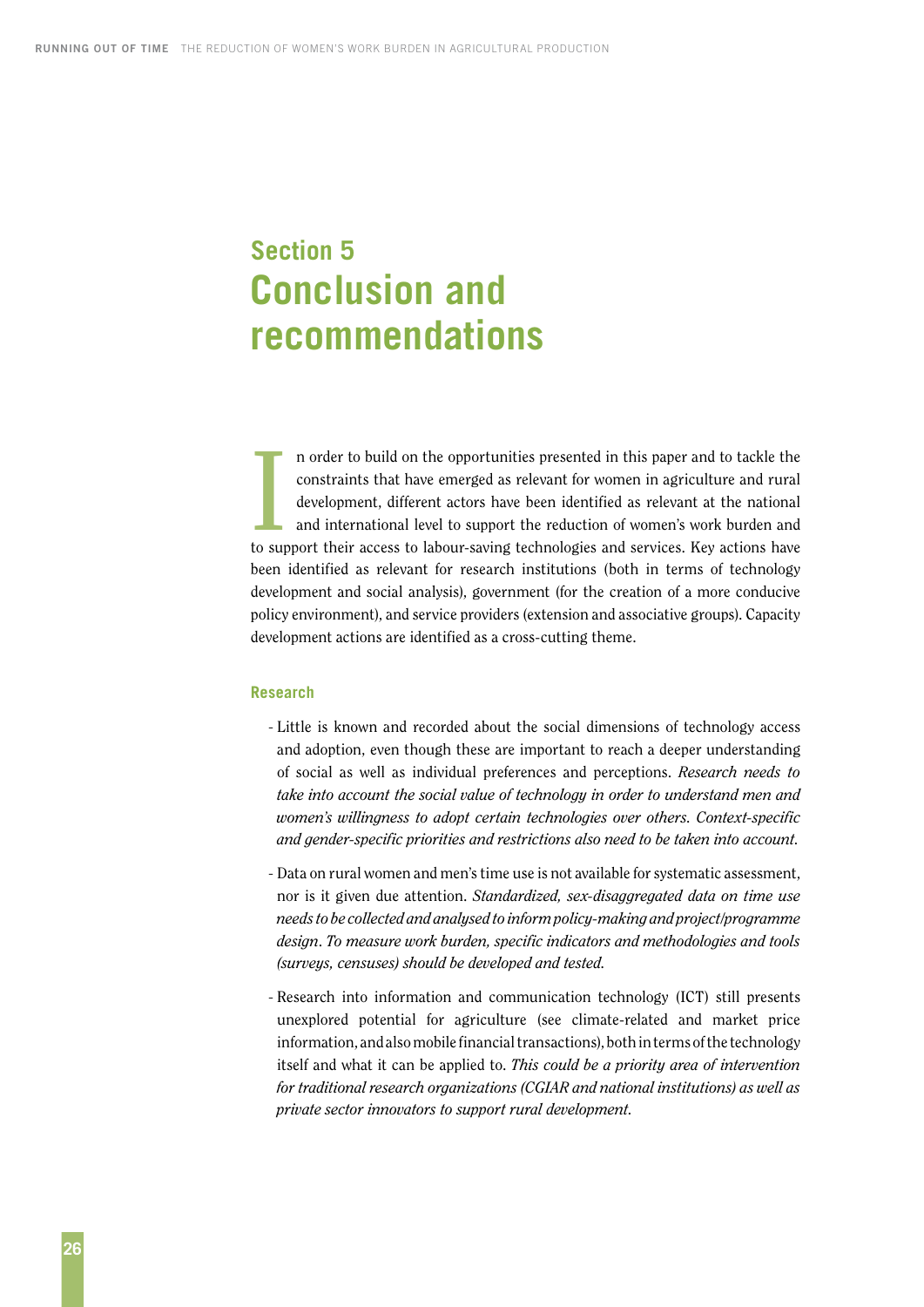# <span id="page-33-0"></span>**Section 5 Conclusion and recommendations**

 $\prod_{\text{to sur}}$ n order to build on the opportunities presented in this paper and to tackle the constraints that have emerged as relevant for women in agriculture and rural development, different actors have been identified as relevant at the national and international level to support the reduction of women's work burden and to support their access to labour-saving technologies and services. Key actions have been identified as relevant for research institutions (both in terms of technology development and social analysis), government (for the creation of a more conducive policy environment), and service providers (extension and associative groups). Capacity development actions are identified as a cross-cutting theme.

#### **Research**

- Little is known and recorded about the social dimensions of technology access and adoption, even though these are important to reach a deeper understanding of social as well as individual preferences and perceptions. *Research needs to take into account the social value of technology in order to understand men and women's willingness to adopt certain technologies over others. Context-specific and gender-specific priorities and restrictions also need to be taken into account.*
- Data on rural women and men's time use is not available for systematic assessment, nor is it given due attention. *Standardized, sex-disaggregated data on time use needs to be collected and analysed to inform policy-making and project/programme design*. *To measure work burden, specific indicators and methodologies and tools (surveys, censuses) should be developed and tested.*
- Research into information and communication technology (ICT) still presents unexplored potential for agriculture (see climate-related and market price information, and also mobile financial transactions), both in terms of the technology itself and what it can be applied to. *This could be a priority area of intervention for traditional research organizations (CGIAR and national institutions) as well as private sector innovators to support rural development.*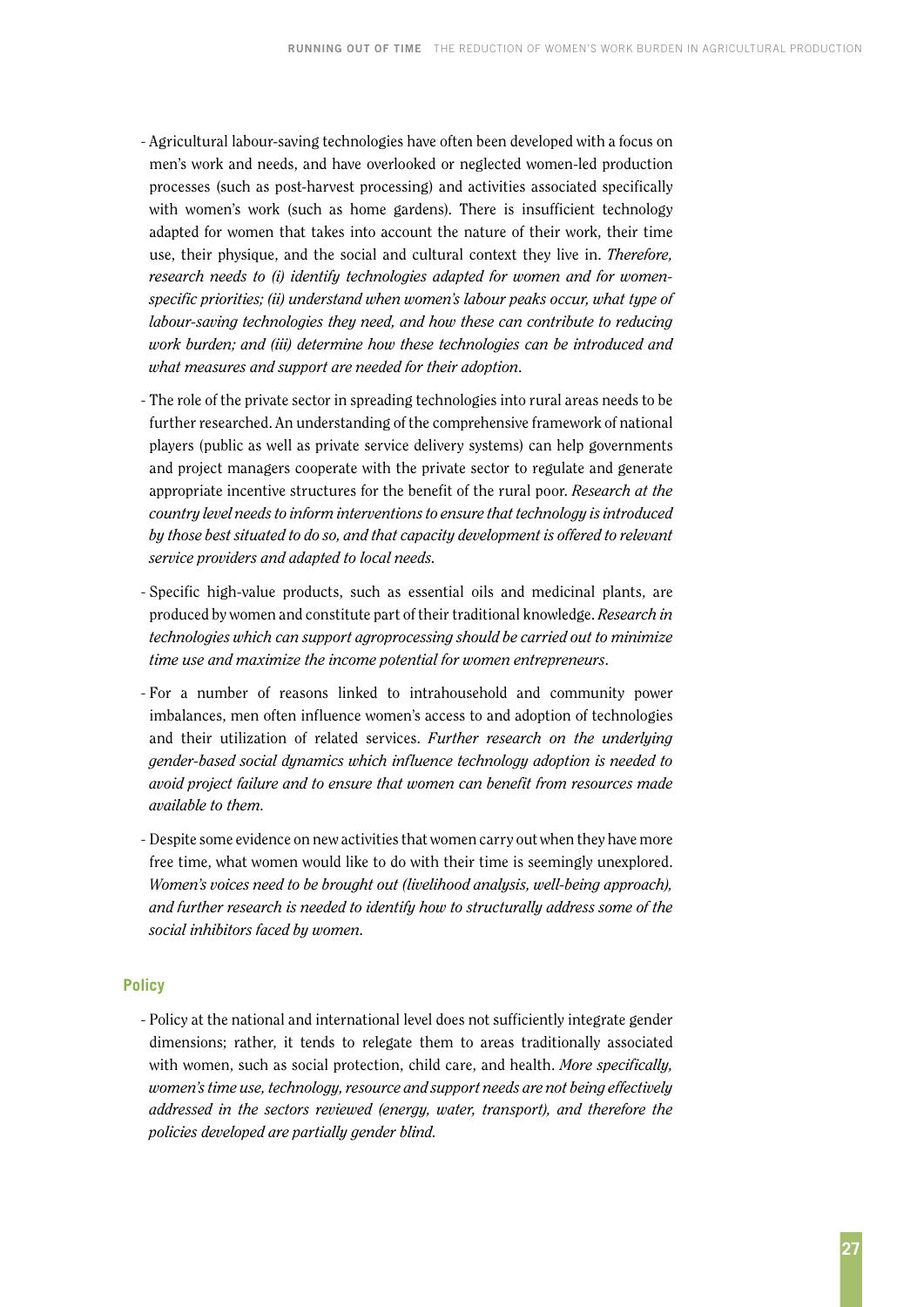- Agricultural labour-saving technologies have often been developed with a focus on men's work and needs, and have overlooked or neglected women-led production processes (such as post-harvest processing) and activities associated specifically with women's work (such as home gardens). There is insufficient technology adapted for women that takes into account the nature of their work, their time use, their physique, and the social and cultural context they live in. *Therefore, research needs to (i) identify technologies adapted for women and for womenspecific priorities; (ii) understand when women's labour peaks occur, what type of labour-saving technologies they need, and how these can contribute to reducing work burden; and (iii) determine how these technologies can be introduced and what measures and support are needed for their adoption*.
- The role of the private sector in spreading technologies into rural areas needs to be further researched. An understanding of the comprehensive framework of national players (public as well as private service delivery systems) can help governments and project managers cooperate with the private sector to regulate and generate appropriate incentive structures for the benefit of the rural poor. *Research at the country level needs to inform interventions to ensure that technology is introduced by those best situated to do so, and that capacity development is offered to relevant service providers and adapted to local needs.*
- Specific high-value products, such as essential oils and medicinal plants, are produced by women and constitute part of their traditional knowledge. *Research in technologies which can support agroprocessing should be carried out to minimize time use and maximize the income potential for women entrepreneurs*.
- For a number of reasons linked to intrahousehold and community power imbalances, men often influence women's access to and adoption of technologies and their utilization of related services. *Further research on the underlying gender-based social dynamics which influence technology adoption is needed to avoid project failure and to ensure that women can benefit from resources made available to them.*
- Despite some evidence on new activities that women carry out when they have more free time, what women would like to do with their time is seemingly unexplored. *Women's voices need to be brought out (livelihood analysis, well-being approach), and further research is needed to identify how to structurally address some of the social inhibitors faced by women.*

#### **Policy**

- Policy at the national and international level does not sufficiently integrate gender dimensions; rather, it tends to relegate them to areas traditionally associated with women, such as social protection, child care, and health. *More specifically, women's time use, technology, resource and support needs are not being effectively addressed in the sectors reviewed (energy, water, transport), and therefore the policies developed are partially gender blind.*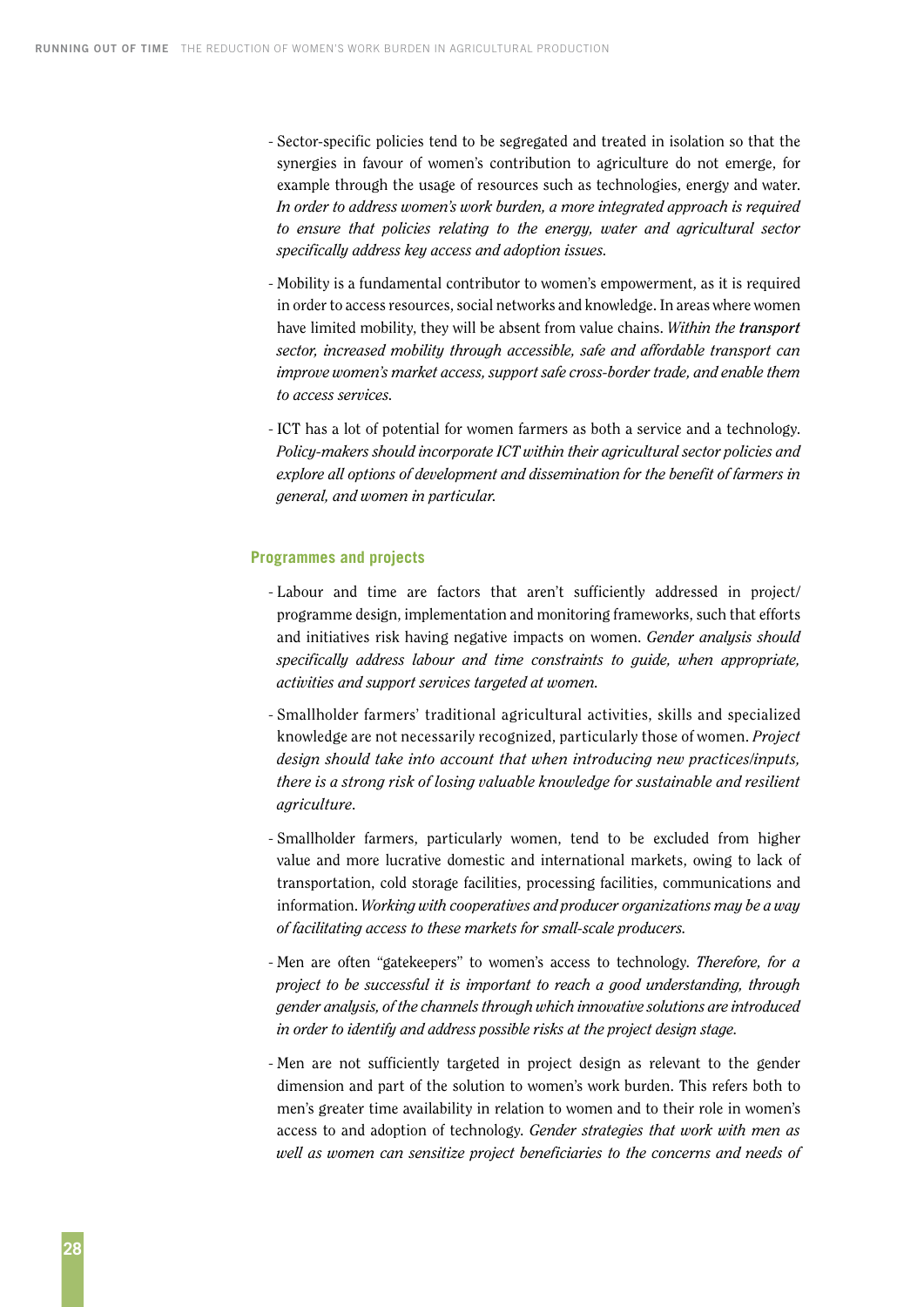- Sector-specific policies tend to be segregated and treated in isolation so that the synergies in favour of women's contribution to agriculture do not emerge, for example through the usage of resources such as technologies, energy and water. *In order to address women's work burden, a more integrated approach is required to ensure that policies relating to the energy, water and agricultural sector specifically address key access and adoption issues.*
- Mobility is a fundamental contributor to women's empowerment, as it is required in order to access resources, social networks and knowledge. In areas where women have limited mobility, they will be absent from value chains. *Within the transport sector, increased mobility through accessible, safe and affordable transport can improve women's market access, support safe cross-border trade, and enable them to access services.*
- ICT has a lot of potential for women farmers as both a service and a technology. *Policy-makers should incorporate ICT within their agricultural sector policies and explore all options of development and dissemination for the benefit of farmers in general, and women in particular.*

#### **Programmes and projects**

- Labour and time are factors that aren't sufficiently addressed in project/ programme design, implementation and monitoring frameworks, such that efforts and initiatives risk having negative impacts on women. *Gender analysis should specifically address labour and time constraints to guide, when appropriate, activities and support services targeted at women.*
- Smallholder farmers' traditional agricultural activities, skills and specialized knowledge are not necessarily recognized, particularly those of women. *Project design should take into account that when introducing new practices/inputs, there is a strong risk of losing valuable knowledge for sustainable and resilient agriculture.*
- Smallholder farmers, particularly women, tend to be excluded from higher value and more lucrative domestic and international markets, owing to lack of transportation, cold storage facilities, processing facilities, communications and information. *Working with cooperatives and producer organizations may be a way of facilitating access to these markets for small-scale producers.*
- Men are often "gatekeepers" to women's access to technology. *Therefore, for a project to be successful it is important to reach a good understanding, through gender analysis, of the channels through which innovative solutions are introduced in order to identify and address possible risks at the project design stage.*
- Men are not sufficiently targeted in project design as relevant to the gender dimension and part of the solution to women's work burden. This refers both to men's greater time availability in relation to women and to their role in women's access to and adoption of technology. *Gender strategies that work with men as well as women can sensitize project beneficiaries to the concerns and needs of*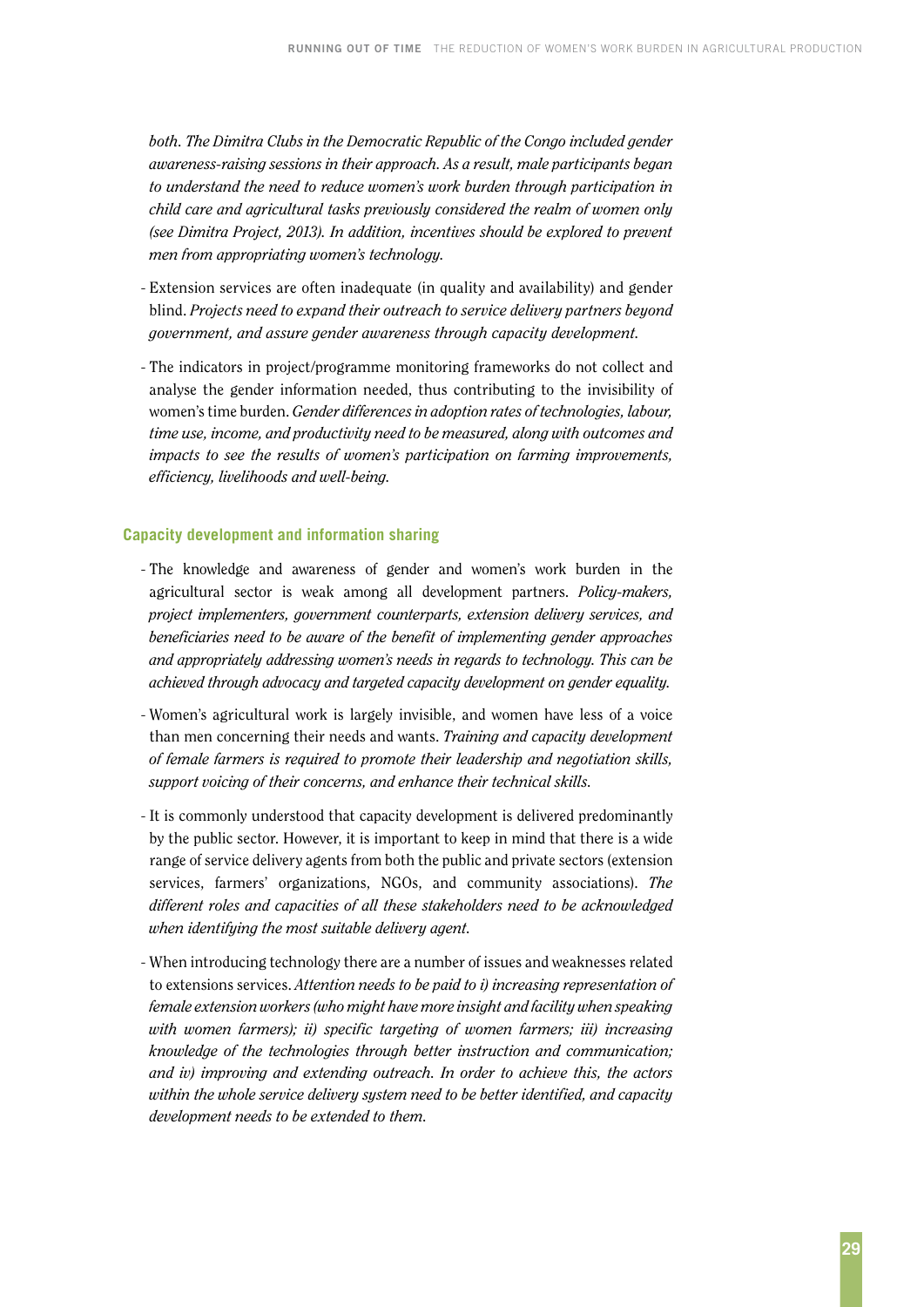both. The Dimitra Clubs in the Democratic Republic of the Congo included gender *awareness-raising sessions in their approach. As a result, male participants began to understand the need to reduce women's work burden through participation in child care and agricultural tasks previously considered the realm of women only (see Dimitra Project, 2013). In addition, incentives should be explored to prevent men from appropriating women's technology.*

- Extension services are often inadequate (in quality and availability) and gender blind. *Projects need to expand their outreach to service delivery partners beyond government, and assure gender awareness through capacity development.*
- The indicators in project/programme monitoring frameworks do not collect and analyse the gender information needed, thus contributing to the invisibility of women's time burden. *Gender differences in adoption rates of technologies, labour, time use, income, and productivity need to be measured, along with outcomes and impacts to see the results of women's participation on farming improvements, efficiency, livelihoods and well-being.*

#### **Capacity development and information sharing**

- The knowledge and awareness of gender and women's work burden in the agricultural sector is weak among all development partners. *Policy-makers, project implementers, government counterparts, extension delivery services, and beneficiaries need to be aware of the benefit of implementing gender approaches and appropriately addressing women's needs in regards to technology. This can be achieved through advocacy and targeted capacity development on gender equality.*
- Women's agricultural work is largely invisible, and women have less of a voice than men concerning their needs and wants. *Training and capacity development of female farmers is required to promote their leadership and negotiation skills, support voicing of their concerns, and enhance their technical skills.*
- It is commonly understood that capacity development is delivered predominantly by the public sector. However, it is important to keep in mind that there is a wide range of service delivery agents from both the public and private sectors (extension services, farmers' organizations, NGOs, and community associations). *The different roles and capacities of all these stakeholders need to be acknowledged when identifying the most suitable delivery agent.*
- When introducing technology there are a number of issues and weaknesses related to extensions services. *Attention needs to be paid to i) increasing representation of female extension workers (who might have more insight and facility when speaking with women farmers); ii) specific targeting of women farmers; iii) increasing knowledge of the technologies through better instruction and communication; and iv) improving and extending outreach. In order to achieve this, the actors within the whole service delivery system need to be better identified, and capacity development needs to be extended to them.*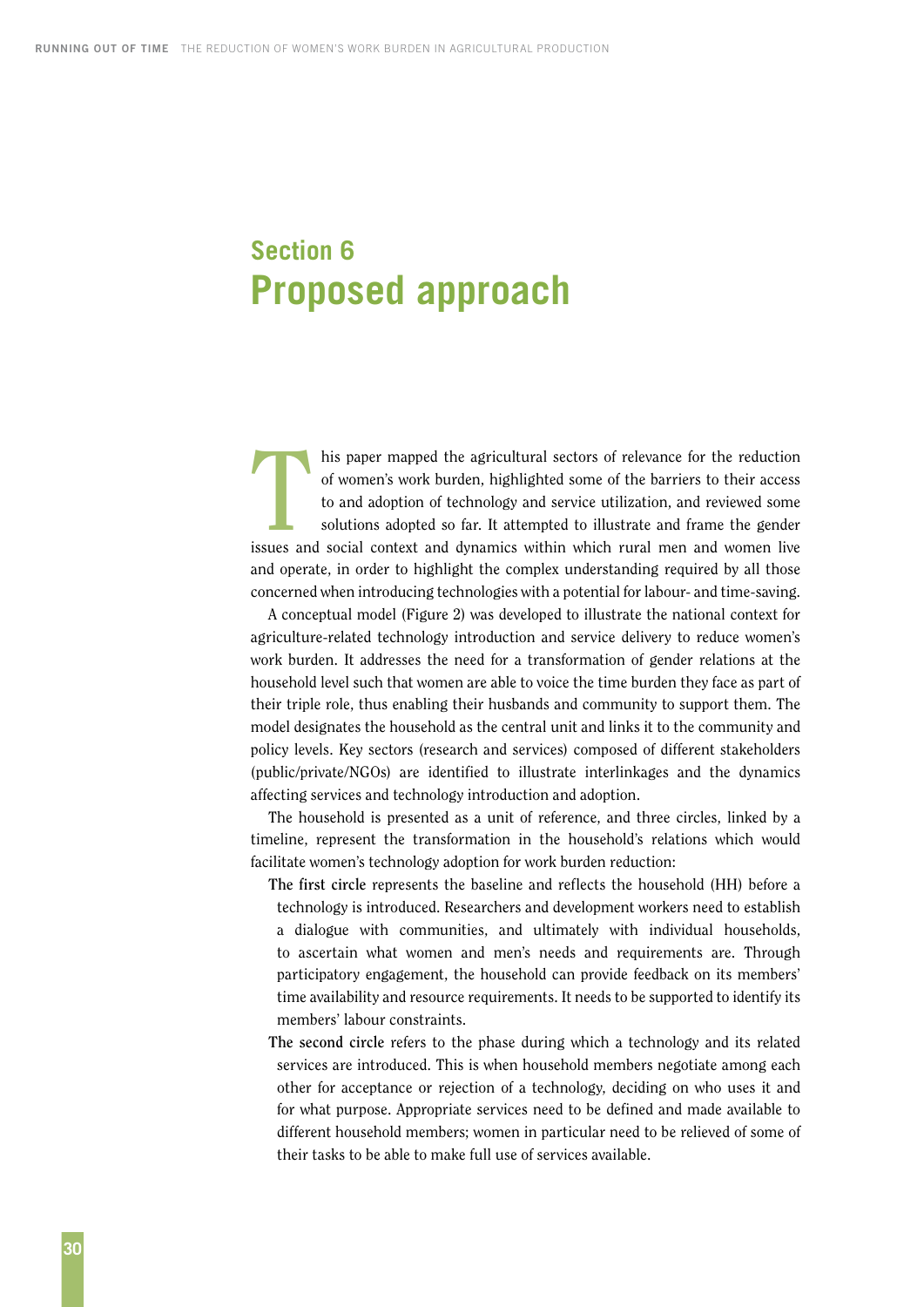### <span id="page-37-0"></span>**Section 6 Proposed approach**

his paper mapped the agricultural sectors of relevance for the reduction of women's work burden, highlighted some of the barriers to their access to and adoption of technology and service utilization, and reviewed some sol of women's work burden, highlighted some of the barriers to their access to and adoption of technology and service utilization, and reviewed some solutions adopted so far. It attempted to illustrate and frame the gender issues and social context and dynamics within which rural men and women live and operate, in order to highlight the complex understanding required by all those concerned when introducing technologies with a potential for labour- and time-saving.

A conceptual model (Figure 2) was developed to illustrate the national context for agriculture-related technology introduction and service delivery to reduce women's work burden. It addresses the need for a transformation of gender relations at the household level such that women are able to voice the time burden they face as part of their triple role, thus enabling their husbands and community to support them. The model designates the household as the central unit and links it to the community and policy levels. Key sectors (research and services) composed of different stakeholders (public/private/NGOs) are identified to illustrate interlinkages and the dynamics affecting services and technology introduction and adoption.

The household is presented as a unit of reference, and three circles, linked by a timeline, represent the transformation in the household's relations which would facilitate women's technology adoption for work burden reduction:

- **The first circle** represents the baseline and reflects the household (HH) before a technology is introduced. Researchers and development workers need to establish a dialogue with communities, and ultimately with individual households, to ascertain what women and men's needs and requirements are. Through participatory engagement, the household can provide feedback on its members' time availability and resource requirements. It needs to be supported to identify its members' labour constraints.
- **The second circle** refers to the phase during which a technology and its related services are introduced. This is when household members negotiate among each other for acceptance or rejection of a technology, deciding on who uses it and for what purpose. Appropriate services need to be defined and made available to different household members; women in particular need to be relieved of some of their tasks to be able to make full use of services available.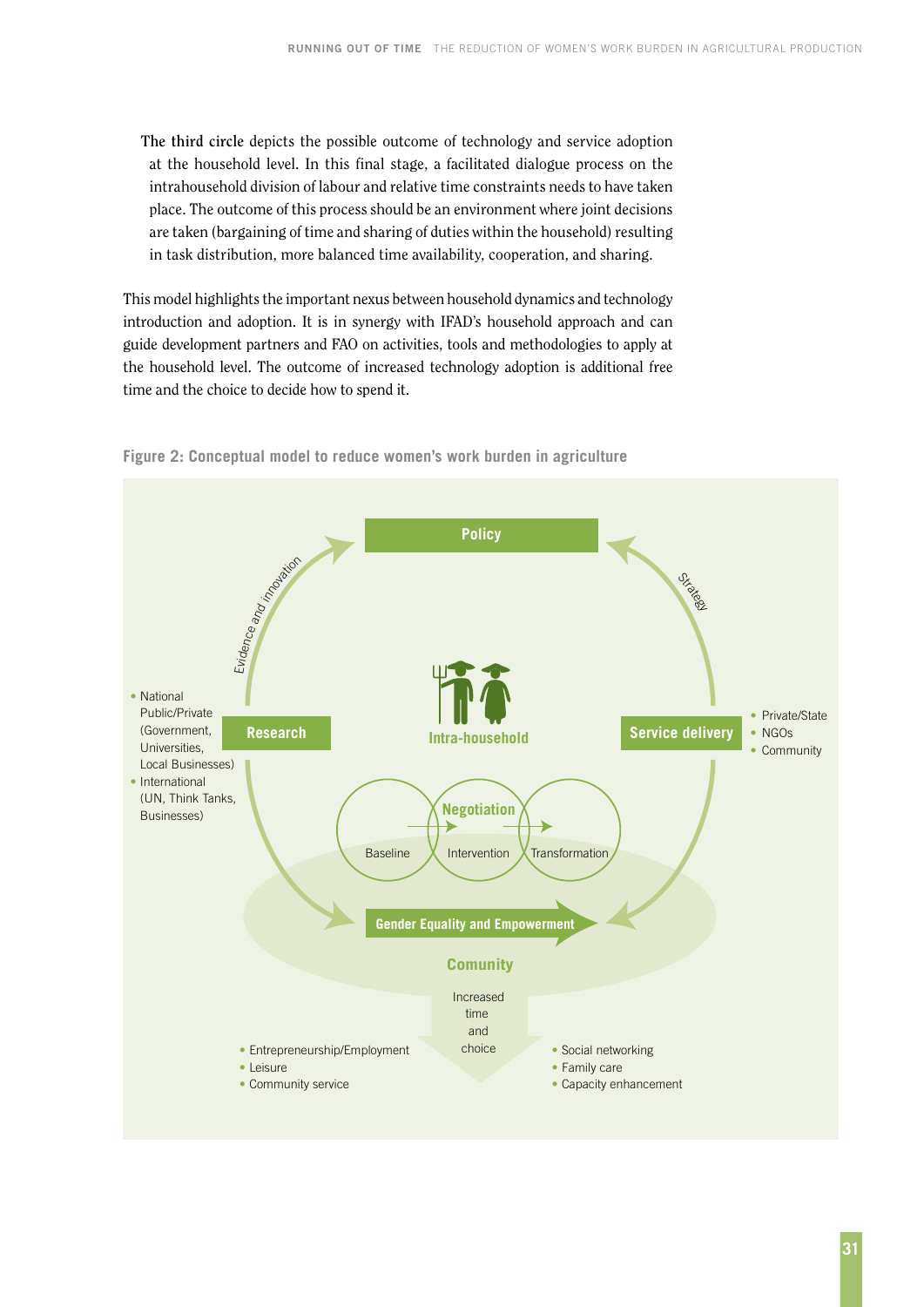**The third circle** depicts the possible outcome of technology and service adoption at the household level. In this final stage, a facilitated dialogue process on the intrahousehold division of labour and relative time constraints needs to have taken place. The outcome of this process should be an environment where joint decisions are taken (bargaining of time and sharing of duties within the household) resulting in task distribution, more balanced time availability, cooperation, and sharing.

This model highlights the important nexus between household dynamics and technology introduction and adoption. It is in synergy with IFAD's household approach and can guide development partners and FAO on activities, tools and methodologies to apply at the household level. The outcome of increased technology adoption is additional free time and the choice to decide how to spend it.



**Figure 2: Conceptual model to reduce women's work burden in agriculture**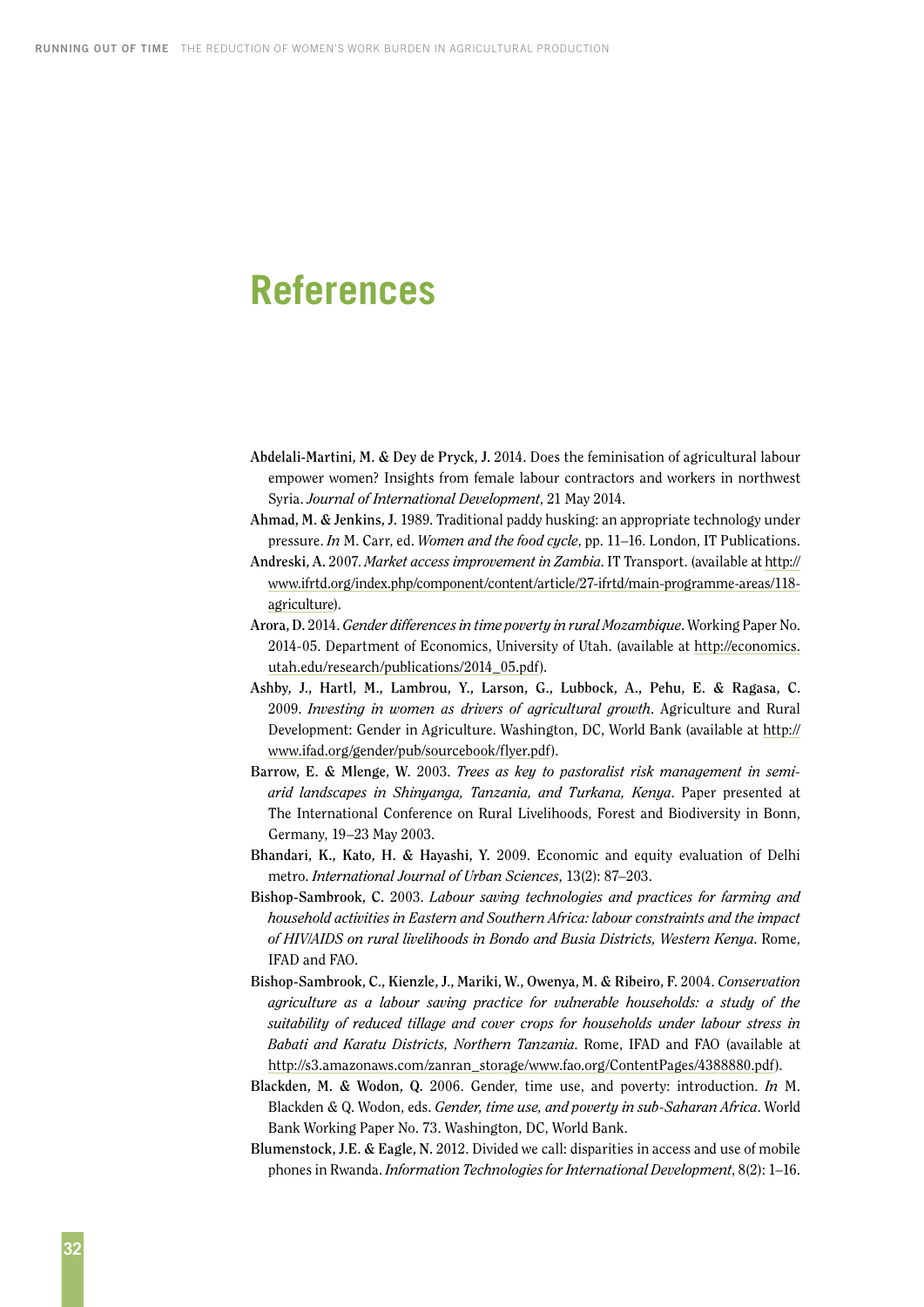### <span id="page-39-0"></span>**References**

**Abdelali-Martini, M. & Dey de Pryck, J.** 2014. Does the feminisation of agricultural labour empower women? Insights from female labour contractors and workers in northwest Syria. *Journal of International Development*, 21 May 2014.

**Ahmad, M. & Jenkins, J.** 1989. Traditional paddy husking: an appropriate technology under pressure. *In* M. Carr, ed. *Women and the food cycle*, pp. 11–16. London, IT Publications.

- **Andreski, A.** 2007. *Market access improvement in Zambia*. IT Transport. (available at [http://](http://www.ifrtd.org/index.php/component/content/article/27-ifrtd/main-programme-areas/118) [www.ifrtd.org/index.php/component/content/article/27-ifrtd/main-programme-areas/118](http://www.ifrtd.org/index.php/component/content/article/27-ifrtd/main-programme-areas/118) agriculture).
- **Arora, D.** 2014. *Gender differences in time poverty in rural Mozambique*. Working Paper No. 2014-05. Department of Economics, University of Utah. (available at [http://economics.](http://economics.utah.edu/research/publications/2014_05.pdf) [utah.edu/research/publications/2014\\_05.pdf](http://economics.utah.edu/research/publications/2014_05.pdf)).
- **Ashby, J., Hartl, M., Lambrou, Y., Larson, G., Lubbock, A., Pehu, E. & Ragasa, C.** 2009. *Investing in women as drivers of agricultural growth*. Agriculture and Rural Development: Gender in Agriculture. Washington, DC, World Bank (available at http:// www.ifad.org/gender/pub/sourcebook/flyer.pdf).
- **Barrow, E. & Mlenge, W.** 2003. *Trees as key to pastoralist risk management in semiarid landscapes in Shinyanga, Tanzania, and Turkana, Kenya*. Paper presented at The International Conference on Rural Livelihoods, Forest and Biodiversity in Bonn, Germany, 19–23 May 2003.
- **Bhandari, K., Kato, H. & Hayashi, Y.** 2009. Economic and equity evaluation of Delhi metro. *International Journal of Urban Sciences*, 13(2): 87–203.
- **Bishop-Sambrook, C.** 2003. *Labour saving technologies and practices for farming and household activities in Eastern and Southern Africa: labour constraints and the impact of HIV/AIDS on rural livelihoods in Bondo and Busia Districts, Western Kenya*. Rome, IFAD and FAO.
- **Bishop-Sambrook, C., Kienzle, J., Mariki, W., Owenya, M. & Ribeiro, F.** 2004. *Conservation agriculture as a labour saving practice for vulnerable households: a study of the suitability of reduced tillage and cover crops for households under labour stress in Babati and Karatu Districts, Northern Tanzania*. Rome, IFAD and FAO (available at [http://s3.amazonaws.com/zanran\\_storage/www.fao.org/ContentPages/4388880.pdf](http://s3.amazonaws.com/zanran_storage/www.fao.org/ContentPages/4388880.pdf)).
- **Blackden, M. & Wodon, Q.** 2006. Gender, time use, and poverty: introduction. *In* M. Blackden & Q. Wodon, eds. *Gender, time use, and poverty in sub-Saharan Africa*. World Bank Working Paper No. 73. Washington, DC, World Bank.
- **Blumenstock, J.E. & Eagle, N.** 2012. Divided we call: disparities in access and use of mobile phones in Rwanda. *Information Technologies for International Development*, 8(2): 1–16.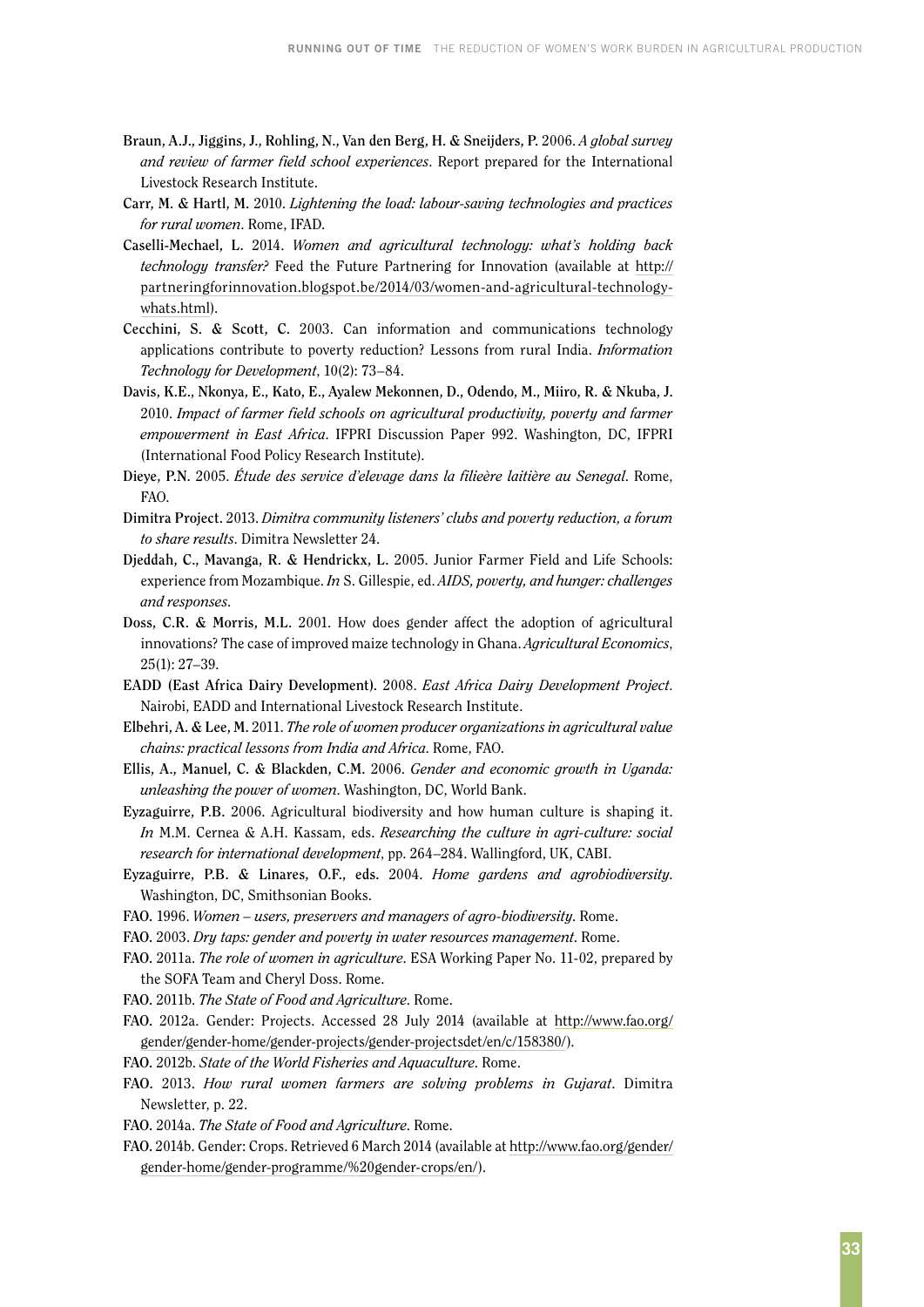- **Braun, A.J., Jiggins, J., Rohling, N., Van den Berg, H. & Sneijders, P.** 2006. *A global survey and review of farmer field school experiences*. Report prepared for the International Livestock Research Institute.
- **Carr, M. & Hartl, M.** 2010. *Lightening the load: labour-saving technologies and practices for rural women*. Rome, IFAD.
- **Caselli-Mechael, L.** 2014. *Women and agricultural technology: what's holding back technology transfer?* Feed the Future Partnering for Innovation (available at http:// partneringforinnovation.blogspot.be/2014/03/women-and-agricultural-technologywhats.html).
- **Cecchini, S. & Scott, C.** 2003. Can information and communications technology applications contribute to poverty reduction? Lessons from rural India. *Information Technology for Development*, 10(2): 73–84.
- **Davis, K.E., Nkonya, E., Kato, E., Ayalew Mekonnen, D., Odendo, M., Miiro, R. & Nkuba, J.** 2010. *Impact of farmer field schools on agricultural productivity, poverty and farmer empowerment in East Africa*. IFPRI Discussion Paper 992. Washington, DC, IFPRI (International Food Policy Research Institute).
- **Dieye, P.N.** 2005. *Étude des service d'elevage dans la filieère laitière au Senegal*. Rome, FAO.
- **Dimitra Project.** 2013. *Dimitra community listeners' clubs and poverty reduction, a forum to share results*. Dimitra Newsletter 24.
- **Djeddah, C., Mavanga, R. & Hendrickx, L.** 2005. Junior Farmer Field and Life Schools: experience from Mozambique. *In* S. Gillespie, ed. *AIDS, poverty, and hunger: challenges and responses*.
- **Doss, C.R. & Morris, M.L.** 2001. How does gender affect the adoption of agricultural innovations? The case of improved maize technology in Ghana. *Agricultural Economics*, 25(1): 27–39.
- **EADD (East Africa Dairy Development).** 2008. *East Africa Dairy Development Project*. Nairobi, EADD and International Livestock Research Institute.
- **Elbehri, A. & Lee, M.** 2011. *The role of women producer organizations in agricultural value chains: practical lessons from India and Africa*. Rome, FAO.
- **Ellis, A., Manuel, C. & Blackden, C.M.** 2006. *Gender and economic growth in Uganda: unleashing the power of women*. Washington, DC, World Bank.
- **Eyzaguirre, P.B.** 2006. Agricultural biodiversity and how human culture is shaping it. *In* M.M. Cernea & A.H. Kassam, eds. *Researching the culture in agri-culture: social research for international development*, pp. 264–284. Wallingford, UK, CABI.
- **Eyzaguirre, P.B. & Linares, O.F., eds.** 2004. *Home gardens and agrobiodiversity*. Washington, DC, Smithsonian Books.
- **FAO.** 1996. *Women users, preservers and managers of agro-biodiversity*. Rome.
- **FAO.** 2003. *Dry taps: gender and poverty in water resources management*. Rome.
- **FAO.** 2011a. *The role of women in agriculture*. ESA Working Paper No. 11-02, prepared by the SOFA Team and Cheryl Doss. Rome.
- **FAO.** 2011b. *The State of Food and Agriculture*. Rome.
- **FAO.** 2012a. Gender: Projects. Accessed 28 July 2014 (available at [http://www.fao.org/](http://www.fao.org/gender/gender-home/gender-projects/gender-projectsdet/en/c/158380) [gender/gender-home/gender-projects/gender-projectsdet/en/c/158380](http://www.fao.org/gender/gender-home/gender-projects/gender-projectsdet/en/c/158380)/).
- **FAO.** 2012b. *State of the World Fisheries and Aquaculture*. Rome.
- **FAO.** 2013. *How rural women farmers are solving problems in Gujarat*. Dimitra Newsletter, p. 22.
- **FAO.** 2014a. *The State of Food and Agriculture*. Rome.
- **FAO.** 2014b. Gender: Crops. Retrieved 6 March 2014 (available at [http://www.fao.org/gender/](http://www.fao.org/gender/gender-home/gender) [gender-home/gender-](http://www.fao.org/gender/gender-home/gender)programme/%20gender-crops/en/).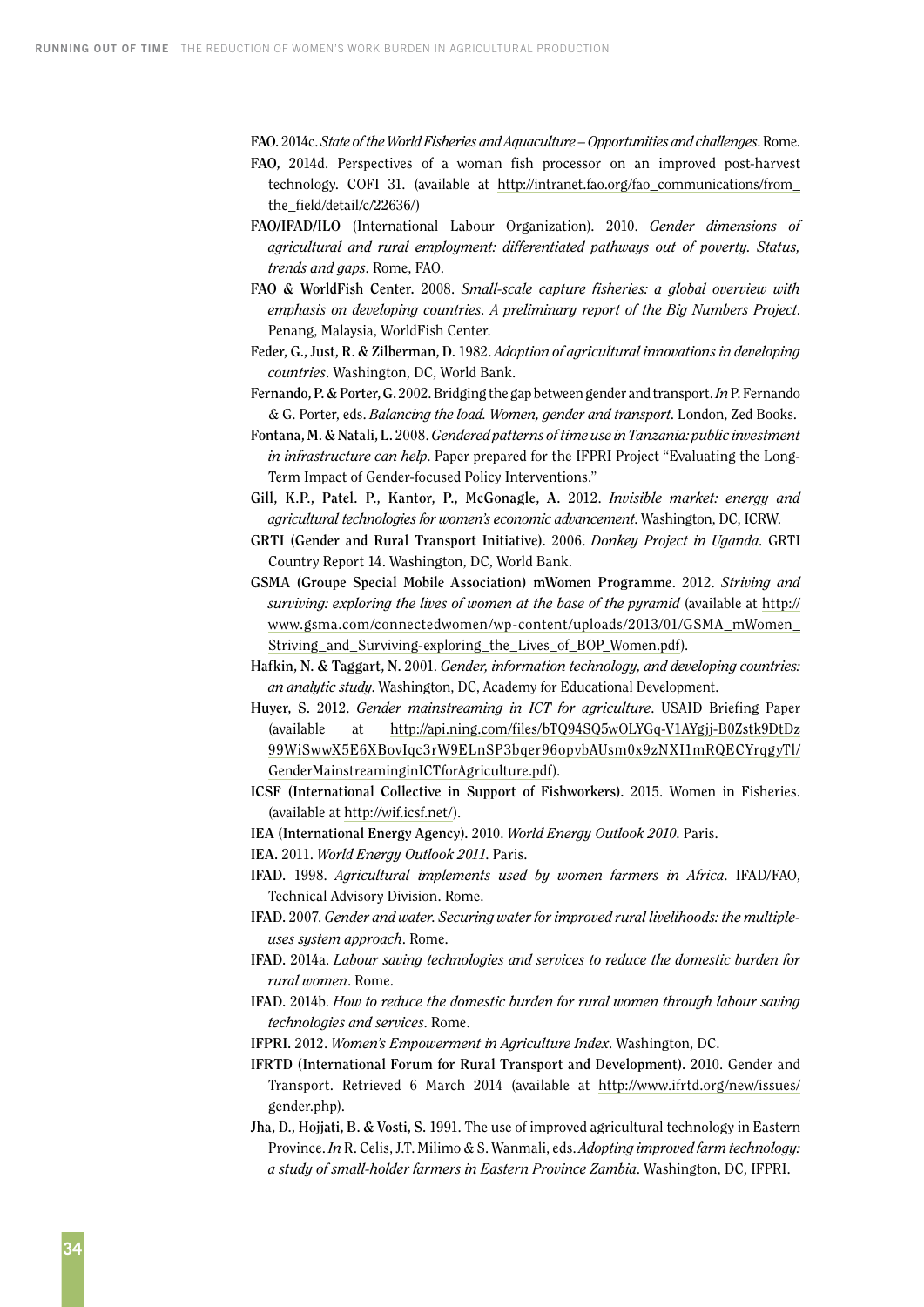**FAO.** 2014c. *State of the World Fisheries and Aquaculture – Opportunities and challenges*. Rome.

- **FAO,** 2014d. Perspectives of a woman fish processor on an improved post-harvest technology. COFI 31. (available at [http://intranet.fao.org/fao\\_communications/from\\_](http://intranet.fao.org/fao_communications/from_the_field/detail/c/22636) [the\\_field/detail/c/22636/](http://intranet.fao.org/fao_communications/from_the_field/detail/c/22636))
- **FAO/IFAD/ILO** (International Labour Organization). 2010. *Gender dimensions of agricultural and rural employment: differentiated pathways out of poverty. Status, trends and gaps*. Rome, FAO.
- **FAO & WorldFish Center.** 2008. *Small-scale capture fisheries: a global overview with emphasis on developing countries. A preliminary report of the Big Numbers Project*. Penang, Malaysia, WorldFish Center.
- **Feder, G., Just, R. & Zilberman, D.** 1982. *Adoption of agricultural innovations in developing countries*. Washington, DC, World Bank.
- **Fernando, P. & Porter, G.** 2002. Bridging the gap between gender and transport. *In* P. Fernando & G. Porter, eds. *Balancing the load. Women, gender and transport*. London, Zed Books.
- **Fontana, M. & Natali, L.** 2008. *Gendered patterns of time use in Tanzania: public investment in infrastructure can help*. Paper prepared for the IFPRI Project "Evaluating the Long-Term Impact of Gender-focused Policy Interventions."
- **Gill, K.P., Patel. P., Kantor, P., McGonagle, A.** 2012. *Invisible market: energy and agricultural technologies for women's economic advancement*. Washington, DC, ICRW.
- **GRTI (Gender and Rural Transport Initiative).** 2006. *Donkey Project in Uganda*. GRTI Country Report 14. Washington, DC, World Bank.
- **GSMA (Groupe Special Mobile Association) mWomen Programme.** 2012. *Striving and surviving: exploring the lives of women at the base of the pyramid* (available at [http://](http://www.gsma.com/connectedwomen/wp-content/uploads/2013/01/GSMA_mWomen_Striving_and_Surviving-exploring_the_Lives_of_BOP_Women.pdf) [www.gsma.com/connectedwomen/wp-content/uploads/2013/01/GSMA\\_mWomen\\_](http://www.gsma.com/connectedwomen/wp-content/uploads/2013/01/GSMA_mWomen_Striving_and_Surviving-exploring_the_Lives_of_BOP_Women.pdf) [Striving\\_and\\_Surviving-exploring\\_the\\_Lives\\_of\\_BOP\\_Women.pdf](http://www.gsma.com/connectedwomen/wp-content/uploads/2013/01/GSMA_mWomen_Striving_and_Surviving-exploring_the_Lives_of_BOP_Women.pdf)).
- **Hafkin, N. & Taggart, N.** 2001. *Gender, information technology, and developing countries: an analytic study*. Washington, DC, Academy for Educational Development.
- **Huyer, S.** 2012. *Gender mainstreaming in ICT for agriculture*. USAID Briefing Paper (available at [http://api.ning.com/files/bTQ94SQ5wOLYGq-V1AYgjj-B0Zstk9DtDz](http://api.ning.com/files/bTQ94SQ5wOLYGq-V1AYgjj-B0Zstk9DtDz99WiSwwX5E6XBovIqc3rW9ELnSP3bqer96opvbAUsm0x9zNXI1mRQECYrqgyTl/GenderMainstreaminginICTforAgriculture.pdf) [99WiSwwX5E6XBovIqc3rW9ELnSP3bqer96opvbAUsm0x9zNXI1mRQECYrqgyTl/](http://api.ning.com/files/bTQ94SQ5wOLYGq-V1AYgjj-B0Zstk9DtDz99WiSwwX5E6XBovIqc3rW9ELnSP3bqer96opvbAUsm0x9zNXI1mRQECYrqgyTl/GenderMainstreaminginICTforAgriculture.pdf) [GenderMainstreaminginICTforAgriculture.pdf\)](http://api.ning.com/files/bTQ94SQ5wOLYGq-V1AYgjj-B0Zstk9DtDz99WiSwwX5E6XBovIqc3rW9ELnSP3bqer96opvbAUsm0x9zNXI1mRQECYrqgyTl/GenderMainstreaminginICTforAgriculture.pdf).
- **ICSF (International Collective in Support of Fishworkers).** 2015. Women in Fisheries. (available at http://wif.icsf.net/).
- **IEA (International Energy Agency).** 2010. *World Energy Outlook 2010*. Paris.
- **IEA.** 2011. *World Energy Outlook 2011*. Paris.
- **IFAD.** 1998. *Agricultural implements used by women farmers in Africa*. IFAD/FAO, Technical Advisory Division. Rome.
- **IFAD.** 2007. *Gender and water. Securing water for improved rural livelihoods: the multipleuses system approach*. Rome.
- **IFAD.** 2014a. *Labour saving technologies and services to reduce the domestic burden for rural women*. Rome.
- **IFAD.** 2014b. *How to reduce the domestic burden for rural women through labour saving technologies and services*. Rome.
- **IFPRI.** 2012. *Women's Empowerment in Agriculture Index*. Washington, DC.
- **IFRTD (International Forum for Rural Transport and Development).** 2010. Gender and Transport. Retrieved 6 March 2014 (available at [http://www.ifrtd.org/new/issues/](http://www.ifrtd.org/new/issues/gender.php) [gender.php\)](http://www.ifrtd.org/new/issues/gender.php).
- **Jha, D., Hojjati, B. & Vosti, S.** 1991. The use of improved agricultural technology in Eastern Province. *In* R. Celis, J.T. Milimo & S. Wanmali, eds. *Adopting improved farm technology: a study of small-holder farmers in Eastern Province Zambia*. Washington, DC, IFPRI.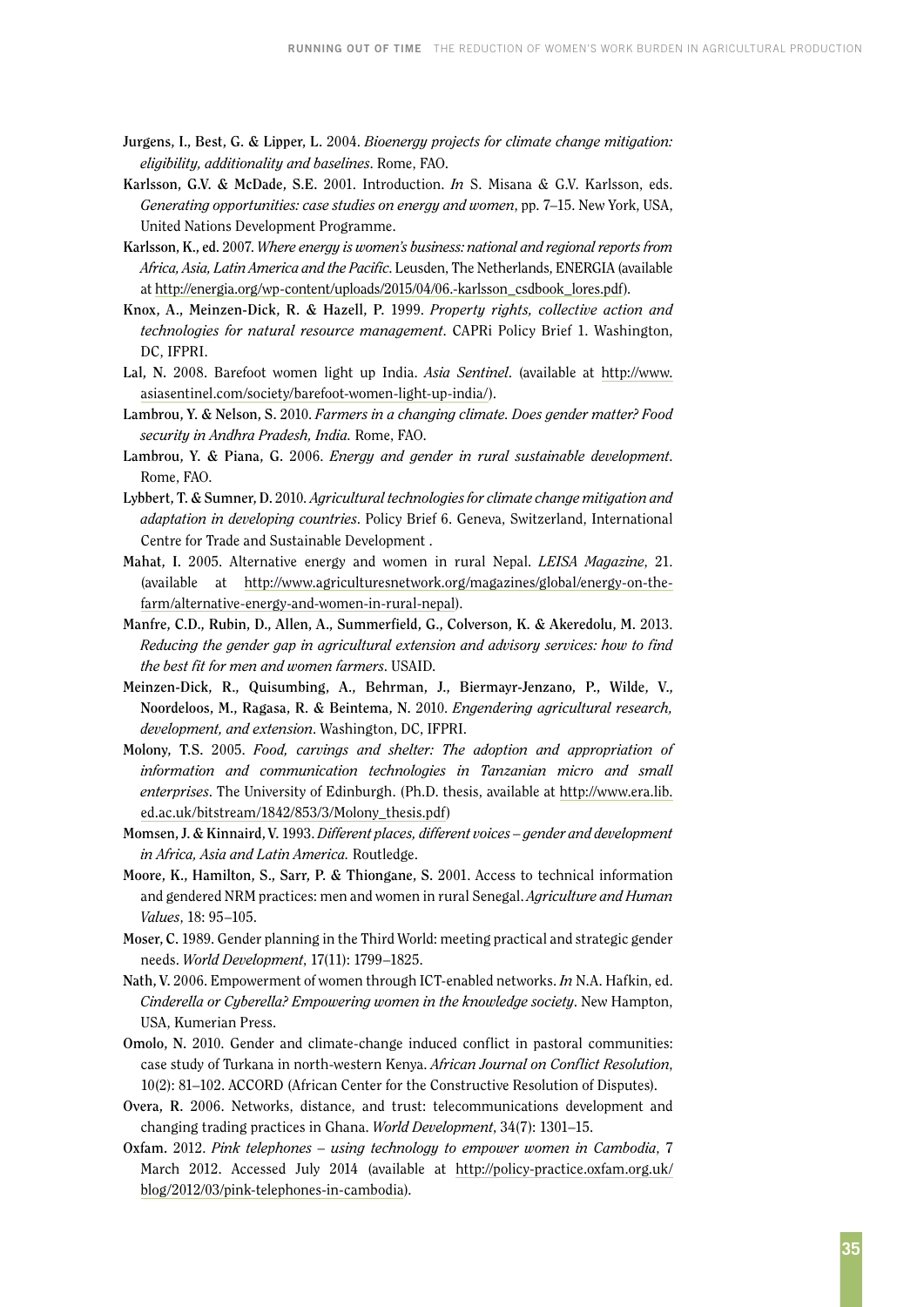- **Jurgens, I., Best, G. & Lipper, L.** 2004. *Bioenergy projects for climate change mitigation: eligibility, additionality and baselines*. Rome, FAO.
- **Karlsson, G.V. & McDade, S.E.** 2001. Introduction. *In* S. Misana & G.V. Karlsson, eds. *Generating opportunities: case studies on energy and women*, pp. 7–15. New York, USA, United Nations Development Programme.
- **Karlsson, K., ed.** 2007. *Where energy is women's business: national and regional reports from Africa, Asia, Latin America and the Pacific*. Leusden, The Netherlands, ENERGIA (available at [http://energia.org/wp-content/uploads/2015/04/06.-karlsson\\_csdbook\\_lores.pdf](http://energia.org/wp-content/uploads/2015/04/06.-karlsson_csdbook_lores.pdf)).
- **Knox, A., Meinzen-Dick, R. & Hazell, P.** 1999. *Property rights, collective action and technologies for natural resource management*. CAPRi Policy Brief 1. Washington, DC, IFPRI.
- **Lal, N.** 2008. Barefoot women light up India. *Asia Sentinel*. (available at [http://www.](http://www.asiasentinel.com/society/barefoot) [asiasentinel.com/society/barefoot-](http://www.asiasentinel.com/society/barefoot)women-light-up-india/).
- **Lambrou, Y. & Nelson, S.** 2010. *Farmers in a changing climate. Does gender matter? Food security in Andhra Pradesh, India.* Rome, FAO.
- **Lambrou, Y. & Piana, G.** 2006. *Energy and gender in rural sustainable development*. Rome, FAO.
- **Lybbert, T. & Sumner, D.** 2010*. Agricultural technologies for climate change mitigation and adaptation in developing countries*. Policy Brief 6. Geneva, Switzerland, International Centre for Trade and Sustainable Development .
- **Mahat, I.** 2005. Alternative energy and women in rural Nepal. *LEISA Magazine*, 21. (available at http://www.agriculturesnetwork.org/magazines/global/energy-on-thefarm/alternative-energy-and-women-in-rural-nepal).
- **Manfre, C.D., Rubin, D., Allen, A., Summerfield, G., Colverson, K. & Akeredolu, M.** 2013. *Reducing the gender gap in agricultural extension and advisory services: how to find the best fit for men and women farmers*. USAID.
- **Meinzen-Dick, R., Quisumbing, A., Behrman, J., Biermayr-Jenzano, P., Wilde, V., Noordeloos, M., Ragasa, R. & Beintema, N.** 2010. *Engendering agricultural research, development, and extension*. Washington, DC, IFPRI.
- **Molony, T.S.** 2005. *Food, carvings and shelter: The adoption and appropriation of information and communication technologies in Tanzanian micro and small enterprises*. The University of Edinburgh. (Ph.D. thesis, available at http://www.era.lib. ed.ac.uk/bitstream/1842/853/3/Molony\_thesis.pdf)
- **Momsen, J. & Kinnaird, V.** 1993. *Different places, different voices gender and development in Africa, Asia and Latin America.* Routledge.
- **Moore, K., Hamilton, S., Sarr, P. & Thiongane, S.** 2001. Access to technical information and gendered NRM practices: men and women in rural Senegal. *Agriculture and Human Values*, 18: 95–105.
- **Moser, C.** 1989. Gender planning in the Third World: meeting practical and strategic gender needs. *World Development*, 17(11): 1799–1825.
- **Nath, V.** 2006. Empowerment of women through ICT-enabled networks. *In* N.A. Hafkin, ed. *Cinderella or Cyberella? Empowering women in the knowledge society*. New Hampton, USA, Kumerian Press.
- **Omolo, N.** 2010. Gender and climate-change induced conflict in pastoral communities: case study of Turkana in north-western Kenya. *African Journal on Conflict Resolution*, 10(2): 81–102. ACCORD (African Center for the Constructive Resolution of Disputes).
- **Overa, R.** 2006. Networks, distance, and trust: telecommunications development and changing trading practices in Ghana. *World Development*, 34(7): 1301–15.
- **Oxfam.** 2012. *Pink telephones using technology to empower women in Cambodia*, 7 March 2012. Accessed July 2014 (available at [http://policy-practice.oxfam.org.uk/](http://policy-practice.oxfam.org.uk/blog/2012/03/pink) [blog/2012/03/pink-](http://policy-practice.oxfam.org.uk/blog/2012/03/pink)telephones-in-cambodia).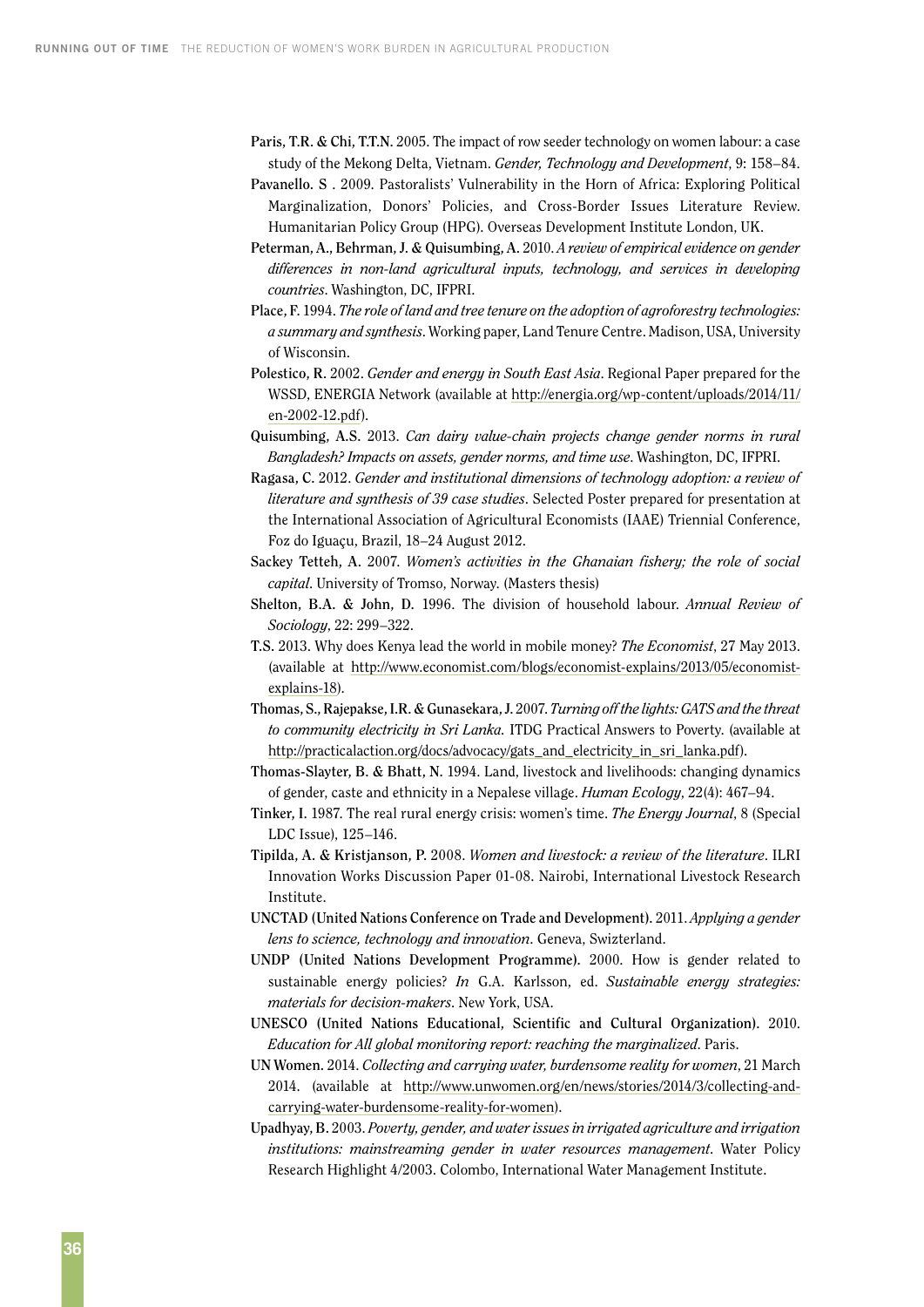- **Paris, T.R. & Chi, T.T.N.** 2005. The impact of row seeder technology on women labour: a case study of the Mekong Delta, Vietnam. *Gender, Technology and Development*, 9: 158–84.
- **Pavanello. S** . 2009. Pastoralists' Vulnerability in the Horn of Africa: Exploring Political Marginalization, Donors' Policies, and Cross-Border Issues Literature Review. Humanitarian Policy Group (HPG). Overseas Development Institute London, UK.
- **Peterman, A., Behrman, J. & Quisumbing, A.** 2010. *A review of empirical evidence on gender differences in non-land agricultural inputs, technology, and services in developing countries*. Washington, DC, IFPRI.
- **Place, F.** 1994. *The role of land and tree tenure on the adoption of agroforestry technologies: a summary and synthesis*. Working paper, Land Tenure Centre. Madison, USA, University of Wisconsin.
- **Polestico, R.** 2002. *Gender and energy in South East Asia*. Regional Paper prepared for the WSSD, ENERGIA Network (available at [http://energia.org/wp-content/uploads/2014/11/](http://energia.org/wp-content/uploads/2014/11/en-2002-12.pdf) [en-2002-12.pdf](http://energia.org/wp-content/uploads/2014/11/en-2002-12.pdf)).
- **Quisumbing, A.S.** 2013. *Can dairy value-chain projects change gender norms in rural Bangladesh? Impacts on assets, gender norms, and time use*. Washington, DC, IFPRI.
- **Ragasa, C.** 2012. *Gender and institutional dimensions of technology adoption: a review of literature and synthesis of 39 case studies*. Selected Poster prepared for presentation at the International Association of Agricultural Economists (IAAE) Triennial Conference, Foz do Iguaçu, Brazil, 18–24 August 2012.
- **Sackey Tetteh, A.** 2007. *Women's activities in the Ghanaian fishery; the role of social capital*. University of Tromso, Norway. (Masters thesis)
- **Shelton, B.A. & John, D.** 1996. The division of household labour. *Annual Review of Sociology*, 22: 299–322.
- **T.S.** 2013. Why does Kenya lead the world in mobile money? *The Economist*, 27 May 2013. (available at <http://www.economist.com/blogs/economist-explains/2013/05/economist>explains-18).
- **Thomas, S., Rajepakse, I.R. & Gunasekara, J.** 2007. *Turning off the lights: GATS and the threat to community electricity in Sri Lanka.* ITDG Practical Answers to Poverty. (available at [http://practicalaction.org/docs/advocacy/gats\\_and\\_electricity\\_in\\_sri\\_lanka.pdf\)](http://practicalaction.org/docs/advocacy/gats_and_electricity_in_sri_lanka.pdf).
- **Thomas-Slayter, B. & Bhatt, N.** 1994. Land, livestock and livelihoods: changing dynamics of gender, caste and ethnicity in a Nepalese village. *Human Ecology*, 22(4): 467–94.
- **Tinker, I.** 1987. The real rural energy crisis: women's time. *The Energy Journal*, 8 (Special LDC Issue), 125–146.
- **Tipilda, A. & Kristjanson, P.** 2008. *Women and livestock: a review of the literature*. ILRI Innovation Works Discussion Paper 01-08. Nairobi, International Livestock Research Institute.
- **UNCTAD (United Nations Conference on Trade and Development).** 2011. *Applying a gender lens to science, technology and innovation*. Geneva, Swizterland.
- **UNDP (United Nations Development Programme).** 2000. How is gender related to sustainable energy policies? *In* G.A. Karlsson, ed. *Sustainable energy strategies: materials for decision-makers*. New York, USA.
- **UNESCO (United Nations Educational, Scientific and Cultural Organization).** 2010. *Education for All global monitoring report: reaching the marginalized*. Paris.
- **UN Women.** 2014. *Collecting and carrying water, burdensome reality for women*, 21 March 2014. (available at http://www.unwomen.org/en/news/stories/2014/3/collecting-andcarrying-water-burdensome-reality-for-women).
- **Upadhyay, B.** 2003. *Poverty, gender, and water issues in irrigated agriculture and irrigation institutions: mainstreaming gender in water resources management*. Water Policy Research Highlight 4/2003. Colombo, International Water Management Institute.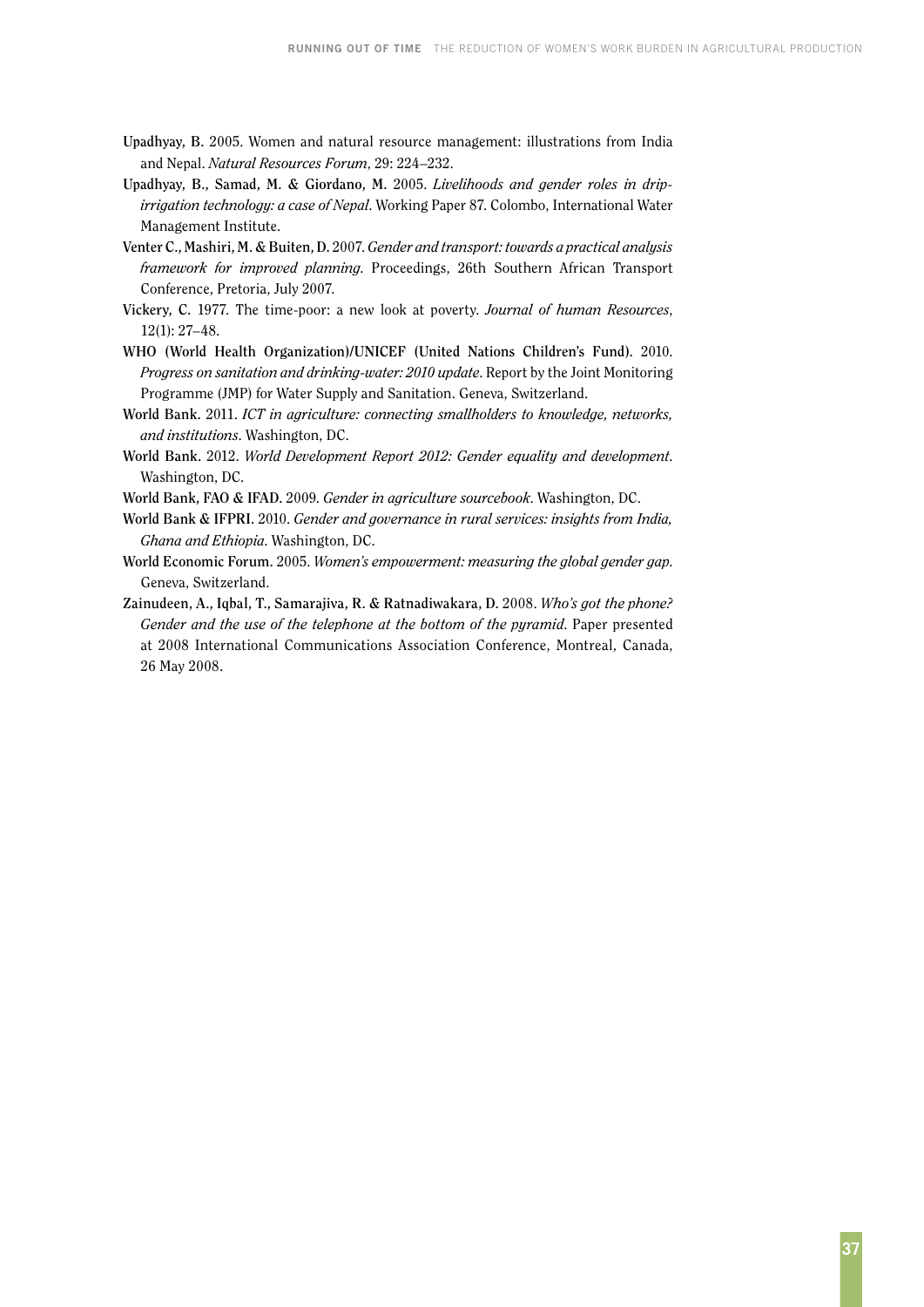- **Upadhyay, B.** 2005. Women and natural resource management: illustrations from India and Nepal. *Natural Resources Forum*, 29: 224–232.
- **Upadhyay, B., Samad, M. & Giordano, M.** 2005. *Livelihoods and gender roles in dripirrigation technology: a case of Nepal*. Working Paper 87. Colombo, International Water Management Institute.
- **Venter C., Mashiri, M. & Buiten, D.** 2007. *Gender and transport: towards a practical analysis framework for improved planning*. Proceedings, 26th Southern African Transport Conference, Pretoria, July 2007.
- **Vickery, C.** 1977. The time-poor: a new look at poverty. *Journal of human Resources*, 12(1): 27–48.
- **WHO (World Health Organization)/UNICEF (United Nations Children's Fund).** 2010. *Progress on sanitation and drinking-water: 2010 update*. Report by the Joint Monitoring Programme (JMP) for Water Supply and Sanitation. Geneva, Switzerland.
- **World Bank.** 2011. *ICT in agriculture: connecting smallholders to knowledge, networks, and institutions*. Washington, DC.
- **World Bank.** 2012. *World Development Report 2012: Gender equality and development*. Washington, DC.
- **World Bank, FAO & IFAD.** 2009. *Gender in agriculture sourcebook*. Washington, DC.
- **World Bank & IFPRI.** 2010. *Gender and governance in rural services: insights from India, Ghana and Ethiopia*. Washington, DC.
- **World Economic Forum.** 2005. *Women's empowerment: measuring the global gender gap*. Geneva, Switzerland.
- **Zainudeen, A., Iqbal, T., Samarajiva, R. & Ratnadiwakara, D.** 2008. *Who's got the phone? Gender and the use of the telephone at the bottom of the pyramid*. Paper presented at 2008 International Communications Association Conference, Montreal, Canada, 26 May 2008.